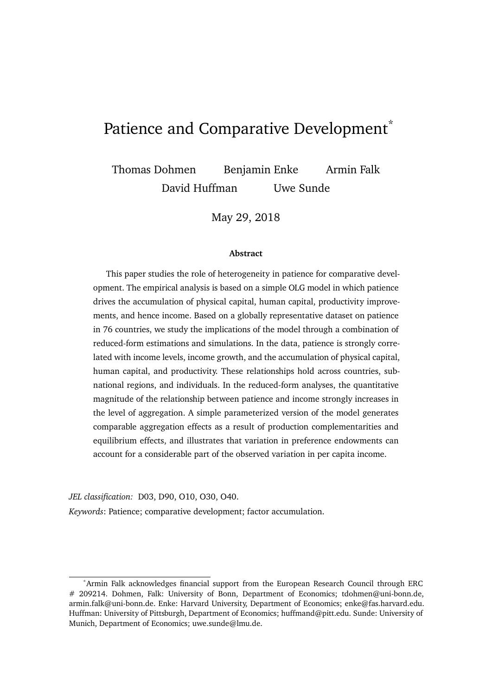# Patience and Comparative Development<sup>\*</sup>

Thomas Dohmen Benjamin Enke Armin Falk David Huffman Uwe Sunde

May 29, 2018

#### **Abstract**

This paper studies the role of heterogeneity in patience for comparative development. The empirical analysis is based on a simple OLG model in which patience drives the accumulation of physical capital, human capital, productivity improvements, and hence income. Based on a globally representative dataset on patience in 76 countries, we study the implications of the model through a combination of reduced-form estimations and simulations. In the data, patience is strongly correlated with income levels, income growth, and the accumulation of physical capital, human capital, and productivity. These relationships hold across countries, subnational regions, and individuals. In the reduced-form analyses, the quantitative magnitude of the relationship between patience and income strongly increases in the level of aggregation. A simple parameterized version of the model generates comparable aggregation effects as a result of production complementarities and equilibrium effects, and illustrates that variation in preference endowments can account for a considerable part of the observed variation in per capita income.

*JEL classification:* D03, D90, O10, O30, O40. *Keywords*: Patience; comparative development; factor accumulation.

<sup>\*</sup>Armin Falk acknowledges financial support from the European Research Council through ERC # 209214. Dohmen, Falk: University of Bonn, Department of Economics; tdohmen@uni-bonn.de, armin.falk@uni-bonn.de. Enke: Harvard University, Department of Economics; enke@fas.harvard.edu. Huffman: University of Pittsburgh, Department of Economics; huffmand@pitt.edu. Sunde: University of Munich, Department of Economics; uwe.sunde@lmu.de.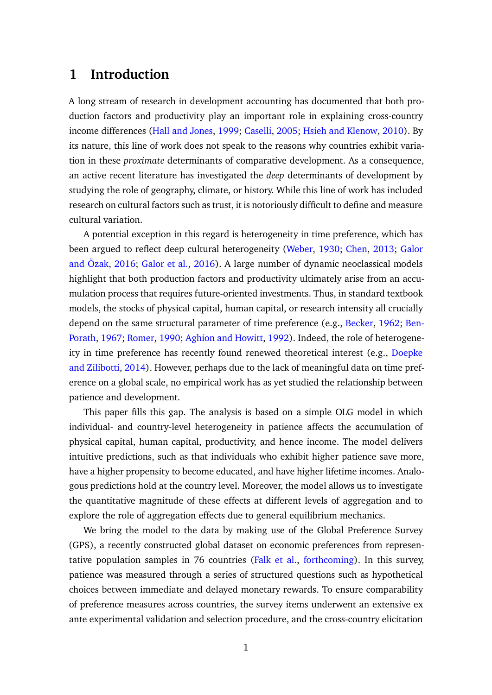## **1 Introduction**

A long stream of research in development accounting has documented that both production factors and productivity play an important role in explaining cross-country income differences [\(Hall and Jones,](#page-35-0) [1999;](#page-35-0) [Caselli,](#page-34-0) [2005;](#page-34-0) [Hsieh and Klenow,](#page-36-0) [2010\)](#page-36-0). By its nature, this line of work does not speak to the reasons why countries exhibit variation in these *proximate* determinants of comparative development. As a consequence, an active recent literature has investigated the *deep* determinants of development by studying the role of geography, climate, or history. While this line of work has included research on cultural factors such as trust, it is notoriously difficult to define and measure cultural variation.

A potential exception in this regard is heterogeneity in time preference, which has been argued to reflect deep cultural heterogeneity [\(Weber,](#page-37-0) [1930;](#page-37-0) [Chen,](#page-34-1) [2013;](#page-34-1) [Galor](#page-35-1) [and Özak,](#page-35-1) [2016;](#page-35-1) [Galor et al.,](#page-35-2) [2016\)](#page-35-2). A large number of dynamic neoclassical models highlight that both production factors and productivity ultimately arise from an accumulation process that requires future-oriented investments. Thus, in standard textbook models, the stocks of physical capital, human capital, or research intensity all crucially depend on the same structural parameter of time preference (e.g., [Becker,](#page-33-0) [1962;](#page-33-0) [Ben-](#page-33-1)[Porath,](#page-33-1) [1967;](#page-33-1) [Romer,](#page-36-1) [1990;](#page-36-1) [Aghion and Howitt,](#page-33-2) [1992\)](#page-33-2). Indeed, the role of heterogeneity in time preference has recently found renewed theoretical interest (e.g., [Doepke](#page-34-2) [and Zilibotti,](#page-34-2) [2014\)](#page-34-2). However, perhaps due to the lack of meaningful data on time preference on a global scale, no empirical work has as yet studied the relationship between patience and development.

This paper fills this gap. The analysis is based on a simple OLG model in which individual- and country-level heterogeneity in patience affects the accumulation of physical capital, human capital, productivity, and hence income. The model delivers intuitive predictions, such as that individuals who exhibit higher patience save more, have a higher propensity to become educated, and have higher lifetime incomes. Analogous predictions hold at the country level. Moreover, the model allows us to investigate the quantitative magnitude of these effects at different levels of aggregation and to explore the role of aggregation effects due to general equilibrium mechanics.

We bring the model to the data by making use of the Global Preference Survey (GPS), a recently constructed global dataset on economic preferences from representative population samples in 76 countries [\(Falk et al.,](#page-35-3) [forthcoming\)](#page-35-3). In this survey, patience was measured through a series of structured questions such as hypothetical choices between immediate and delayed monetary rewards. To ensure comparability of preference measures across countries, the survey items underwent an extensive ex ante experimental validation and selection procedure, and the cross-country elicitation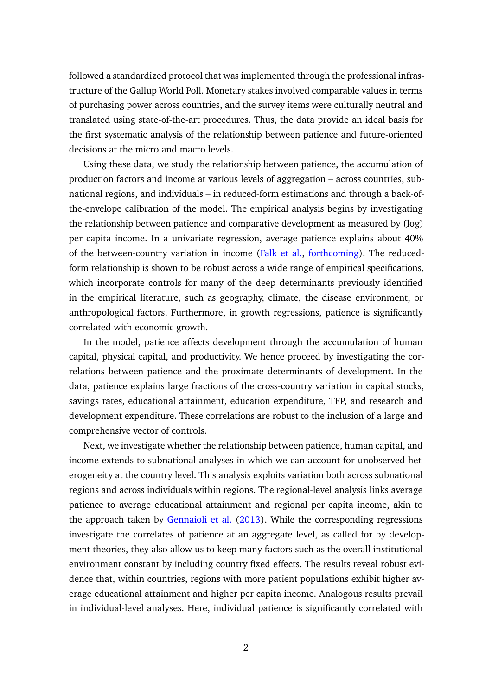followed a standardized protocol that was implemented through the professional infrastructure of the Gallup World Poll. Monetary stakes involved comparable values in terms of purchasing power across countries, and the survey items were culturally neutral and translated using state-of-the-art procedures. Thus, the data provide an ideal basis for the first systematic analysis of the relationship between patience and future-oriented decisions at the micro and macro levels.

Using these data, we study the relationship between patience, the accumulation of production factors and income at various levels of aggregation – across countries, subnational regions, and individuals – in reduced-form estimations and through a back-ofthe-envelope calibration of the model. The empirical analysis begins by investigating the relationship between patience and comparative development as measured by (log) per capita income. In a univariate regression, average patience explains about 40% of the between-country variation in income [\(Falk et al.,](#page-35-3) [forthcoming\)](#page-35-3). The reducedform relationship is shown to be robust across a wide range of empirical specifications, which incorporate controls for many of the deep determinants previously identified in the empirical literature, such as geography, climate, the disease environment, or anthropological factors. Furthermore, in growth regressions, patience is significantly correlated with economic growth.

In the model, patience affects development through the accumulation of human capital, physical capital, and productivity. We hence proceed by investigating the correlations between patience and the proximate determinants of development. In the data, patience explains large fractions of the cross-country variation in capital stocks, savings rates, educational attainment, education expenditure, TFP, and research and development expenditure. These correlations are robust to the inclusion of a large and comprehensive vector of controls.

Next, we investigate whether the relationship between patience, human capital, and income extends to subnational analyses in which we can account for unobserved heterogeneity at the country level. This analysis exploits variation both across subnational regions and across individuals within regions. The regional-level analysis links average patience to average educational attainment and regional per capita income, akin to the approach taken by [Gennaioli et al.](#page-35-4) [\(2013\)](#page-35-4). While the corresponding regressions investigate the correlates of patience at an aggregate level, as called for by development theories, they also allow us to keep many factors such as the overall institutional environment constant by including country fixed effects. The results reveal robust evidence that, within countries, regions with more patient populations exhibit higher average educational attainment and higher per capita income. Analogous results prevail in individual-level analyses. Here, individual patience is significantly correlated with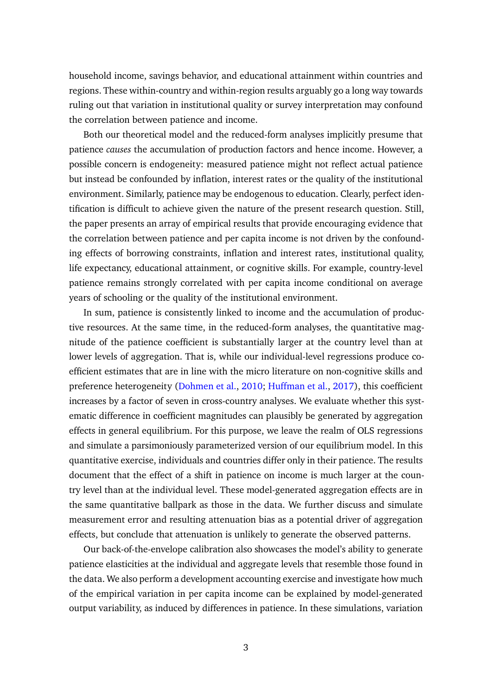household income, savings behavior, and educational attainment within countries and regions. These within-country and within-region results arguably go a long way towards ruling out that variation in institutional quality or survey interpretation may confound the correlation between patience and income.

Both our theoretical model and the reduced-form analyses implicitly presume that patience *causes* the accumulation of production factors and hence income. However, a possible concern is endogeneity: measured patience might not reflect actual patience but instead be confounded by inflation, interest rates or the quality of the institutional environment. Similarly, patience may be endogenous to education. Clearly, perfect identification is difficult to achieve given the nature of the present research question. Still, the paper presents an array of empirical results that provide encouraging evidence that the correlation between patience and per capita income is not driven by the confounding effects of borrowing constraints, inflation and interest rates, institutional quality, life expectancy, educational attainment, or cognitive skills. For example, country-level patience remains strongly correlated with per capita income conditional on average years of schooling or the quality of the institutional environment.

In sum, patience is consistently linked to income and the accumulation of productive resources. At the same time, in the reduced-form analyses, the quantitative magnitude of the patience coefficient is substantially larger at the country level than at lower levels of aggregation. That is, while our individual-level regressions produce coefficient estimates that are in line with the micro literature on non-cognitive skills and preference heterogeneity [\(Dohmen et al.,](#page-34-3) [2010;](#page-34-3) [Huffman et al.,](#page-36-2) [2017\)](#page-36-2), this coefficient increases by a factor of seven in cross-country analyses. We evaluate whether this systematic difference in coefficient magnitudes can plausibly be generated by aggregation effects in general equilibrium. For this purpose, we leave the realm of OLS regressions and simulate a parsimoniously parameterized version of our equilibrium model. In this quantitative exercise, individuals and countries differ only in their patience. The results document that the effect of a shift in patience on income is much larger at the country level than at the individual level. These model-generated aggregation effects are in the same quantitative ballpark as those in the data. We further discuss and simulate measurement error and resulting attenuation bias as a potential driver of aggregation effects, but conclude that attenuation is unlikely to generate the observed patterns.

Our back-of-the-envelope calibration also showcases the model's ability to generate patience elasticities at the individual and aggregate levels that resemble those found in the data. We also perform a development accounting exercise and investigate how much of the empirical variation in per capita income can be explained by model-generated output variability, as induced by differences in patience. In these simulations, variation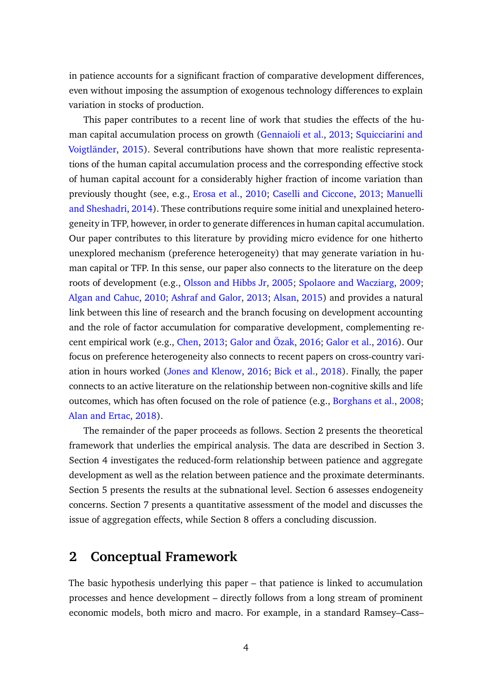in patience accounts for a significant fraction of comparative development differences, even without imposing the assumption of exogenous technology differences to explain variation in stocks of production.

This paper contributes to a recent line of work that studies the effects of the human capital accumulation process on growth [\(Gennaioli et al.,](#page-35-4) [2013;](#page-35-4) [Squicciarini and](#page-37-1) [Voigtländer,](#page-37-1) [2015\)](#page-37-1). Several contributions have shown that more realistic representations of the human capital accumulation process and the corresponding effective stock of human capital account for a considerably higher fraction of income variation than previously thought (see, e.g., [Erosa et al.,](#page-35-5) [2010;](#page-35-5) [Caselli and Ciccone,](#page-34-4) [2013;](#page-34-4) [Manuelli](#page-36-3) [and Sheshadri,](#page-36-3) [2014\)](#page-36-3). These contributions require some initial and unexplained heterogeneity in TFP, however, in order to generate differences in human capital accumulation. Our paper contributes to this literature by providing micro evidence for one hitherto unexplored mechanism (preference heterogeneity) that may generate variation in human capital or TFP. In this sense, our paper also connects to the literature on the deep roots of development (e.g., [Olsson and Hibbs Jr,](#page-36-4) [2005;](#page-36-4) [Spolaore and Wacziarg,](#page-36-5) [2009;](#page-36-5) [Algan and Cahuc,](#page-33-3) [2010;](#page-33-3) [Ashraf and Galor,](#page-33-4) [2013;](#page-33-4) [Alsan,](#page-33-5) [2015\)](#page-33-5) and provides a natural link between this line of research and the branch focusing on development accounting and the role of factor accumulation for comparative development, complementing recent empirical work (e.g., [Chen,](#page-34-1) [2013;](#page-34-1) [Galor and Özak,](#page-35-1) [2016;](#page-35-1) [Galor et al.,](#page-35-2) [2016\)](#page-35-2). Our focus on preference heterogeneity also connects to recent papers on cross-country variation in hours worked [\(Jones and Klenow,](#page-36-6) [2016;](#page-36-6) [Bick et al.,](#page-34-5) [2018\)](#page-34-5). Finally, the paper connects to an active literature on the relationship between non-cognitive skills and life outcomes, which has often focused on the role of patience (e.g., [Borghans et al.,](#page-34-6) [2008;](#page-34-6) [Alan and Ertac,](#page-33-6) [2018\)](#page-33-6).

The remainder of the paper proceeds as follows. Section [2](#page-4-0) presents the theoretical framework that underlies the empirical analysis. The data are described in Section [3.](#page-8-0) Section [4](#page-12-0) investigates the reduced-form relationship between patience and aggregate development as well as the relation between patience and the proximate determinants. Section [5](#page-17-0) presents the results at the subnational level. Section [6](#page-21-0) assesses endogeneity concerns. Section [7](#page-24-0) presents a quantitative assessment of the model and discusses the issue of aggregation effects, while Section [8](#page-31-0) offers a concluding discussion.

## <span id="page-4-0"></span>**2 Conceptual Framework**

The basic hypothesis underlying this paper – that patience is linked to accumulation processes and hence development – directly follows from a long stream of prominent economic models, both micro and macro. For example, in a standard Ramsey–Cass–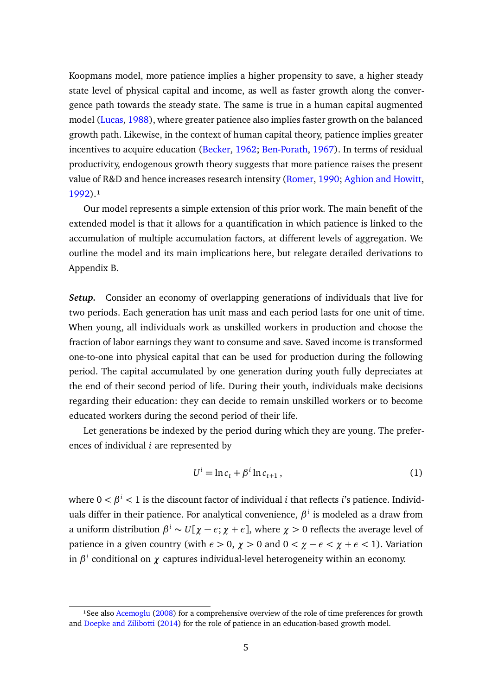Koopmans model, more patience implies a higher propensity to save, a higher steady state level of physical capital and income, as well as faster growth along the convergence path towards the steady state. The same is true in a human capital augmented model [\(Lucas,](#page-36-7) [1988\)](#page-36-7), where greater patience also implies faster growth on the balanced growth path. Likewise, in the context of human capital theory, patience implies greater incentives to acquire education [\(Becker,](#page-33-0) [1962;](#page-33-0) [Ben-Porath,](#page-33-1) [1967\)](#page-33-1). In terms of residual productivity, endogenous growth theory suggests that more patience raises the present value of R&D and hence increases research intensity [\(Romer,](#page-36-1) [1990;](#page-36-1) [Aghion and Howitt,](#page-33-2) [1992\)](#page-33-2).<sup>1</sup>

Our model represents a simple extension of this prior work. The main benefit of the extended model is that it allows for a quantification in which patience is linked to the accumulation of multiple accumulation factors, at different levels of aggregation. We outline the model and its main implications here, but relegate detailed derivations to Appendix [B.](#page-46-0)

*Setup.* Consider an economy of overlapping generations of individuals that live for two periods. Each generation has unit mass and each period lasts for one unit of time. When young, all individuals work as unskilled workers in production and choose the fraction of labor earnings they want to consume and save. Saved income is transformed one-to-one into physical capital that can be used for production during the following period. The capital accumulated by one generation during youth fully depreciates at the end of their second period of life. During their youth, individuals make decisions regarding their education: they can decide to remain unskilled workers or to become educated workers during the second period of their life.

Let generations be indexed by the period during which they are young. The preferences of individual *i* are represented by

$$
U^i = \ln c_t + \beta^i \ln c_{t+1},\tag{1}
$$

where  $0 < \beta^i < 1$  is the discount factor of individual *i* that reflects *i*'s patience. Individuals differ in their patience. For analytical convenience, *β i* is modeled as a draw from a uniform distribution  $\beta^i \sim U[\chi - \epsilon; \chi + \epsilon]$ , where  $\chi > 0$  reflects the average level of patience in a given country (with  $\epsilon > 0$ ,  $\chi > 0$  and  $0 < \chi - \epsilon < \chi + \epsilon < 1$ ). Variation in *β i* conditional on *χ* captures individual-level heterogeneity within an economy.

<sup>&</sup>lt;sup>1</sup>See also [Acemoglu](#page-33-7) [\(2008\)](#page-33-7) for a comprehensive overview of the role of time preferences for growth and [Doepke and Zilibotti](#page-34-2) [\(2014\)](#page-34-2) for the role of patience in an education-based growth model.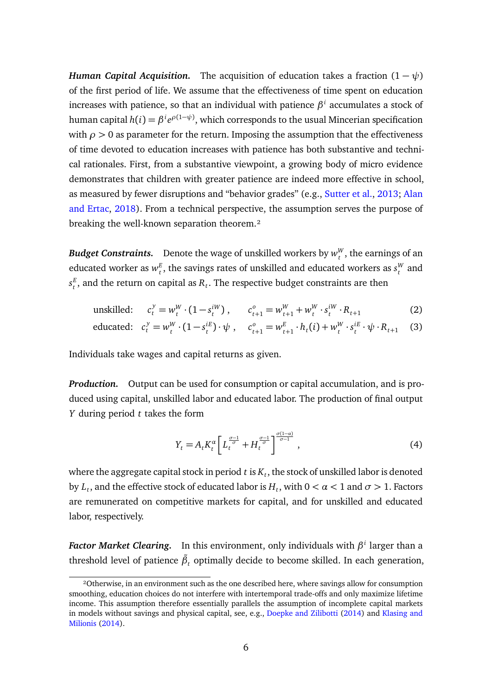*Human Capital Acquisition.* The acquisition of education takes a fraction  $(1 - \psi)$ of the first period of life. We assume that the effectiveness of time spent on education increases with patience, so that an individual with patience *β i* accumulates a stock of human capital  $h(i) = \beta^i e^{\rho(1-\psi)},$  which corresponds to the usual Mincerian specification with  $\rho > 0$  as parameter for the return. Imposing the assumption that the effectiveness of time devoted to education increases with patience has both substantive and technical rationales. First, from a substantive viewpoint, a growing body of micro evidence demonstrates that children with greater patience are indeed more effective in school, as measured by fewer disruptions and "behavior grades" (e.g., [Sutter et al.,](#page-37-2) [2013;](#page-37-2) [Alan](#page-33-6) [and Ertac,](#page-33-6) [2018\)](#page-33-6). From a technical perspective, the assumption serves the purpose of breaking the well-known separation theorem.<sup>2</sup>

*Budget Constraints.* Denote the wage of unskilled workers by  $w_t^W$  $t<sub>t</sub><sup>W</sup>$ , the earnings of an educated worker as *w E*  $\mathbf{f}_t^E$ , the savings rates of unskilled and educated workers as  $\mathbf{s}_t^W$  $_t^W$  and  $s_{t}^E$  $t_t^E$ , and the return on capital as  $R_t$ . The respective budget constraints are then

unskilled: 
$$
c_t^y = w_t^W \cdot (1 - s_t^{iW})
$$
,  $c_{t+1}^o = w_{t+1}^W + w_t^W \cdot s_t^{iW} \cdot R_{t+1}$  (2)

$$
\text{educated:} \quad c_t^y = w_t^W \cdot (1 - s_t^{iE}) \cdot \psi \,, \quad c_{t+1}^o = w_{t+1}^E \cdot h_t(i) + w_t^W \cdot s_t^{iE} \cdot \psi \cdot R_{t+1} \tag{3}
$$

Individuals take wages and capital returns as given.

*Production.* Output can be used for consumption or capital accumulation, and is produced using capital, unskilled labor and educated labor. The production of final output *Y* during period *t* takes the form

$$
Y_t = A_t K_t^{\alpha} \left[ L_t^{\frac{\sigma - 1}{\sigma}} + H_t^{\frac{\sigma - 1}{\sigma}} \right]^{\frac{\sigma(1 - \alpha)}{\sigma - 1}}, \tag{4}
$$

where the aggregate capital stock in period  $t$  is  $K_t,$  the stock of unskilled labor is denoted by  $L_t$ , and the effective stock of educated labor is  $H_t$ , with  $0 < \alpha < 1$  and  $\sigma > 1.$  Factors are remunerated on competitive markets for capital, and for unskilled and educated labor, respectively.

*Factor Market Clearing.* In this environment, only individuals with *β i* larger than a threshold level of patience  $\tilde{\beta}_t$  optimally decide to become skilled. In each generation,

²Otherwise, in an environment such as the one described here, where savings allow for consumption smoothing, education choices do not interfere with intertemporal trade-offs and only maximize lifetime income. This assumption therefore essentially parallels the assumption of incomplete capital markets in models without savings and physical capital, see, e.g., [Doepke and Zilibotti](#page-34-2) [\(2014\)](#page-34-2) and [Klasing and](#page-36-8) [Milionis](#page-36-8) [\(2014\)](#page-36-8).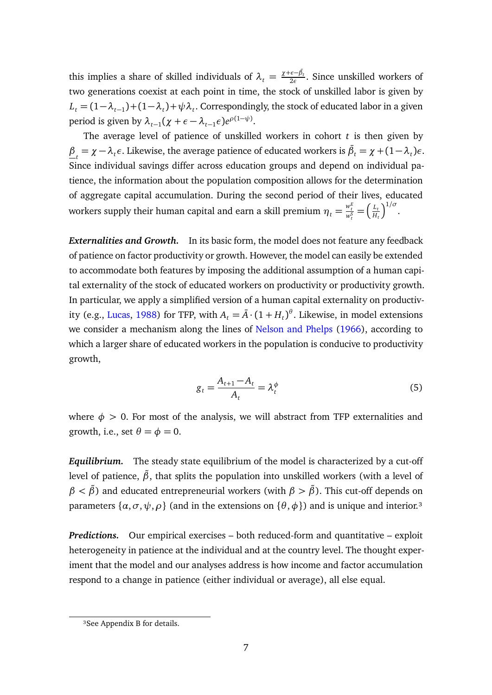this implies a share of skilled individuals of  $\lambda_t = \frac{\chi + \varepsilon - \tilde{\beta}_t}{2\varepsilon}$ . Since unskilled workers of two generations coexist at each point in time, the stock of unskilled labor is given by  $L_t = (1 - \lambda_{t-1}) + (1 - \lambda_t) + \psi \lambda_t$ . Correspondingly, the stock of educated labor in a given period is given by  $\lambda_{t-1}(\chi + \epsilon - \lambda_{t-1}\epsilon)e^{\rho(1-\psi)}$ .

The average level of patience of unskilled workers in cohort *t* is then given by *β*<sub>*t*</sub> = *χ* −*λt*</sub>*ε*. Likewise, the average patience of educated workers is  $\bar{\beta}_t = \chi + (1 - \lambda_t)\epsilon$ . Since individual savings differ across education groups and depend on individual patience, the information about the population composition allows for the determination of aggregate capital accumulation. During the second period of their lives, educated workers supply their human capital and earn a skill premium  $\eta_t = \frac{w_t^E}{w_t^S} = \left(\frac{L_t}{H_t}\right)$ *Ht*  $\int^{1/\sigma}$ .

*Externalities and Growth.* In its basic form, the model does not feature any feedback of patience on factor productivity or growth. However, the model can easily be extended to accommodate both features by imposing the additional assumption of a human capital externality of the stock of educated workers on productivity or productivity growth. In particular, we apply a simplified version of a human capital externality on productiv-ity (e.g., [Lucas,](#page-36-7) [1988\)](#page-36-7) for TFP, with  $A_t = \bar{A} \cdot (1 + H_t)^{\theta}$ . Likewise, in model extensions we consider a mechanism along the lines of [Nelson and Phelps](#page-36-9) [\(1966\)](#page-36-9), according to which a larger share of educated workers in the population is conducive to productivity growth,

$$
g_t = \frac{A_{t+1} - A_t}{A_t} = \lambda_t^{\phi}
$$
\n<sup>(5)</sup>

where  $\phi > 0$ . For most of the analysis, we will abstract from TFP externalities and growth, i.e., set  $\theta = \phi = 0$ .

*Equilibrium.* The steady state equilibrium of the model is characterized by a cut-off level of patience,  $\tilde{\beta}$ , that splits the population into unskilled workers (with a level of  $\beta < \tilde{\beta}$ ) and educated entrepreneurial workers (with  $\beta > \tilde{\beta}$ ). This cut-off depends on parameters  $\{\alpha, \sigma, \psi, \rho\}$  (and in the extensions on  $\{\theta, \phi\}$ ) and is unique and interior.<sup>3</sup>

*Predictions.* Our empirical exercises – both reduced-form and quantitative – exploit heterogeneity in patience at the individual and at the country level. The thought experiment that the model and our analyses address is how income and factor accumulation respond to a change in patience (either individual or average), all else equal.

<sup>&</sup>lt;sup>3</sup>See Appendix [B](#page-46-0) for details.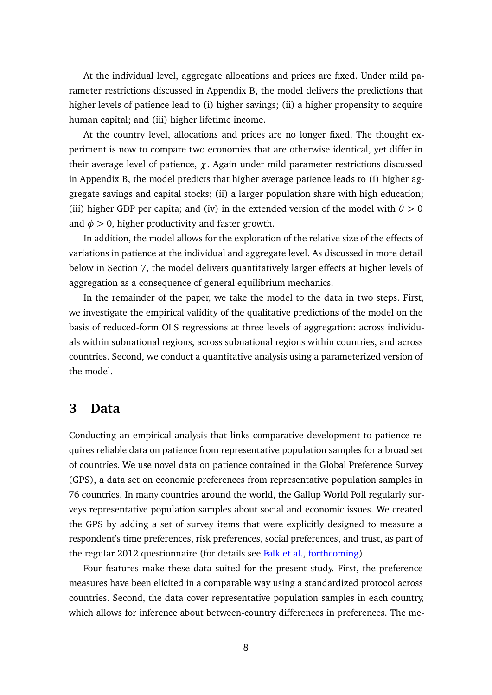At the individual level, aggregate allocations and prices are fixed. Under mild parameter restrictions discussed in Appendix [B,](#page-46-0) the model delivers the predictions that higher levels of patience lead to (i) higher savings; (ii) a higher propensity to acquire human capital; and (iii) higher lifetime income.

At the country level, allocations and prices are no longer fixed. The thought experiment is now to compare two economies that are otherwise identical, yet differ in their average level of patience, *χ*. Again under mild parameter restrictions discussed in Appendix [B,](#page-46-0) the model predicts that higher average patience leads to (i) higher aggregate savings and capital stocks; (ii) a larger population share with high education; (iii) higher GDP per capita; and (iv) in the extended version of the model with  $\theta > 0$ and  $\phi > 0$ , higher productivity and faster growth.

In addition, the model allows for the exploration of the relative size of the effects of variations in patience at the individual and aggregate level. As discussed in more detail below in Section [7,](#page-24-0) the model delivers quantitatively larger effects at higher levels of aggregation as a consequence of general equilibrium mechanics.

In the remainder of the paper, we take the model to the data in two steps. First, we investigate the empirical validity of the qualitative predictions of the model on the basis of reduced-form OLS regressions at three levels of aggregation: across individuals within subnational regions, across subnational regions within countries, and across countries. Second, we conduct a quantitative analysis using a parameterized version of the model.

### <span id="page-8-0"></span>**3 Data**

Conducting an empirical analysis that links comparative development to patience requires reliable data on patience from representative population samples for a broad set of countries. We use novel data on patience contained in the Global Preference Survey (GPS), a data set on economic preferences from representative population samples in 76 countries. In many countries around the world, the Gallup World Poll regularly surveys representative population samples about social and economic issues. We created the GPS by adding a set of survey items that were explicitly designed to measure a respondent's time preferences, risk preferences, social preferences, and trust, as part of the regular 2012 questionnaire (for details see [Falk et al.,](#page-35-3) [forthcoming\)](#page-35-3).

Four features make these data suited for the present study. First, the preference measures have been elicited in a comparable way using a standardized protocol across countries. Second, the data cover representative population samples in each country, which allows for inference about between-country differences in preferences. The me-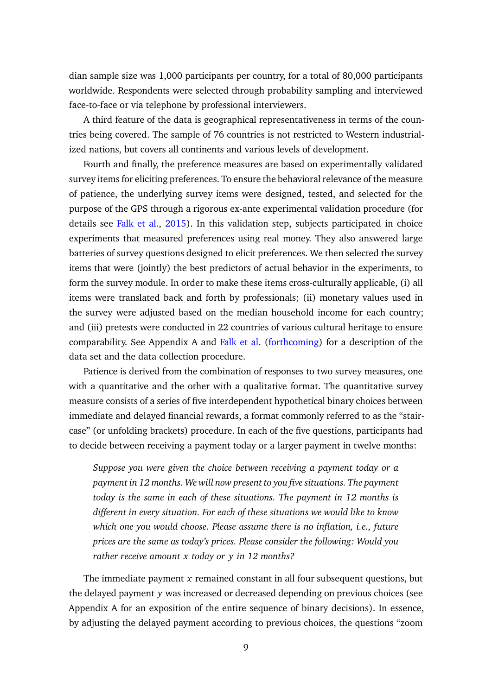dian sample size was 1,000 participants per country, for a total of 80,000 participants worldwide. Respondents were selected through probability sampling and interviewed face-to-face or via telephone by professional interviewers.

A third feature of the data is geographical representativeness in terms of the countries being covered. The sample of 76 countries is not restricted to Western industrialized nations, but covers all continents and various levels of development.

Fourth and finally, the preference measures are based on experimentally validated survey items for eliciting preferences. To ensure the behavioral relevance of the measure of patience, the underlying survey items were designed, tested, and selected for the purpose of the GPS through a rigorous ex-ante experimental validation procedure (for details see [Falk et al.,](#page-35-6) [2015\)](#page-35-6). In this validation step, subjects participated in choice experiments that measured preferences using real money. They also answered large batteries of survey questions designed to elicit preferences. We then selected the survey items that were (jointly) the best predictors of actual behavior in the experiments, to form the survey module. In order to make these items cross-culturally applicable, (i) all items were translated back and forth by professionals; (ii) monetary values used in the survey were adjusted based on the median household income for each country; and (iii) pretests were conducted in 22 countries of various cultural heritage to ensure comparability. See Appendix [A](#page-38-0) and [Falk et al.](#page-35-3) [\(forthcoming\)](#page-35-3) for a description of the data set and the data collection procedure.

Patience is derived from the combination of responses to two survey measures, one with a quantitative and the other with a qualitative format. The quantitative survey measure consists of a series of five interdependent hypothetical binary choices between immediate and delayed financial rewards, a format commonly referred to as the "staircase" (or unfolding brackets) procedure. In each of the five questions, participants had to decide between receiving a payment today or a larger payment in twelve months:

*Suppose you were given the choice between receiving a payment today or a payment in 12 months. We will now present to you five situations. The payment today is the same in each of these situations. The payment in 12 months is different in every situation. For each of these situations we would like to know which one you would choose. Please assume there is no inflation, i.e., future prices are the same as today's prices. Please consider the following: Would you rather receive amount x today or y in 12 months?*

The immediate payment *x* remained constant in all four subsequent questions, but the delayed payment *y* was increased or decreased depending on previous choices (see Appendix [A](#page-38-0) for an exposition of the entire sequence of binary decisions). In essence, by adjusting the delayed payment according to previous choices, the questions "zoom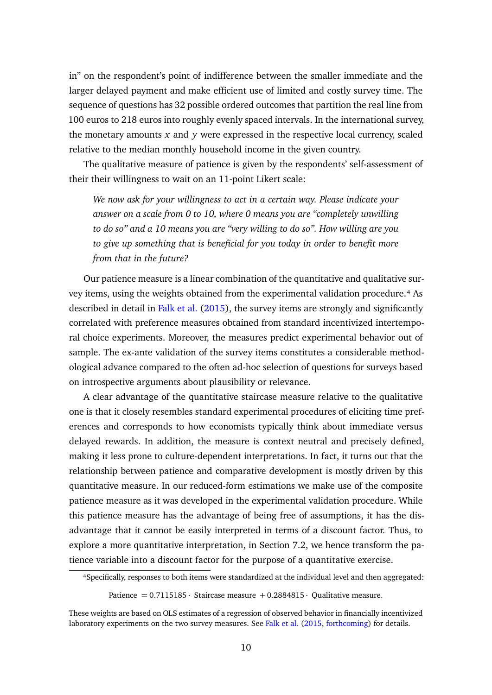in" on the respondent's point of indifference between the smaller immediate and the larger delayed payment and make efficient use of limited and costly survey time. The sequence of questions has 32 possible ordered outcomes that partition the real line from 100 euros to 218 euros into roughly evenly spaced intervals. In the international survey, the monetary amounts *x* and *y* were expressed in the respective local currency, scaled relative to the median monthly household income in the given country.

The qualitative measure of patience is given by the respondents' self-assessment of their their willingness to wait on an 11-point Likert scale:

*We now ask for your willingness to act in a certain way. Please indicate your answer on a scale from 0 to 10, where 0 means you are "completely unwilling to do so" and a 10 means you are "very willing to do so". How willing are you to give up something that is beneficial for you today in order to benefit more from that in the future?*

Our patience measure is a linear combination of the quantitative and qualitative survey items, using the weights obtained from the experimental validation procedure.<sup>4</sup> As described in detail in [Falk et al.](#page-35-6) [\(2015\)](#page-35-6), the survey items are strongly and significantly correlated with preference measures obtained from standard incentivized intertemporal choice experiments. Moreover, the measures predict experimental behavior out of sample. The ex-ante validation of the survey items constitutes a considerable methodological advance compared to the often ad-hoc selection of questions for surveys based on introspective arguments about plausibility or relevance.

A clear advantage of the quantitative staircase measure relative to the qualitative one is that it closely resembles standard experimental procedures of eliciting time preferences and corresponds to how economists typically think about immediate versus delayed rewards. In addition, the measure is context neutral and precisely defined, making it less prone to culture-dependent interpretations. In fact, it turns out that the relationship between patience and comparative development is mostly driven by this quantitative measure. In our reduced-form estimations we make use of the composite patience measure as it was developed in the experimental validation procedure. While this patience measure has the advantage of being free of assumptions, it has the disadvantage that it cannot be easily interpreted in terms of a discount factor. Thus, to explore a more quantitative interpretation, in Section [7.2,](#page-26-0) we hence transform the patience variable into a discount factor for the purpose of a quantitative exercise.

⁴Specifically, responses to both items were standardized at the individual level and then aggregated:

Patience  $= 0.7115185 \cdot$  Staircase measure  $+ 0.2884815 \cdot$  Oualitative measure.

These weights are based on OLS estimates of a regression of observed behavior in financially incentivized laboratory experiments on the two survey measures. See [Falk et al.](#page-35-6) [\(2015,](#page-35-6) [forthcoming\)](#page-35-3) for details.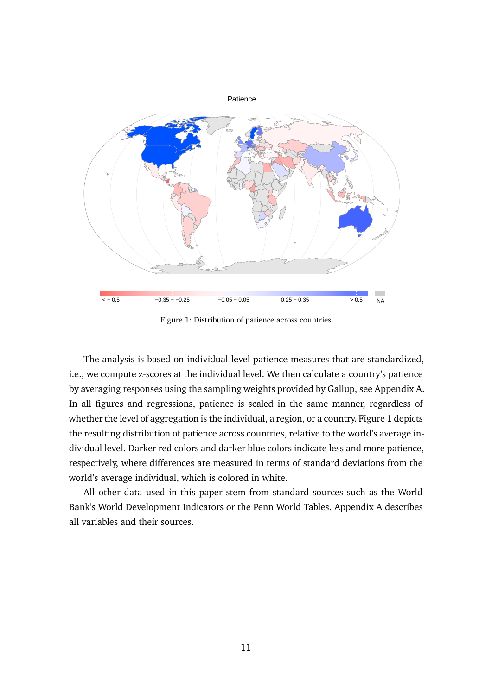<span id="page-11-0"></span>

Figure 1: Distribution of patience across countries

The analysis is based on individual-level patience measures that are standardized, i.e., we compute z-scores at the individual level. We then calculate a country's patience by averaging responses using the sampling weights provided by Gallup, see Appendix [A.](#page-38-0) In all figures and regressions, patience is scaled in the same manner, regardless of whether the level of aggregation is the individual, a region, or a country. Figure [1](#page-11-0) depicts the resulting distribution of patience across countries, relative to the world's average individual level. Darker red colors and darker blue colors indicate less and more patience, respectively, where differences are measured in terms of standard deviations from the world's average individual, which is colored in white.

All other data used in this paper stem from standard sources such as the World Bank's World Development Indicators or the Penn World Tables. Appendix [A](#page-38-0) describes all variables and their sources.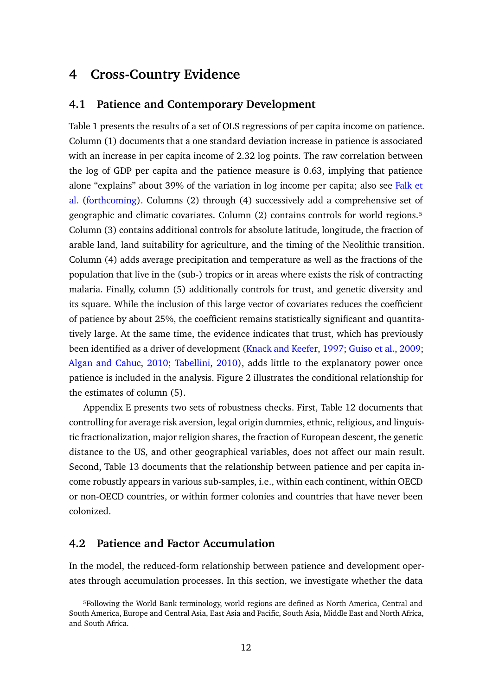## <span id="page-12-0"></span>**4 Cross-Country Evidence**

### **4.1 Patience and Contemporary Development**

Table [1](#page-13-0) presents the results of a set of OLS regressions of per capita income on patience. Column (1) documents that a one standard deviation increase in patience is associated with an increase in per capita income of 2.32 log points. The raw correlation between the log of GDP per capita and the patience measure is 0.63, implying that patience alone "explains" about 39% of the variation in log income per capita; also see [Falk et](#page-35-3) [al.](#page-35-3) [\(forthcoming\)](#page-35-3). Columns (2) through (4) successively add a comprehensive set of geographic and climatic covariates. Column (2) contains controls for world regions.<sup>5</sup> Column (3) contains additional controls for absolute latitude, longitude, the fraction of arable land, land suitability for agriculture, and the timing of the Neolithic transition. Column (4) adds average precipitation and temperature as well as the fractions of the population that live in the (sub-) tropics or in areas where exists the risk of contracting malaria. Finally, column (5) additionally controls for trust, and genetic diversity and its square. While the inclusion of this large vector of covariates reduces the coefficient of patience by about 25%, the coefficient remains statistically significant and quantitatively large. At the same time, the evidence indicates that trust, which has previously been identified as a driver of development [\(Knack and Keefer,](#page-36-10) [1997;](#page-36-10) [Guiso et al.,](#page-35-7) [2009;](#page-35-7) [Algan and Cahuc,](#page-33-3) [2010;](#page-33-3) [Tabellini,](#page-37-3) [2010\)](#page-37-3), adds little to the explanatory power once patience is included in the analysis. Figure [2](#page-14-0) illustrates the conditional relationship for the estimates of column (5).

Appendix [E](#page-60-0) presents two sets of robustness checks. First, Table [12](#page-60-1) documents that controlling for average risk aversion, legal origin dummies, ethnic, religious, and linguistic fractionalization, major religion shares, the fraction of European descent, the genetic distance to the US, and other geographical variables, does not affect our main result. Second, Table [13](#page-61-0) documents that the relationship between patience and per capita income robustly appears in various sub-samples, i.e., within each continent, within OECD or non-OECD countries, or within former colonies and countries that have never been colonized.

#### **4.2 Patience and Factor Accumulation**

In the model, the reduced-form relationship between patience and development operates through accumulation processes. In this section, we investigate whether the data

⁵Following the World Bank terminology, world regions are defined as North America, Central and South America, Europe and Central Asia, East Asia and Pacific, South Asia, Middle East and North Africa, and South Africa.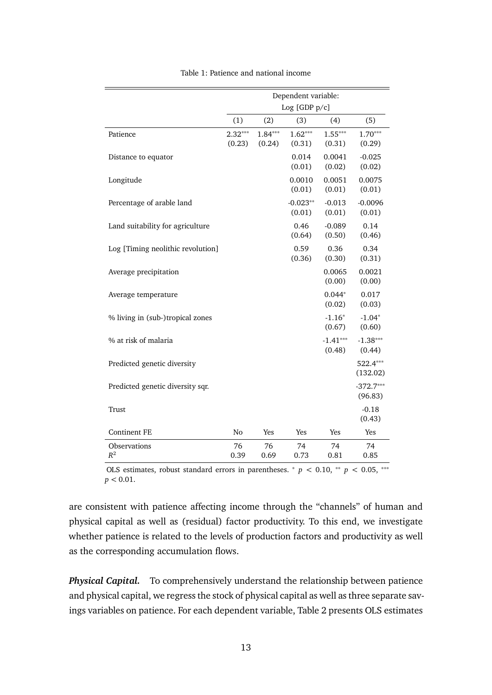<span id="page-13-0"></span>

|                                   |                     |                     | Dependent variable:  |                      |                        |
|-----------------------------------|---------------------|---------------------|----------------------|----------------------|------------------------|
|                                   |                     |                     | Log [GDP p/c]        |                      |                        |
|                                   | (1)                 | (2)                 | (3)                  | (4)                  | (5)                    |
| Patience                          | $2.32***$<br>(0.23) | $1.84***$<br>(0.24) | $1.62***$<br>(0.31)  | $1.55***$<br>(0.31)  | $1.70***$<br>(0.29)    |
| Distance to equator               |                     |                     | 0.014<br>(0.01)      | 0.0041<br>(0.02)     | $-0.025$<br>(0.02)     |
| Longitude                         |                     |                     | 0.0010<br>(0.01)     | 0.0051<br>(0.01)     | 0.0075<br>(0.01)       |
| Percentage of arable land         |                     |                     | $-0.023**$<br>(0.01) | $-0.013$<br>(0.01)   | $-0.0096$<br>(0.01)    |
| Land suitability for agriculture  |                     |                     | 0.46<br>(0.64)       | $-0.089$<br>(0.50)   | 0.14<br>(0.46)         |
| Log [Timing neolithic revolution] |                     |                     | 0.59<br>(0.36)       | 0.36<br>(0.30)       | 0.34<br>(0.31)         |
| Average precipitation             |                     |                     |                      | 0.0065<br>(0.00)     | 0.0021<br>(0.00)       |
| Average temperature               |                     |                     |                      | $0.044*$<br>(0.02)   | 0.017<br>(0.03)        |
| % living in (sub-)tropical zones  |                     |                     |                      | $-1.16*$<br>(0.67)   | $-1.04*$<br>(0.60)     |
| % at risk of malaria              |                     |                     |                      | $-1.41***$<br>(0.48) | $-1.38***$<br>(0.44)   |
| Predicted genetic diversity       |                     |                     |                      |                      | 522.4***<br>(132.02)   |
| Predicted genetic diversity sqr.  |                     |                     |                      |                      | $-372.7***$<br>(96.83) |
| Trust                             |                     |                     |                      |                      | $-0.18$<br>(0.43)      |
| <b>Continent FE</b>               | N <sub>o</sub>      | Yes                 | Yes                  | Yes                  | Yes                    |
| Observations<br>$R^2$             | 76<br>0.39          | 76<br>0.69          | 74<br>0.73           | 74<br>0.81           | 74<br>0.85             |

| Table 1: Patience and national income |  |  |  |
|---------------------------------------|--|--|--|
|---------------------------------------|--|--|--|

OLS estimates, robust standard errors in parentheses.  $*$   $p$  < 0.10,  $*$   $p$  < 0.05,  $**$  $p < 0.01$ .

are consistent with patience affecting income through the "channels" of human and physical capital as well as (residual) factor productivity. To this end, we investigate whether patience is related to the levels of production factors and productivity as well as the corresponding accumulation flows.

*Physical Capital.* To comprehensively understand the relationship between patience and physical capital, we regress the stock of physical capital as well as three separate savings variables on patience. For each dependent variable, Table [2](#page-15-0) presents OLS estimates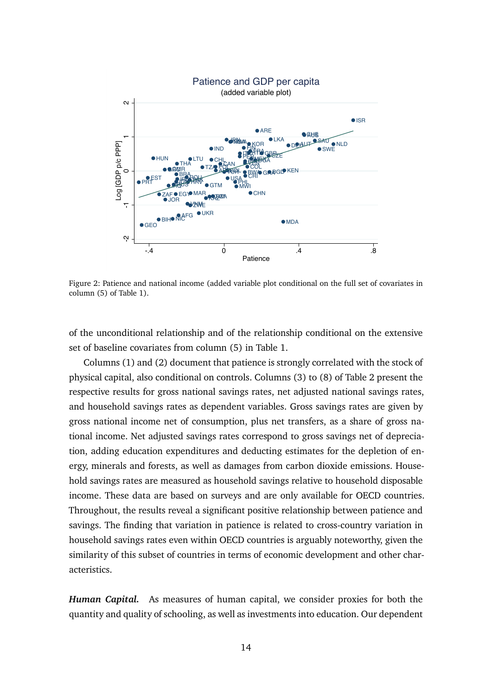<span id="page-14-0"></span>

Figure 2: Patience and national income (added variable plot conditional on the full set of covariates in column (5) of Table [1\)](#page-13-0).

of the unconditional relationship and of the relationship conditional on the extensive set of baseline covariates from column (5) in Table [1.](#page-13-0)

Columns (1) and (2) document that patience is strongly correlated with the stock of physical capital, also conditional on controls. Columns (3) to (8) of Table [2](#page-15-0) present the respective results for gross national savings rates, net adjusted national savings rates, and household savings rates as dependent variables. Gross savings rates are given by gross national income net of consumption, plus net transfers, as a share of gross national income. Net adjusted savings rates correspond to gross savings net of depreciation, adding education expenditures and deducting estimates for the depletion of energy, minerals and forests, as well as damages from carbon dioxide emissions. Household savings rates are measured as household savings relative to household disposable income. These data are based on surveys and are only available for OECD countries. Throughout, the results reveal a significant positive relationship between patience and savings. The finding that variation in patience is related to cross-country variation in household savings rates even within OECD countries is arguably noteworthy, given the similarity of this subset of countries in terms of economic development and other characteristics.

*Human Capital.* As measures of human capital, we consider proxies for both the quantity and quality of schooling, as well as investments into education. Our dependent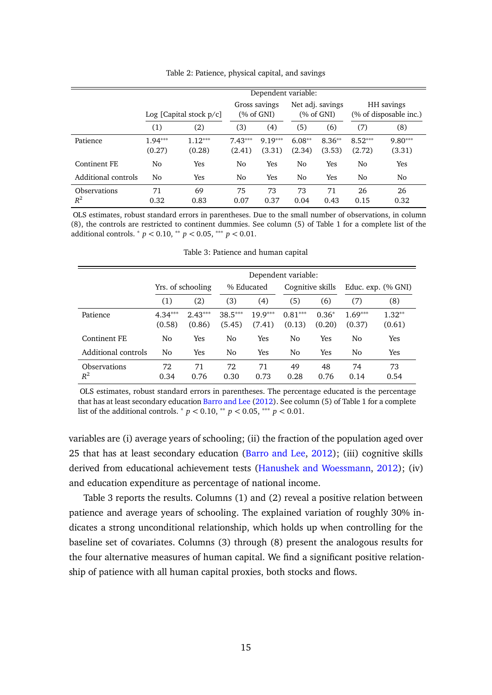<span id="page-15-0"></span>

|                              |                     |                            |                     | Dependent variable:                    |                    |                                   |                     |                                      |
|------------------------------|---------------------|----------------------------|---------------------|----------------------------------------|--------------------|-----------------------------------|---------------------|--------------------------------------|
|                              |                     | Log [Capital stock $p/c$ ] |                     | Gross savings<br>$(\% \text{ of GNI})$ |                    | Net adj. savings<br>$(\%$ of GNI) |                     | HH savings<br>(% of disposable inc.) |
|                              | (1)                 | (2)                        | (3)                 | (4)                                    | (5)                | (6)                               | (7)                 | (8)                                  |
| Patience                     | $1.94***$<br>(0.27) | $1.12***$<br>(0.28)        | $7.43***$<br>(2.41) | $9.19***$<br>(3.31)                    | $6.08**$<br>(2.34) | $8.36**$<br>(3.53)                | $8.52***$<br>(2.72) | $9.80***$<br>(3.31)                  |
| Continent FE                 | No                  | Yes                        | No                  | Yes                                    | No                 | Yes                               | No                  | Yes                                  |
| Additional controls          | No                  | Yes                        | No                  | Yes                                    | No                 | Yes                               | No                  | No                                   |
| <b>Observations</b><br>$R^2$ | 71<br>0.32          | 69<br>0.83                 | 75<br>0.07          | 73<br>0.37                             | 73<br>0.04         | 71<br>0.43                        | 26<br>0.15          | 26<br>0.32                           |

Table 2: Patience, physical capital, and savings

OLS estimates, robust standard errors in parentheses. Due to the small number of observations, in column (8), the controls are restricted to continent dummies. See column (5) of Table [1](#page-13-0) for a complete list of the additional controls. <sup>∗</sup> *p <* 0.10, ∗∗ *p <* 0.05, ∗∗∗ *p <* 0.01.

<span id="page-15-1"></span>

|                              |                     |                     |                     |                     | Dependent variable: |                   |                     |                    |
|------------------------------|---------------------|---------------------|---------------------|---------------------|---------------------|-------------------|---------------------|--------------------|
|                              |                     | Yrs. of schooling   |                     | % Educated          | Cognitive skills    |                   |                     | Educ. exp. (% GNI) |
|                              | (1)                 | (2)                 | (3)                 | (4)                 | (5)                 | (6)               | (7)                 | (8)                |
| Patience                     | $4.34***$<br>(0.58) | $2.43***$<br>(0.86) | $38.5***$<br>(5.45) | $19.9***$<br>(7.41) | $0.81***$<br>(0.13) | $0.36*$<br>(0.20) | $1.69***$<br>(0.37) | $1.32**$<br>(0.61) |
| <b>Continent FE</b>          | No                  | Yes                 | No                  | Yes                 | No                  | Yes               | N <sub>0</sub>      | Yes                |
| Additional controls          | No.                 | <b>Yes</b>          | No                  | Yes                 | N <sub>0</sub>      | Yes               | No                  | Yes                |
| <b>Observations</b><br>$R^2$ | 72<br>0.34          | 71<br>0.76          | 72<br>0.30          | 71<br>0.73          | 49<br>0.28          | 48<br>0.76        | 74<br>0.14          | 73<br>0.54         |

Table 3: Patience and human capital

OLS estimates, robust standard errors in parentheses. The percentage educated is the percentage that has at least secondary education [Barro and Lee](#page-33-8) [\(2012\)](#page-33-8). See column (5) of Table [1](#page-13-0) for a complete list of the additional controls.  $* p < 0.10, ** p < 0.05, ** p < 0.01$ .

variables are (i) average years of schooling; (ii) the fraction of the population aged over 25 that has at least secondary education [\(Barro and Lee,](#page-33-8) [2012\)](#page-33-8); (iii) cognitive skills derived from educational achievement tests [\(Hanushek and Woessmann,](#page-35-8) [2012\)](#page-35-8); (iv) and education expenditure as percentage of national income.

Table [3](#page-15-1) reports the results. Columns (1) and (2) reveal a positive relation between patience and average years of schooling. The explained variation of roughly 30% indicates a strong unconditional relationship, which holds up when controlling for the baseline set of covariates. Columns (3) through (8) present the analogous results for the four alternative measures of human capital. We find a significant positive relationship of patience with all human capital proxies, both stocks and flows.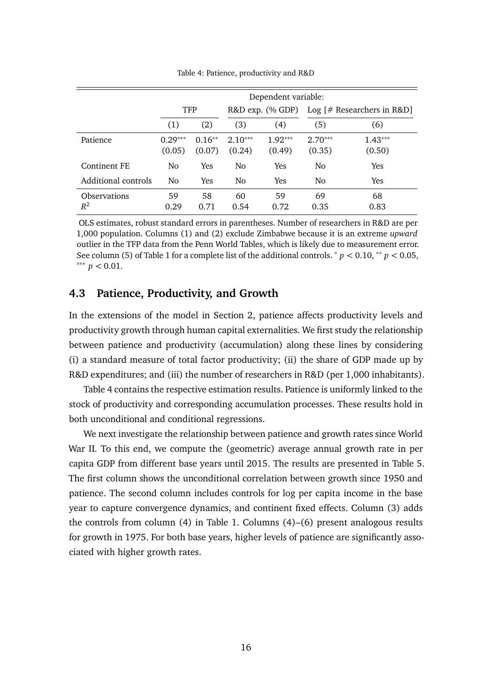<span id="page-16-0"></span>

|                              |                     |                    |                     | Dependent variable: |                     |                              |
|------------------------------|---------------------|--------------------|---------------------|---------------------|---------------------|------------------------------|
|                              | <b>TFP</b>          |                    |                     | R&D exp. (% GDP)    |                     | Log $[#$ Researchers in R&D] |
|                              | (1)                 | (2)                | (3)                 | (4)                 | (5)                 | (6)                          |
| Patience                     | $0.29***$<br>(0.05) | $0.16**$<br>(0.07) | $2.10***$<br>(0.24) | $1.92***$<br>(0.49) | $2.70***$<br>(0.35) | $1.43***$<br>(0.50)          |
| Continent FE                 | No                  | <b>Yes</b>         | No.                 | Yes                 | No                  | Yes                          |
| Additional controls          | N <sub>0</sub>      | <b>Yes</b>         | N <sub>0</sub>      | Yes                 | No                  | <b>Yes</b>                   |
| <b>Observations</b><br>$R^2$ | 59<br>0.29          | 58<br>0.71         | 60<br>0.54          | 59<br>0.72          | 69<br>0.35          | 68<br>0.83                   |

Table 4: Patience, productivity and R&D

OLS estimates, robust standard errors in parentheses. Number of researchers in R&D are per 1,000 population. Columns (1) and (2) exclude Zimbabwe because it is an extreme *upward* outlier in the TFP data from the Penn World Tables, which is likely due to measurement error. See column (5) of Table [1](#page-13-0) for a complete list of the additional controls. <sup>∗</sup> *p <* 0.10, ∗∗ *p <* 0.05, ∗∗∗ *p <* 0.01.

### **4.3 Patience, Productivity, and Growth**

In the extensions of the model in Section [2,](#page-4-0) patience affects productivity levels and productivity growth through human capital externalities. We first study the relationship between patience and productivity (accumulation) along these lines by considering (i) a standard measure of total factor productivity; (ii) the share of GDP made up by R&D expenditures; and (iii) the number of researchers in R&D (per 1,000 inhabitants).

Table [4](#page-16-0) contains the respective estimation results. Patience is uniformly linked to the stock of productivity and corresponding accumulation processes. These results hold in both unconditional and conditional regressions.

We next investigate the relationship between patience and growth rates since World War II. To this end, we compute the (geometric) average annual growth rate in per capita GDP from different base years until 2015. The results are presented in Table [5.](#page-17-1) The first column shows the unconditional correlation between growth since 1950 and patience. The second column includes controls for log per capita income in the base year to capture convergence dynamics, and continent fixed effects. Column (3) adds the controls from column (4) in Table [1.](#page-13-0) Columns (4)–(6) present analogous results for growth in 1975. For both base years, higher levels of patience are significantly associated with higher growth rates.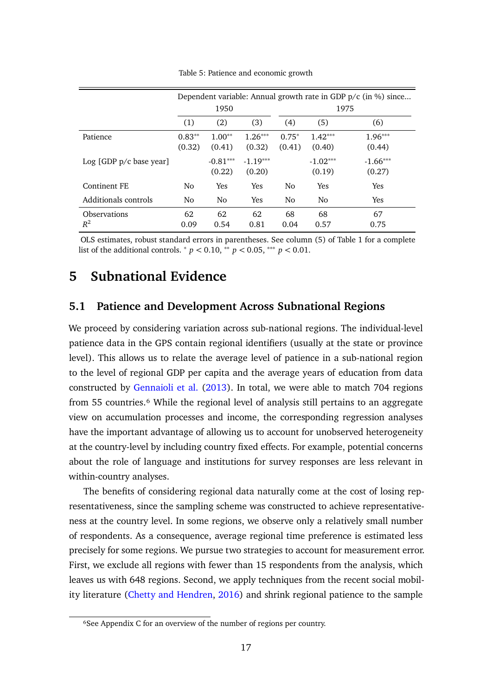<span id="page-17-1"></span>

|                              |                    |                      |                      |                   |                      | Dependent variable: Annual growth rate in GDP $p/c$ (in %) since |
|------------------------------|--------------------|----------------------|----------------------|-------------------|----------------------|------------------------------------------------------------------|
|                              |                    | 1950                 |                      |                   |                      | 1975                                                             |
|                              | (1)                | (2)                  | (3)                  | (4)               | (5)                  | (6)                                                              |
| Patience                     | $0.83**$<br>(0.32) | $1.00**$<br>(0.41)   | $1.26***$<br>(0.32)  | $0.75*$<br>(0.41) | $1.42***$<br>(0.40)  | $1.96***$<br>(0.44)                                              |
| Log [GDP p/c base year]      |                    | $-0.81***$<br>(0.22) | $-1.19***$<br>(0.20) |                   | $-1.02***$<br>(0.19) | $-1.66***$<br>(0.27)                                             |
| Continent FE                 | No.                | Yes                  | Yes                  | No                | Yes                  | <b>Yes</b>                                                       |
| Additionals controls         | N <sub>0</sub>     | N <sub>0</sub>       | Yes                  | No                | No.                  | <b>Yes</b>                                                       |
| <b>Observations</b><br>$R^2$ | 62<br>0.09         | 62<br>0.54           | 62<br>0.81           | 68<br>0.04        | 68<br>0.57           | 67<br>0.75                                                       |

Table 5: Patience and economic growth

OLS estimates, robust standard errors in parentheses. See column (5) of Table [1](#page-13-0) for a complete list of the additional controls.  ${}^{*}p < 0.10, {}^{*}p < 0.05, {}^{***}p < 0.01$ .

## <span id="page-17-0"></span>**5 Subnational Evidence**

#### **5.1 Patience and Development Across Subnational Regions**

We proceed by considering variation across sub-national regions. The individual-level patience data in the GPS contain regional identifiers (usually at the state or province level). This allows us to relate the average level of patience in a sub-national region to the level of regional GDP per capita and the average years of education from data constructed by [Gennaioli et al.](#page-35-4) [\(2013\)](#page-35-4). In total, we were able to match 704 regions from 55 countries.<sup>6</sup> While the regional level of analysis still pertains to an aggregate view on accumulation processes and income, the corresponding regression analyses have the important advantage of allowing us to account for unobserved heterogeneity at the country-level by including country fixed effects. For example, potential concerns about the role of language and institutions for survey responses are less relevant in within-country analyses.

The benefits of considering regional data naturally come at the cost of losing representativeness, since the sampling scheme was constructed to achieve representativeness at the country level. In some regions, we observe only a relatively small number of respondents. As a consequence, average regional time preference is estimated less precisely for some regions. We pursue two strategies to account for measurement error. First, we exclude all regions with fewer than 15 respondents from the analysis, which leaves us with 648 regions. Second, we apply techniques from the recent social mobility literature [\(Chetty and Hendren,](#page-34-7) [2016\)](#page-34-7) and shrink regional patience to the sample

⁶See Appendix [C](#page-56-0) for an overview of the number of regions per country.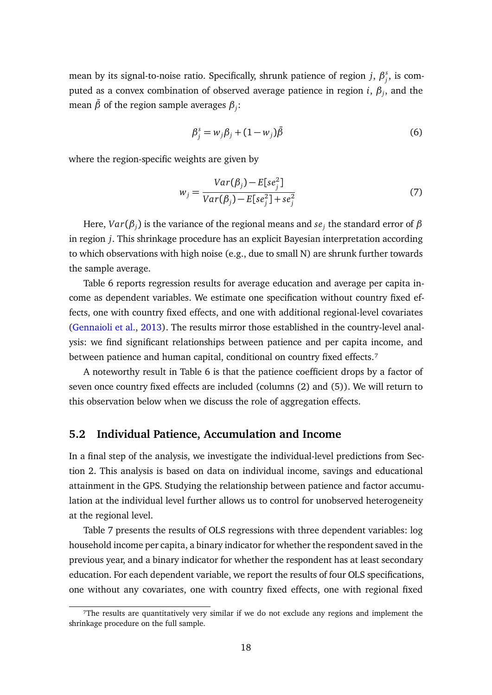mean by its signal-to-noise ratio. Specifically, shrunk patience of region *j*, *β s*  $_j^s$ , is computed as a convex combination of observed average patience in region *i*, *β<sup>j</sup>* , and the mean  $\bar{\beta}$  of the region sample averages  $\beta_j$ :

<span id="page-18-0"></span>
$$
\beta_j^s = w_j \beta_j + (1 - w_j) \bar{\beta} \tag{6}
$$

where the region-specific weights are given by

$$
w_j = \frac{Var(\beta_j) - E[se_j^2]}{Var(\beta_j) - E[se_j^2] + se_j^2}
$$
\n<sup>(7)</sup>

Here, *Var*(*β<sup>j</sup>* ) is the variance of the regional means and *se<sup>j</sup>* the standard error of *β* in region *j*. This shrinkage procedure has an explicit Bayesian interpretation according to which observations with high noise (e.g., due to small N) are shrunk further towards the sample average.

Table [6](#page-19-0) reports regression results for average education and average per capita income as dependent variables. We estimate one specification without country fixed effects, one with country fixed effects, and one with additional regional-level covariates [\(Gennaioli et al.,](#page-35-4) [2013\)](#page-35-4). The results mirror those established in the country-level analysis: we find significant relationships between patience and per capita income, and between patience and human capital, conditional on country fixed effects.<sup>7</sup>

A noteworthy result in Table [6](#page-19-0) is that the patience coefficient drops by a factor of seven once country fixed effects are included (columns (2) and (5)). We will return to this observation below when we discuss the role of aggregation effects.

#### **5.2 Individual Patience, Accumulation and Income**

In a final step of the analysis, we investigate the individual-level predictions from Section [2.](#page-4-0) This analysis is based on data on individual income, savings and educational attainment in the GPS. Studying the relationship between patience and factor accumulation at the individual level further allows us to control for unobserved heterogeneity at the regional level.

Table [7](#page-20-0) presents the results of OLS regressions with three dependent variables: log household income per capita, a binary indicator for whether the respondent saved in the previous year, and a binary indicator for whether the respondent has at least secondary education. For each dependent variable, we report the results of four OLS specifications, one without any covariates, one with country fixed effects, one with regional fixed

⁷The results are quantitatively very similar if we do not exclude any regions and implement the shrinkage procedure on the full sample.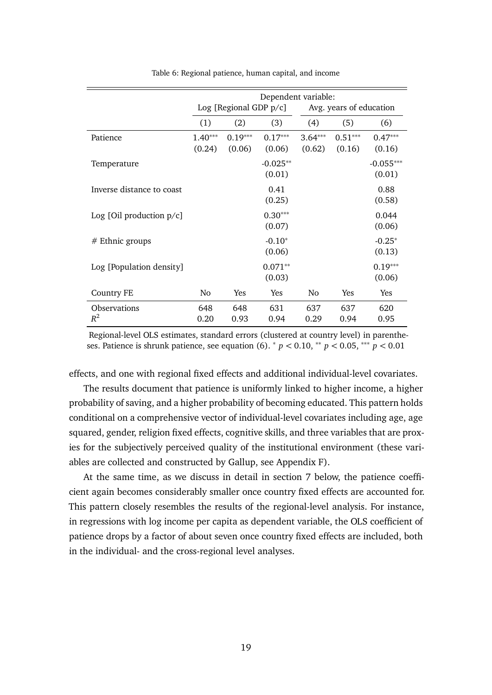<span id="page-19-0"></span>

|                              |                     | Log [Regional GDP $p/c$ ] | Dependent variable:  |                     | Avg. years of education |                       |
|------------------------------|---------------------|---------------------------|----------------------|---------------------|-------------------------|-----------------------|
|                              | (1)                 | (2)                       | (3)                  | (4)                 | (5)                     | (6)                   |
| Patience                     | $1.40***$<br>(0.24) | $0.19***$<br>(0.06)       | $0.17***$<br>(0.06)  | $3.64***$<br>(0.62) | $0.51***$<br>(0.16)     | $0.47***$<br>(0.16)   |
| Temperature                  |                     |                           | $-0.025**$<br>(0.01) |                     |                         | $-0.055***$<br>(0.01) |
| Inverse distance to coast    |                     |                           | 0.41<br>(0.25)       |                     |                         | 0.88<br>(0.58)        |
| Log [Oil production $p/c$ ]  |                     |                           | $0.30***$<br>(0.07)  |                     |                         | 0.044<br>(0.06)       |
| $#$ Ethnic groups            |                     |                           | $-0.10*$<br>(0.06)   |                     |                         | $-0.25*$<br>(0.13)    |
| Log [Population density]     |                     |                           | $0.071**$<br>(0.03)  |                     |                         | $0.19***$<br>(0.06)   |
| <b>Country FE</b>            | No                  | <b>Yes</b>                | Yes                  | No.                 | <b>Yes</b>              | Yes                   |
| <b>Observations</b><br>$R^2$ | 648<br>0.20         | 648<br>0.93               | 631<br>0.94          | 637<br>0.29         | 637<br>0.94             | 620<br>0.95           |

Table 6: Regional patience, human capital, and income

Regional-level OLS estimates, standard errors (clustered at country level) in parentheses. Patience is shrunk patience, see equation [\(6\)](#page-18-0). <sup>∗</sup> *p <* 0.10, ∗∗ *p <* 0.05, ∗∗∗ *p <* 0.01

effects, and one with regional fixed effects and additional individual-level covariates.

The results document that patience is uniformly linked to higher income, a higher probability of saving, and a higher probability of becoming educated. This pattern holds conditional on a comprehensive vector of individual-level covariates including age, age squared, gender, religion fixed effects, cognitive skills, and three variables that are proxies for the subjectively perceived quality of the institutional environment (these variables are collected and constructed by Gallup, see Appendix [F\)](#page-61-1).

At the same time, as we discuss in detail in section [7](#page-24-0) below, the patience coefficient again becomes considerably smaller once country fixed effects are accounted for. This pattern closely resembles the results of the regional-level analysis. For instance, in regressions with log income per capita as dependent variable, the OLS coefficient of patience drops by a factor of about seven once country fixed effects are included, both in the individual- and the cross-regional level analyses.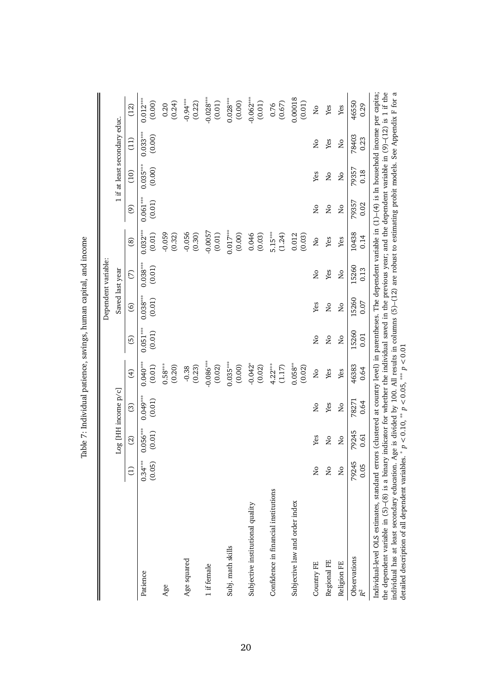<span id="page-20-0"></span>

|                                                                                                                                                                                                                                                                                                                                                                                                                                                                                          |                         |                         |                      |                                 |                         |                         | Dependent variable:     |                         |                         |                           |                                        |                                                                                                                     |
|------------------------------------------------------------------------------------------------------------------------------------------------------------------------------------------------------------------------------------------------------------------------------------------------------------------------------------------------------------------------------------------------------------------------------------------------------------------------------------------|-------------------------|-------------------------|----------------------|---------------------------------|-------------------------|-------------------------|-------------------------|-------------------------|-------------------------|---------------------------|----------------------------------------|---------------------------------------------------------------------------------------------------------------------|
|                                                                                                                                                                                                                                                                                                                                                                                                                                                                                          |                         |                         | Log [HH income p/c]  |                                 |                         |                         | Saved last year         |                         |                         |                           | 1 if at least secondary educ.          |                                                                                                                     |
|                                                                                                                                                                                                                                                                                                                                                                                                                                                                                          | $\Xi$                   | $\widehat{\omega}$      | $\odot$              | $\widehat{\mathcal{F}}$         | $\overline{5}$          | $\odot$                 | S                       | $\circledS$             | $\odot$                 | (10)                      | $\begin{pmatrix} 1 \\ 2 \end{pmatrix}$ | (12)                                                                                                                |
| Patience                                                                                                                                                                                                                                                                                                                                                                                                                                                                                 | $0.34***$<br>(0.05)     | $0.056***$<br>(0.01)    | $0.049***$<br>(0.01) | $0.040***$<br>(0.01)            | $0.051***$<br>(0.01)    | $0.038***$<br>(0.01)    | $0.038***$<br>(0.01)    | $0.032***$<br>(0.01)    | $0.061***$<br>(0.01)    | $0.035***$<br>(0.00)      | $0.033***$<br>(0.00)                   | $0.012***$<br>(0.00)                                                                                                |
| Age                                                                                                                                                                                                                                                                                                                                                                                                                                                                                      |                         |                         |                      | $0.58***$<br>(0.20)             |                         |                         |                         | $-0.059$<br>(0.32)      |                         |                           |                                        | (0.24)<br>0.20                                                                                                      |
| Age squared                                                                                                                                                                                                                                                                                                                                                                                                                                                                              |                         |                         |                      | $-0.38$<br>(0.23)               |                         |                         |                         | $-0.056$<br>(0.30)      |                         |                           |                                        | $-0.94***$<br>(0.22)                                                                                                |
| 1 if female                                                                                                                                                                                                                                                                                                                                                                                                                                                                              |                         |                         |                      | $-0.086***$<br>(0.02)           |                         |                         |                         | $-0.0057$<br>(0.01)     |                         |                           |                                        | $-0.028***$<br>(0.01)                                                                                               |
| Subj. math skills                                                                                                                                                                                                                                                                                                                                                                                                                                                                        |                         |                         |                      | $0.035***$<br>(0.00)            |                         |                         |                         | $0.017***$<br>(0.00)    |                         |                           |                                        | $0.028***$<br>(0.00)                                                                                                |
| Subjective institutional quality                                                                                                                                                                                                                                                                                                                                                                                                                                                         |                         |                         |                      | $-0.042$ <sup>*</sup><br>(0.02) |                         |                         |                         | 0.046<br>(0.03)         |                         |                           |                                        | $-0.062***$<br>(0.01)                                                                                               |
| Confidence in financial institutions                                                                                                                                                                                                                                                                                                                                                                                                                                                     |                         |                         |                      | $4.22***$<br>(1.17)             |                         |                         |                         | $5.15***$<br>(1.24)     |                         |                           |                                        | (0.67)<br>0.76                                                                                                      |
| Subjective law and order index                                                                                                                                                                                                                                                                                                                                                                                                                                                           |                         |                         |                      | $0.058^{**}$<br>(0.02)          |                         |                         |                         | 0.012<br>(0.03)         |                         |                           |                                        | 0.00018<br>(0.01)                                                                                                   |
| Country FE                                                                                                                                                                                                                                                                                                                                                                                                                                                                               | Σó                      | Yes                     | Σó                   | $\frac{1}{2}$                   | $\overline{\mathsf{S}}$ | Yes                     | $\overline{\mathsf{S}}$ | $\overline{\mathsf{S}}$ | $\overline{\mathsf{a}}$ | Yes                       | Σó                                     | $\overline{\mathsf{S}}$                                                                                             |
| Regional FE                                                                                                                                                                                                                                                                                                                                                                                                                                                                              | Ş                       | $\frac{1}{2}$           | Yes                  | Yes                             | Σò                      | $\overline{\mathsf{a}}$ | Yes                     | Yes                     | Σò                      | Σó                        | Yes                                    | Yes                                                                                                                 |
| Religion FE                                                                                                                                                                                                                                                                                                                                                                                                                                                                              | $\overline{\mathsf{S}}$ | $\overline{\mathsf{a}}$ | $\tilde{z}$          | Yes                             | $\frac{1}{2}$           | $\overline{\mathsf{S}}$ | $\frac{1}{2}$           | Yes                     | $\overline{\mathsf{z}}$ | $\mathsf{S}^{\mathsf{O}}$ | $\tilde{z}$                            | Yes                                                                                                                 |
| Observations<br>$R^2$                                                                                                                                                                                                                                                                                                                                                                                                                                                                    | 79245<br>0.05           | 79245<br>0.61           | 78271<br>0.64        | 46383<br>0.64                   | 15260<br>0.01           | 15260<br>0.07           | 15260<br>0.13           | 10438<br>0.14           | 79357<br>0.02           | 79357<br>0.18             | 78403<br>0.23                          | 46550<br>0.29                                                                                                       |
| Individual-level OLS estimates, standard errors (clustered at country level) in parentheses. The dependent variable in (1)-(4) is ln household income per capita;<br>the dependent variable in (5)–(8) is a binary indicator for whether the individual saved in the previous year; and the dependent variable in (9)–(12) is 1 if the<br>detailed description of all dependent variables. * $p < 0.10$ , ** $p < 0.05$ , *** $p < 0.01$<br>individual has at least secondary education. |                         |                         |                      |                                 |                         |                         |                         |                         |                         |                           |                                        | Age is divided by 100. All results in columns (5)-(12) are robust to estimating probit models. See Appendix F for a |

detailed description of all dependent variables. ∗ *p <* 0.10, ∗∗ *p <* 0.05, ∗∗∗ *p <* 0.01

Table 7: Individual patience, savings, human capital, and income Table 7: Individual patience, savings, human capital, and income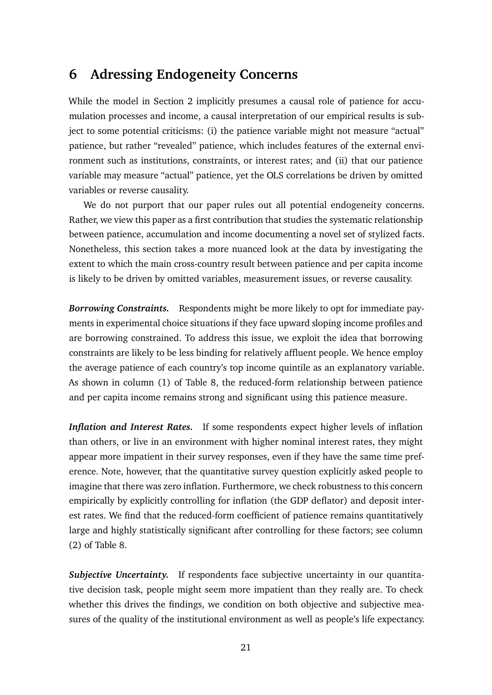## <span id="page-21-0"></span>**6 Adressing Endogeneity Concerns**

While the model in Section [2](#page-4-0) implicitly presumes a causal role of patience for accumulation processes and income, a causal interpretation of our empirical results is subject to some potential criticisms: (i) the patience variable might not measure "actual" patience, but rather "revealed" patience, which includes features of the external environment such as institutions, constraints, or interest rates; and (ii) that our patience variable may measure "actual" patience, yet the OLS correlations be driven by omitted variables or reverse causality.

We do not purport that our paper rules out all potential endogeneity concerns. Rather, we view this paper as a first contribution that studies the systematic relationship between patience, accumulation and income documenting a novel set of stylized facts. Nonetheless, this section takes a more nuanced look at the data by investigating the extent to which the main cross-country result between patience and per capita income is likely to be driven by omitted variables, measurement issues, or reverse causality.

*Borrowing Constraints.* Respondents might be more likely to opt for immediate payments in experimental choice situations if they face upward sloping income profiles and are borrowing constrained. To address this issue, we exploit the idea that borrowing constraints are likely to be less binding for relatively affluent people. We hence employ the average patience of each country's top income quintile as an explanatory variable. As shown in column (1) of Table [8,](#page-22-0) the reduced-form relationship between patience and per capita income remains strong and significant using this patience measure.

*Inflation and Interest Rates.* If some respondents expect higher levels of inflation than others, or live in an environment with higher nominal interest rates, they might appear more impatient in their survey responses, even if they have the same time preference. Note, however, that the quantitative survey question explicitly asked people to imagine that there was zero inflation. Furthermore, we check robustness to this concern empirically by explicitly controlling for inflation (the GDP deflator) and deposit interest rates. We find that the reduced-form coefficient of patience remains quantitatively large and highly statistically significant after controlling for these factors; see column (2) of Table [8.](#page-22-0)

*Subjective Uncertainty.* If respondents face subjective uncertainty in our quantitative decision task, people might seem more impatient than they really are. To check whether this drives the findings, we condition on both objective and subjective measures of the quality of the institutional environment as well as people's life expectancy.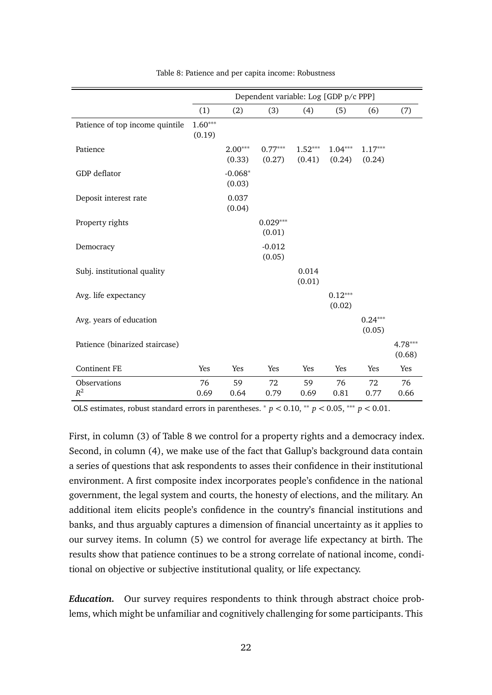<span id="page-22-0"></span>

|                                 |                     |                     | Dependent variable: Log [GDP p/c PPP] |                     |                     |                     |                     |
|---------------------------------|---------------------|---------------------|---------------------------------------|---------------------|---------------------|---------------------|---------------------|
|                                 | (1)                 | (2)                 | (3)                                   | (4)                 | (5)                 | (6)                 | (7)                 |
| Patience of top income quintile | $1.60***$<br>(0.19) |                     |                                       |                     |                     |                     |                     |
| Patience                        |                     | $2.00***$<br>(0.33) | $0.77***$<br>(0.27)                   | $1.52***$<br>(0.41) | $1.04***$<br>(0.24) | $1.17***$<br>(0.24) |                     |
| GDP deflator                    |                     | $-0.068*$<br>(0.03) |                                       |                     |                     |                     |                     |
| Deposit interest rate           |                     | 0.037<br>(0.04)     |                                       |                     |                     |                     |                     |
| Property rights                 |                     |                     | $0.029***$<br>(0.01)                  |                     |                     |                     |                     |
| Democracy                       |                     |                     | $-0.012$<br>(0.05)                    |                     |                     |                     |                     |
| Subj. institutional quality     |                     |                     |                                       | 0.014<br>(0.01)     |                     |                     |                     |
| Avg. life expectancy            |                     |                     |                                       |                     | $0.12***$<br>(0.02) |                     |                     |
| Avg. years of education         |                     |                     |                                       |                     |                     | $0.24***$<br>(0.05) |                     |
| Patience (binarized staircase)  |                     |                     |                                       |                     |                     |                     | $4.78***$<br>(0.68) |
| <b>Continent FE</b>             | Yes                 | Yes                 | Yes                                   | Yes                 | Yes                 | Yes                 | Yes                 |
| Observations<br>$R^2$           | 76<br>0.69          | 59<br>0.64          | 72<br>0.79                            | 59<br>0.69          | 76<br>0.81          | 72<br>0.77          | 76<br>0.66          |

Table 8: Patience and per capita income: Robustness

OLS estimates, robust standard errors in parentheses.  $p < 0.10$ ,  $\rightarrow p < 0.05$ ,  $\rightarrow p < 0.01$ .

First, in column (3) of Table [8](#page-22-0) we control for a property rights and a democracy index. Second, in column (4), we make use of the fact that Gallup's background data contain a series of questions that ask respondents to asses their confidence in their institutional environment. A first composite index incorporates people's confidence in the national government, the legal system and courts, the honesty of elections, and the military. An additional item elicits people's confidence in the country's financial institutions and banks, and thus arguably captures a dimension of financial uncertainty as it applies to our survey items. In column (5) we control for average life expectancy at birth. The results show that patience continues to be a strong correlate of national income, conditional on objective or subjective institutional quality, or life expectancy.

*Education.* Our survey requires respondents to think through abstract choice problems, which might be unfamiliar and cognitively challenging for some participants. This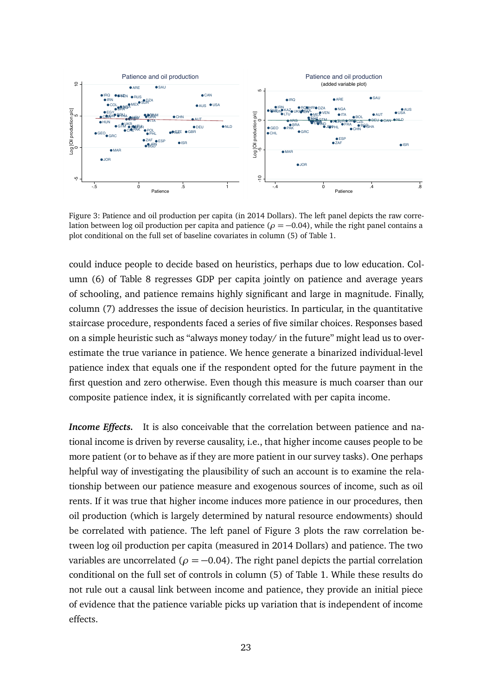<span id="page-23-0"></span>

Figure 3: Patience and oil production per capita (in 2014 Dollars). The left panel depicts the raw correlation between log oil production per capita and patience ( $\rho = -0.04$ ), while the right panel contains a plot conditional on the full set of baseline covariates in column (5) of Table [1.](#page-13-0)

could induce people to decide based on heuristics, perhaps due to low education. Column (6) of Table [8](#page-22-0) regresses GDP per capita jointly on patience and average years of schooling, and patience remains highly significant and large in magnitude. Finally, column (7) addresses the issue of decision heuristics. In particular, in the quantitative staircase procedure, respondents faced a series of five similar choices. Responses based on a simple heuristic such as "always money today/ in the future" might lead us to overestimate the true variance in patience. We hence generate a binarized individual-level patience index that equals one if the respondent opted for the future payment in the first question and zero otherwise. Even though this measure is much coarser than our composite patience index, it is significantly correlated with per capita income.

*Income Effects.* It is also conceivable that the correlation between patience and national income is driven by reverse causality, i.e., that higher income causes people to be more patient (or to behave as if they are more patient in our survey tasks). One perhaps helpful way of investigating the plausibility of such an account is to examine the relationship between our patience measure and exogenous sources of income, such as oil rents. If it was true that higher income induces more patience in our procedures, then oil production (which is largely determined by natural resource endowments) should be correlated with patience. The left panel of Figure [3](#page-23-0) plots the raw correlation between log oil production per capita (measured in 2014 Dollars) and patience. The two variables are uncorrelated ( $\rho = -0.04$ ). The right panel depicts the partial correlation conditional on the full set of controls in column (5) of Table [1.](#page-13-0) While these results do not rule out a causal link between income and patience, they provide an initial piece of evidence that the patience variable picks up variation that is independent of income effects.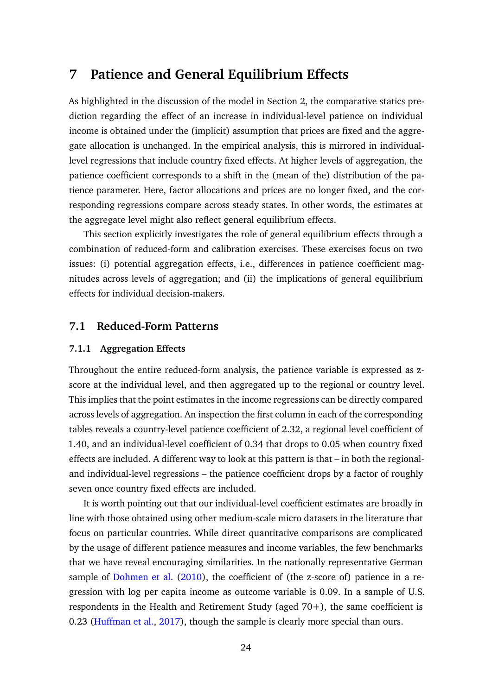## <span id="page-24-0"></span>**7 Patience and General Equilibrium Effects**

As highlighted in the discussion of the model in Section [2,](#page-4-0) the comparative statics prediction regarding the effect of an increase in individual-level patience on individual income is obtained under the (implicit) assumption that prices are fixed and the aggregate allocation is unchanged. In the empirical analysis, this is mirrored in individuallevel regressions that include country fixed effects. At higher levels of aggregation, the patience coefficient corresponds to a shift in the (mean of the) distribution of the patience parameter. Here, factor allocations and prices are no longer fixed, and the corresponding regressions compare across steady states. In other words, the estimates at the aggregate level might also reflect general equilibrium effects.

This section explicitly investigates the role of general equilibrium effects through a combination of reduced-form and calibration exercises. These exercises focus on two issues: (i) potential aggregation effects, i.e., differences in patience coefficient magnitudes across levels of aggregation; and (ii) the implications of general equilibrium effects for individual decision-makers.

### **7.1 Reduced-Form Patterns**

#### **7.1.1 Aggregation Effects**

Throughout the entire reduced-form analysis, the patience variable is expressed as zscore at the individual level, and then aggregated up to the regional or country level. This implies that the point estimates in the income regressions can be directly compared across levels of aggregation. An inspection the first column in each of the corresponding tables reveals a country-level patience coefficient of 2.32, a regional level coefficient of 1.40, and an individual-level coefficient of 0.34 that drops to 0.05 when country fixed effects are included. A different way to look at this pattern is that – in both the regionaland individual-level regressions – the patience coefficient drops by a factor of roughly seven once country fixed effects are included.

It is worth pointing out that our individual-level coefficient estimates are broadly in line with those obtained using other medium-scale micro datasets in the literature that focus on particular countries. While direct quantitative comparisons are complicated by the usage of different patience measures and income variables, the few benchmarks that we have reveal encouraging similarities. In the nationally representative German sample of [Dohmen et al.](#page-34-3) [\(2010\)](#page-34-3), the coefficient of (the z-score of) patience in a regression with log per capita income as outcome variable is 0.09. In a sample of U.S. respondents in the Health and Retirement Study (aged 70+), the same coefficient is 0.23 [\(Huffman et al.,](#page-36-2) [2017\)](#page-36-2), though the sample is clearly more special than ours.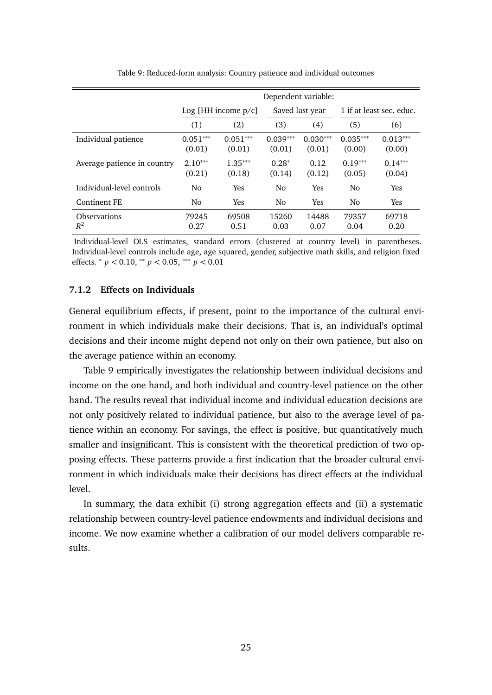<span id="page-25-0"></span>

|                              |                      |                          | Dependent variable:  |                      |                      |                          |
|------------------------------|----------------------|--------------------------|----------------------|----------------------|----------------------|--------------------------|
|                              |                      | $Log$ [HH income $p/c$ ] |                      | Saved last year      |                      | 1 if at least sec. educ. |
|                              | (1)                  | (2)                      | (3)                  | (4)                  | (5)                  | (6)                      |
| Individual patience          | $0.051***$<br>(0.01) | $0.051***$<br>(0.01)     | $0.039***$<br>(0.01) | $0.030***$<br>(0.01) | $0.035***$<br>(0.00) | $0.013***$<br>(0.00)     |
| Average patience in country  | $2.10***$<br>(0.21)  | $1.35***$<br>(0.18)      | $0.28*$<br>(0.14)    | 0.12<br>(0.12)       | $0.19***$<br>(0.05)  | $0.14***$<br>(0.04)      |
| Individual-level controls    | N <sub>0</sub>       | Yes                      | N <sub>0</sub>       | <b>Yes</b>           | No                   | <b>Yes</b>               |
| Continent FE                 | No.                  | <b>Yes</b>               | N <sub>0</sub>       | Yes                  | No                   | Yes                      |
| <b>Observations</b><br>$R^2$ | 79245<br>0.27        | 69508<br>0.51            | 15260<br>0.03        | 14488<br>0.07        | 79357<br>0.04        | 69718<br>0.20            |

Table 9: Reduced-form analysis: Country patience and individual outcomes

Individual-level OLS estimates, standard errors (clustered at country level) in parentheses. Individual-level controls include age, age squared, gender, subjective math skills, and religion fixed effects. <sup>∗</sup> *p <* 0.10, ∗∗ *p <* 0.05, ∗∗∗ *p <* 0.01

#### **7.1.2 Effects on Individuals**

General equilibrium effects, if present, point to the importance of the cultural environment in which individuals make their decisions. That is, an individual's optimal decisions and their income might depend not only on their own patience, but also on the average patience within an economy.

Table [9](#page-25-0) empirically investigates the relationship between individual decisions and income on the one hand, and both individual and country-level patience on the other hand. The results reveal that individual income and individual education decisions are not only positively related to individual patience, but also to the average level of patience within an economy. For savings, the effect is positive, but quantitatively much smaller and insignificant. This is consistent with the theoretical prediction of two opposing effects. These patterns provide a first indication that the broader cultural environment in which individuals make their decisions has direct effects at the individual level.

In summary, the data exhibit (i) strong aggregation effects and (ii) a systematic relationship between country-level patience endowments and individual decisions and income. We now examine whether a calibration of our model delivers comparable results.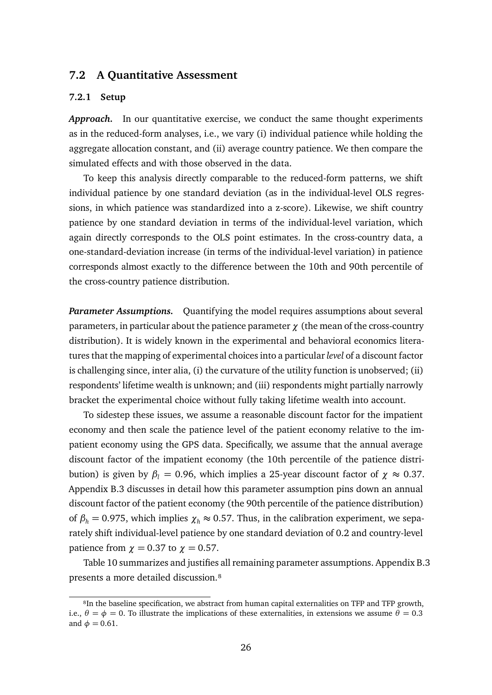#### <span id="page-26-0"></span>**7.2 A Quantitative Assessment**

#### **7.2.1 Setup**

*Approach.* In our quantitative exercise, we conduct the same thought experiments as in the reduced-form analyses, i.e., we vary (i) individual patience while holding the aggregate allocation constant, and (ii) average country patience. We then compare the simulated effects and with those observed in the data.

To keep this analysis directly comparable to the reduced-form patterns, we shift individual patience by one standard deviation (as in the individual-level OLS regressions, in which patience was standardized into a z-score). Likewise, we shift country patience by one standard deviation in terms of the individual-level variation, which again directly corresponds to the OLS point estimates. In the cross-country data, a one-standard-deviation increase (in terms of the individual-level variation) in patience corresponds almost exactly to the difference between the 10th and 90th percentile of the cross-country patience distribution.

*Parameter Assumptions.* Quantifying the model requires assumptions about several parameters, in particular about the patience parameter *χ* (the mean of the cross-country distribution). It is widely known in the experimental and behavioral economics literatures that the mapping of experimental choices into a particular*level* of a discount factor is challenging since, inter alia, (i) the curvature of the utility function is unobserved; (ii) respondents' lifetime wealth is unknown; and (iii) respondents might partially narrowly bracket the experimental choice without fully taking lifetime wealth into account.

To sidestep these issues, we assume a reasonable discount factor for the impatient economy and then scale the patience level of the patient economy relative to the impatient economy using the GPS data. Specifically, we assume that the annual average discount factor of the impatient economy (the 10th percentile of the patience distribution) is given by  $β$ <sub>*l*</sub> = 0.96, which implies a 25-year discount factor of  $χ$  ≈ 0.37. Appendix [B.3](#page-53-0) discusses in detail how this parameter assumption pins down an annual discount factor of the patient economy (the 90th percentile of the patience distribution) of  $\beta_h = 0.975$ , which implies  $\chi_h \approx 0.57$ . Thus, in the calibration experiment, we separately shift individual-level patience by one standard deviation of 0.2 and country-level patience from  $\chi = 0.37$  to  $\chi = 0.57$ .

Table [10](#page-27-0) summarizes and justifies all remaining parameter assumptions. Appendix [B.3](#page-53-0) presents a more detailed discussion.<sup>8</sup>

<sup>&</sup>lt;sup>8</sup>In the baseline specification, we abstract from human capital externalities on TFP and TFP growth, i.e.,  $\theta = \phi = 0$ . To illustrate the implications of these externalities, in extensions we assume  $\theta = 0.3$ and  $\phi = 0.61$ .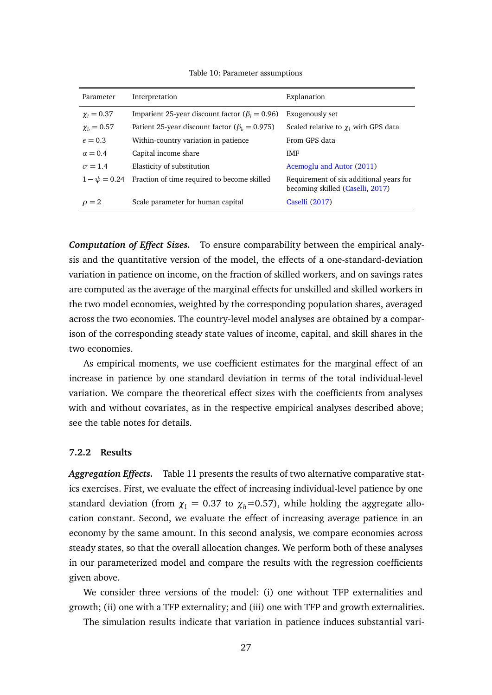<span id="page-27-0"></span>Parameter Interpretation Explanation  $\chi$ <sup>*l*</sup> = 0.37 Impatient 25-year discount factor ( $\beta$ <sup>*l*</sup> = 0.96) Exogenously set  $\chi_h$  = 0.57 Patient 25-year discount factor ( $\beta_h$  = 0.975) Scaled relative to  $\chi_l$  with GPS data  $\epsilon = 0.3$  Within-country variation in patience From GPS data  $\alpha = 0.4$  Capital income share  $\alpha$  $\sigma = 1.4$  Elasticity of substitution **Acemoglu** and Autor [\(2011\)](#page-33-9)  $1 - \psi = 0.24$  Fraction of time required to become skilled Requirement of six additional years for becoming skilled [\(Caselli,](#page-34-8) [2017\)](#page-34-8)  $\rho = 2$  Scale parameter for human capital [Caselli](#page-34-8) [\(2017\)](#page-34-8)

Table 10: Parameter assumptions

*Computation of Effect Sizes.* To ensure comparability between the empirical analysis and the quantitative version of the model, the effects of a one-standard-deviation variation in patience on income, on the fraction of skilled workers, and on savings rates are computed as the average of the marginal effects for unskilled and skilled workers in the two model economies, weighted by the corresponding population shares, averaged across the two economies. The country-level model analyses are obtained by a comparison of the corresponding steady state values of income, capital, and skill shares in the two economies.

As empirical moments, we use coefficient estimates for the marginal effect of an increase in patience by one standard deviation in terms of the total individual-level variation. We compare the theoretical effect sizes with the coefficients from analyses with and without covariates, as in the respective empirical analyses described above; see the table notes for details.

#### **7.2.2 Results**

*Aggregation Effects.* Table [11](#page-28-0) presents the results of two alternative comparative statics exercises. First, we evaluate the effect of increasing individual-level patience by one standard deviation (from  $\chi$ <sup>*l*</sup> = 0.37 to  $\chi$ <sup>*h*</sup>=0.57), while holding the aggregate allocation constant. Second, we evaluate the effect of increasing average patience in an economy by the same amount. In this second analysis, we compare economies across steady states, so that the overall allocation changes. We perform both of these analyses in our parameterized model and compare the results with the regression coefficients given above.

We consider three versions of the model: (i) one without TFP externalities and growth; (ii) one with a TFP externality; and (iii) one with TFP and growth externalities.

The simulation results indicate that variation in patience induces substantial vari-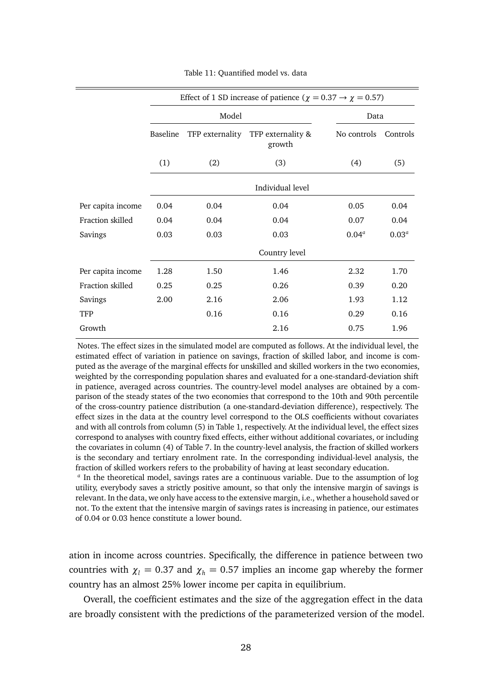<span id="page-28-0"></span>

|                   |          |                 | Effect of 1 SD increase of patience ( $\chi = 0.37 \rightarrow \chi = 0.57$ ) |             |          |
|-------------------|----------|-----------------|-------------------------------------------------------------------------------|-------------|----------|
|                   |          | Model           |                                                                               | Data        |          |
|                   | Baseline | TFP externality | TFP externality &<br>growth                                                   | No controls | Controls |
|                   | (1)      | (2)             | (3)                                                                           | (4)         | (5)      |
|                   |          |                 | Individual level                                                              |             |          |
| Per capita income | 0.04     | 0.04            | 0.04                                                                          | 0.05        | 0.04     |
| Fraction skilled  | 0.04     | 0.04            | 0.04                                                                          | 0.07        | 0.04     |
| Savings           | 0.03     | 0.03            | 0.03                                                                          | $0.04^a$    | $0.03^a$ |
|                   |          |                 | Country level                                                                 |             |          |
| Per capita income | 1.28     | 1.50            | 1.46                                                                          | 2.32        | 1.70     |
| Fraction skilled  | 0.25     | 0.25            | 0.26                                                                          | 0.39        | 0.20     |
| Savings           | 2.00     | 2.16            | 2.06                                                                          | 1.93        | 1.12     |
| <b>TFP</b>        |          | 0.16            | 0.16                                                                          | 0.29        | 0.16     |
| Growth            |          |                 | 2.16                                                                          | 0.75        | 1.96     |

Table 11: Quantified model vs. data

Notes. The effect sizes in the simulated model are computed as follows. At the individual level, the estimated effect of variation in patience on savings, fraction of skilled labor, and income is computed as the average of the marginal effects for unskilled and skilled workers in the two economies, weighted by the corresponding population shares and evaluated for a one-standard-deviation shift in patience, averaged across countries. The country-level model analyses are obtained by a comparison of the steady states of the two economies that correspond to the 10th and 90th percentile of the cross-country patience distribution (a one-standard-deviation difference), respectively. The effect sizes in the data at the country level correspond to the OLS coefficients without covariates and with all controls from column (5) in Table [1,](#page-13-0) respectively. At the individual level, the effect sizes correspond to analyses with country fixed effects, either without additional covariates, or including the covariates in column (4) of Table [7.](#page-20-0) In the country-level analysis, the fraction of skilled workers is the secondary and tertiary enrolment rate. In the corresponding individual-level analysis, the fraction of skilled workers refers to the probability of having at least secondary education.

*a* In the theoretical model, savings rates are a continuous variable. Due to the assumption of log utility, everybody saves a strictly positive amount, so that only the intensive margin of savings is relevant. In the data, we only have access to the extensive margin, i.e., whether a household saved or not. To the extent that the intensive margin of savings rates is increasing in patience, our estimates of 0.04 or 0.03 hence constitute a lower bound.

ation in income across countries. Specifically, the difference in patience between two countries with  $\chi_l = 0.37$  and  $\chi_h = 0.57$  implies an income gap whereby the former country has an almost 25% lower income per capita in equilibrium.

Overall, the coefficient estimates and the size of the aggregation effect in the data are broadly consistent with the predictions of the parameterized version of the model.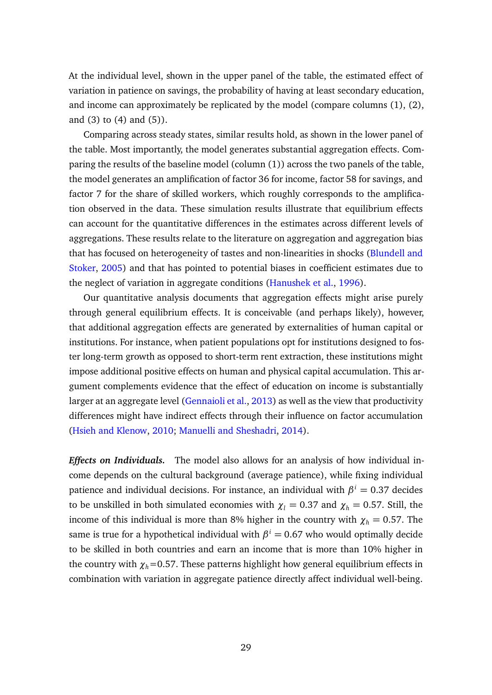At the individual level, shown in the upper panel of the table, the estimated effect of variation in patience on savings, the probability of having at least secondary education, and income can approximately be replicated by the model (compare columns (1), (2), and (3) to (4) and (5)).

Comparing across steady states, similar results hold, as shown in the lower panel of the table. Most importantly, the model generates substantial aggregation effects. Comparing the results of the baseline model (column (1)) across the two panels of the table, the model generates an amplification of factor 36 for income, factor 58 for savings, and factor 7 for the share of skilled workers, which roughly corresponds to the amplification observed in the data. These simulation results illustrate that equilibrium effects can account for the quantitative differences in the estimates across different levels of aggregations. These results relate to the literature on aggregation and aggregation bias that has focused on heterogeneity of tastes and non-linearities in shocks [\(Blundell and](#page-34-9) [Stoker,](#page-34-9) [2005\)](#page-34-9) and that has pointed to potential biases in coefficient estimates due to the neglect of variation in aggregate conditions [\(Hanushek et al.,](#page-35-9) [1996\)](#page-35-9).

Our quantitative analysis documents that aggregation effects might arise purely through general equilibrium effects. It is conceivable (and perhaps likely), however, that additional aggregation effects are generated by externalities of human capital or institutions. For instance, when patient populations opt for institutions designed to foster long-term growth as opposed to short-term rent extraction, these institutions might impose additional positive effects on human and physical capital accumulation. This argument complements evidence that the effect of education on income is substantially larger at an aggregate level [\(Gennaioli et al.,](#page-35-4) [2013\)](#page-35-4) as well as the view that productivity differences might have indirect effects through their influence on factor accumulation [\(Hsieh and Klenow,](#page-36-0) [2010;](#page-36-0) [Manuelli and Sheshadri,](#page-36-3) [2014\)](#page-36-3).

*Effects on Individuals.* The model also allows for an analysis of how individual income depends on the cultural background (average patience), while fixing individual patience and individual decisions. For instance, an individual with  $\beta^i = 0.37$  decides to be unskilled in both simulated economies with  $\chi$ <sup>*l*</sup> = 0.37 and  $\chi$ <sup>*h*</sup> = 0.57. Still, the income of this individual is more than 8% higher in the country with  $\chi_h = 0.57$ . The same is true for a hypothetical individual with  $\beta^i = 0.67$  who would optimally decide to be skilled in both countries and earn an income that is more than 10% higher in the country with  $\chi_h$ =0.57. These patterns highlight how general equilibrium effects in combination with variation in aggregate patience directly affect individual well-being.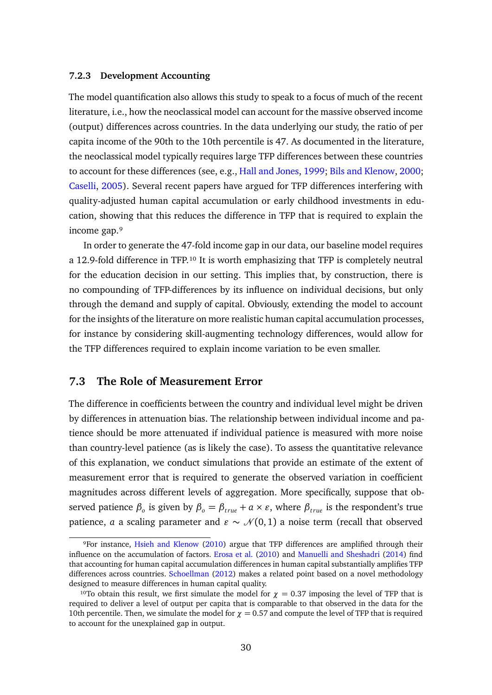#### **7.2.3 Development Accounting**

The model quantification also allows this study to speak to a focus of much of the recent literature, i.e., how the neoclassical model can account for the massive observed income (output) differences across countries. In the data underlying our study, the ratio of per capita income of the 90th to the 10th percentile is 47. As documented in the literature, the neoclassical model typically requires large TFP differences between these countries to account for these differences (see, e.g., [Hall and Jones,](#page-35-0) [1999;](#page-35-0) [Bils and Klenow,](#page-34-10) [2000;](#page-34-10) [Caselli,](#page-34-0) [2005\)](#page-34-0). Several recent papers have argued for TFP differences interfering with quality-adjusted human capital accumulation or early childhood investments in education, showing that this reduces the difference in TFP that is required to explain the income gap.<sup>9</sup>

In order to generate the 47-fold income gap in our data, our baseline model requires a 12.9-fold difference in TFP.<sup>10</sup> It is worth emphasizing that TFP is completely neutral for the education decision in our setting. This implies that, by construction, there is no compounding of TFP-differences by its influence on individual decisions, but only through the demand and supply of capital. Obviously, extending the model to account for the insights of the literature on more realistic human capital accumulation processes, for instance by considering skill-augmenting technology differences, would allow for the TFP differences required to explain income variation to be even smaller.

#### **7.3 The Role of Measurement Error**

The difference in coefficients between the country and individual level might be driven by differences in attenuation bias. The relationship between individual income and patience should be more attenuated if individual patience is measured with more noise than country-level patience (as is likely the case). To assess the quantitative relevance of this explanation, we conduct simulations that provide an estimate of the extent of measurement error that is required to generate the observed variation in coefficient magnitudes across different levels of aggregation. More specifically, suppose that observed patience  $\beta_o$  is given by  $\beta_o = \beta_{true} + a \times \varepsilon$ , where  $\beta_{true}$  is the respondent's true patience, *a* a scaling parameter and  $\varepsilon \sim \mathcal{N}(0, 1)$  a noise term (recall that observed

⁹For instance, [Hsieh and Klenow](#page-36-0) [\(2010\)](#page-36-0) argue that TFP differences are amplified through their influence on the accumulation of factors. [Erosa et al.](#page-35-5) [\(2010\)](#page-35-5) and [Manuelli and Sheshadri](#page-36-3) [\(2014\)](#page-36-3) find that accounting for human capital accumulation differences in human capital substantially amplifies TFP differences across countries. [Schoellman](#page-36-11) [\(2012\)](#page-36-11) makes a related point based on a novel methodology designed to measure differences in human capital quality.

<sup>&</sup>lt;sup>10</sup>To obtain this result, we first simulate the model for  $\chi$  = 0.37 imposing the level of TFP that is required to deliver a level of output per capita that is comparable to that observed in the data for the 10th percentile. Then, we simulate the model for  $\chi = 0.57$  and compute the level of TFP that is required to account for the unexplained gap in output.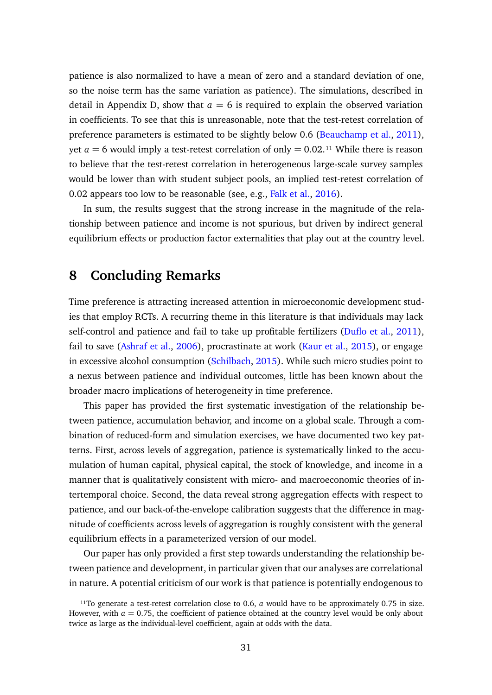patience is also normalized to have a mean of zero and a standard deviation of one, so the noise term has the same variation as patience). The simulations, described in detail in Appendix [D,](#page-56-1) show that  $a = 6$  is required to explain the observed variation in coefficients. To see that this is unreasonable, note that the test-retest correlation of preference parameters is estimated to be slightly below 0.6 [\(Beauchamp et al.,](#page-33-10) [2011\)](#page-33-10), yet  $a = 6$  would imply a test-retest correlation of only  $= 0.02$ .<sup>11</sup> While there is reason to believe that the test-retest correlation in heterogeneous large-scale survey samples would be lower than with student subject pools, an implied test-retest correlation of 0.02 appears too low to be reasonable (see, e.g., [Falk et al.,](#page-35-10) [2016\)](#page-35-10).

In sum, the results suggest that the strong increase in the magnitude of the relationship between patience and income is not spurious, but driven by indirect general equilibrium effects or production factor externalities that play out at the country level.

### <span id="page-31-0"></span>**8 Concluding Remarks**

Time preference is attracting increased attention in microeconomic development studies that employ RCTs. A recurring theme in this literature is that individuals may lack self-control and patience and fail to take up profitable fertilizers [\(Duflo et al.,](#page-35-11) [2011\)](#page-35-11), fail to save [\(Ashraf et al.,](#page-33-11) [2006\)](#page-33-11), procrastinate at work [\(Kaur et al.,](#page-36-12) [2015\)](#page-36-12), or engage in excessive alcohol consumption [\(Schilbach,](#page-36-13) [2015\)](#page-36-13). While such micro studies point to a nexus between patience and individual outcomes, little has been known about the broader macro implications of heterogeneity in time preference.

This paper has provided the first systematic investigation of the relationship between patience, accumulation behavior, and income on a global scale. Through a combination of reduced-form and simulation exercises, we have documented two key patterns. First, across levels of aggregation, patience is systematically linked to the accumulation of human capital, physical capital, the stock of knowledge, and income in a manner that is qualitatively consistent with micro- and macroeconomic theories of intertemporal choice. Second, the data reveal strong aggregation effects with respect to patience, and our back-of-the-envelope calibration suggests that the difference in magnitude of coefficients across levels of aggregation is roughly consistent with the general equilibrium effects in a parameterized version of our model.

Our paper has only provided a first step towards understanding the relationship between patience and development, in particular given that our analyses are correlational in nature. A potential criticism of our work is that patience is potentially endogenous to

<sup>&</sup>lt;sup>11</sup>To generate a test-retest correlation close to 0.6,  $a$  would have to be approximately 0.75 in size. However, with  $a = 0.75$ , the coefficient of patience obtained at the country level would be only about twice as large as the individual-level coefficient, again at odds with the data.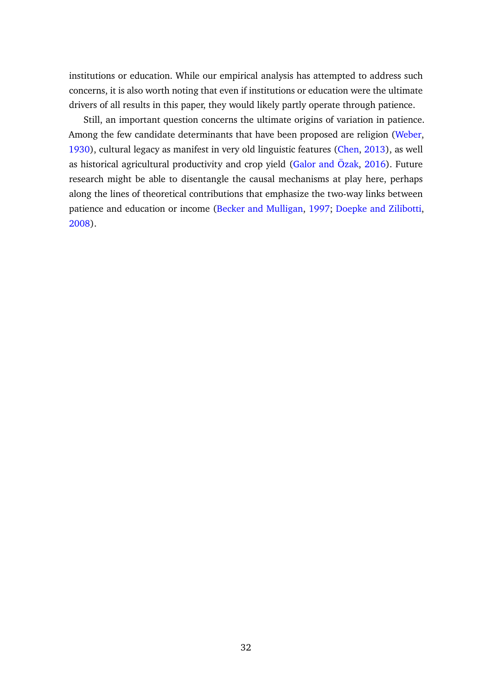institutions or education. While our empirical analysis has attempted to address such concerns, it is also worth noting that even if institutions or education were the ultimate drivers of all results in this paper, they would likely partly operate through patience.

Still, an important question concerns the ultimate origins of variation in patience. Among the few candidate determinants that have been proposed are religion [\(Weber,](#page-37-0) [1930\)](#page-37-0), cultural legacy as manifest in very old linguistic features [\(Chen,](#page-34-1) [2013\)](#page-34-1), as well as historical agricultural productivity and crop yield [\(Galor and Özak,](#page-35-1) [2016\)](#page-35-1). Future research might be able to disentangle the causal mechanisms at play here, perhaps along the lines of theoretical contributions that emphasize the two-way links between patience and education or income [\(Becker and Mulligan,](#page-33-12) [1997;](#page-33-12) [Doepke and Zilibotti,](#page-34-11) [2008\)](#page-34-11).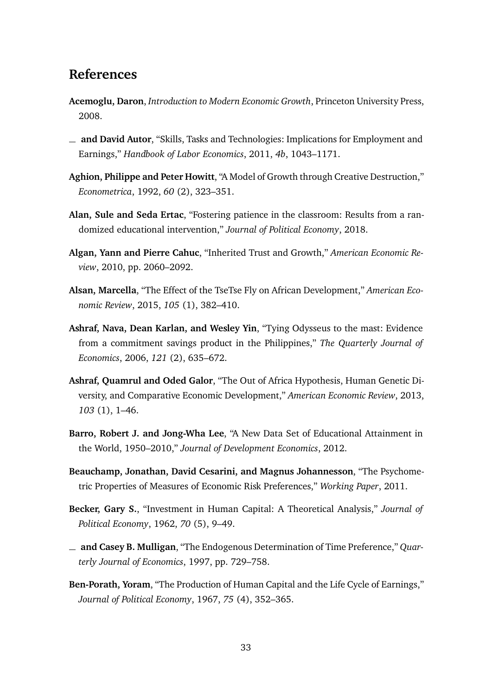## **References**

- <span id="page-33-7"></span>**Acemoglu, Daron**, *Introduction to Modern Economic Growth*, Princeton University Press, 2008.
- <span id="page-33-9"></span>**and David Autor**, "Skills, Tasks and Technologies: Implications for Employment and Earnings," *Handbook of Labor Economics*, 2011, *4b*, 1043–1171.
- <span id="page-33-2"></span>**Aghion, Philippe and Peter Howitt**, "A Model of Growth through Creative Destruction," *Econometrica*, 1992, *60* (2), 323–351.
- <span id="page-33-6"></span>**Alan, Sule and Seda Ertac**, "Fostering patience in the classroom: Results from a randomized educational intervention," *Journal of Political Economy*, 2018.
- <span id="page-33-3"></span>**Algan, Yann and Pierre Cahuc**, "Inherited Trust and Growth," *American Economic Review*, 2010, pp. 2060–2092.
- <span id="page-33-5"></span>**Alsan, Marcella**, "The Effect of the TseTse Fly on African Development," *American Economic Review*, 2015, *105* (1), 382–410.
- <span id="page-33-11"></span>**Ashraf, Nava, Dean Karlan, and Wesley Yin**, "Tying Odysseus to the mast: Evidence from a commitment savings product in the Philippines," *The Quarterly Journal of Economics*, 2006, *121* (2), 635–672.
- <span id="page-33-4"></span>**Ashraf, Quamrul and Oded Galor**, "The Out of Africa Hypothesis, Human Genetic Diversity, and Comparative Economic Development," *American Economic Review*, 2013, *103* (1), 1–46.
- <span id="page-33-8"></span>**Barro, Robert J. and Jong-Wha Lee**, "A New Data Set of Educational Attainment in the World, 1950–2010," *Journal of Development Economics*, 2012.
- <span id="page-33-10"></span>**Beauchamp, Jonathan, David Cesarini, and Magnus Johannesson**, "The Psychometric Properties of Measures of Economic Risk Preferences," *Working Paper*, 2011.
- <span id="page-33-0"></span>**Becker, Gary S.**, "Investment in Human Capital: A Theoretical Analysis," *Journal of Political Economy*, 1962, *70* (5), 9–49.
- <span id="page-33-12"></span>**and Casey B. Mulligan**, "The Endogenous Determination of Time Preference," *Quarterly Journal of Economics*, 1997, pp. 729–758.
- <span id="page-33-1"></span>**Ben-Porath, Yoram**, "The Production of Human Capital and the Life Cycle of Earnings," *Journal of Political Economy*, 1967, *75* (4), 352–365.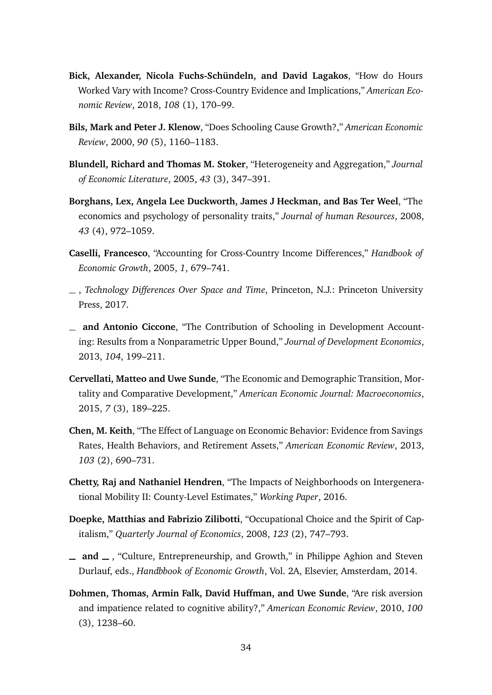- <span id="page-34-5"></span>**Bick, Alexander, Nicola Fuchs-Schündeln, and David Lagakos**, "How do Hours Worked Vary with Income? Cross-Country Evidence and Implications," *American Economic Review*, 2018, *108* (1), 170–99.
- <span id="page-34-10"></span>**Bils, Mark and Peter J. Klenow**, "Does Schooling Cause Growth?," *American Economic Review*, 2000, *90* (5), 1160–1183.
- <span id="page-34-9"></span>**Blundell, Richard and Thomas M. Stoker**, "Heterogeneity and Aggregation," *Journal of Economic Literature*, 2005, *43* (3), 347–391.
- <span id="page-34-6"></span>**Borghans, Lex, Angela Lee Duckworth, James J Heckman, and Bas Ter Weel**, "The economics and psychology of personality traits," *Journal of human Resources*, 2008, *43* (4), 972–1059.
- <span id="page-34-0"></span>**Caselli, Francesco**, "Accounting for Cross-Country Income Differences," *Handbook of Economic Growth*, 2005, *1*, 679–741.
- <span id="page-34-8"></span>, *Technology Differences Over Space and Time*, Princeton, N.J.: Princeton University Press, 2017.
- <span id="page-34-4"></span>**and Antonio Ciccone**, "The Contribution of Schooling in Development Accounting: Results from a Nonparametric Upper Bound," *Journal of Development Economics*, 2013, *104*, 199–211.
- <span id="page-34-12"></span>**Cervellati, Matteo and Uwe Sunde**, "The Economic and Demographic Transition, Mortality and Comparative Development," *American Economic Journal: Macroeconomics*, 2015, *7* (3), 189–225.
- <span id="page-34-1"></span>**Chen, M. Keith**, "The Effect of Language on Economic Behavior: Evidence from Savings Rates, Health Behaviors, and Retirement Assets," *American Economic Review*, 2013, *103* (2), 690–731.
- <span id="page-34-7"></span>**Chetty, Raj and Nathaniel Hendren**, "The Impacts of Neighborhoods on Intergenerational Mobility II: County-Level Estimates," *Working Paper*, 2016.
- <span id="page-34-11"></span>**Doepke, Matthias and Fabrizio Zilibotti**, "Occupational Choice and the Spirit of Capitalism," *Quarterly Journal of Economics*, 2008, *123* (2), 747–793.
- <span id="page-34-2"></span> $\equiv$  **and**  $\equiv$ , "Culture, Entrepreneurship, and Growth," in Philippe Aghion and Steven Durlauf, eds., *Handbbook of Economic Growth*, Vol. 2A, Elsevier, Amsterdam, 2014.
- <span id="page-34-3"></span>**Dohmen, Thomas, Armin Falk, David Huffman, and Uwe Sunde**, "Are risk aversion and impatience related to cognitive ability?," *American Economic Review*, 2010, *100* (3), 1238–60.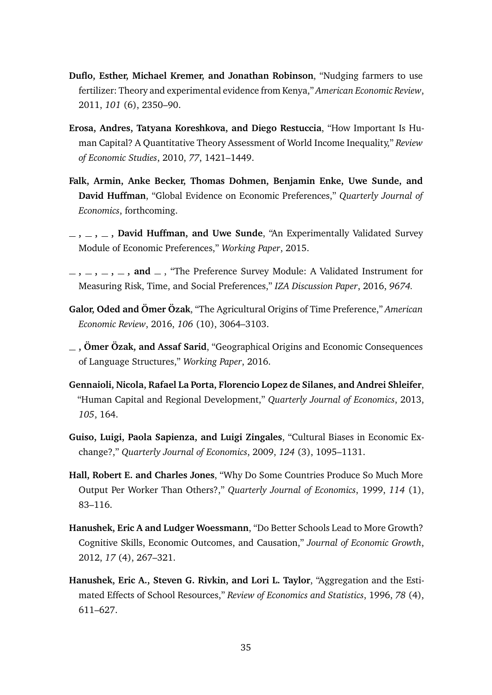- <span id="page-35-11"></span>**Duflo, Esther, Michael Kremer, and Jonathan Robinson**, "Nudging farmers to use fertilizer: Theory and experimental evidence from Kenya," *American Economic Review*, 2011, *101* (6), 2350–90.
- <span id="page-35-5"></span>**Erosa, Andres, Tatyana Koreshkova, and Diego Restuccia**, "How Important Is Human Capital? A Quantitative Theory Assessment of World Income Inequality," *Review of Economic Studies*, 2010, *77*, 1421–1449.
- <span id="page-35-3"></span>**Falk, Armin, Anke Becker, Thomas Dohmen, Benjamin Enke, Uwe Sunde, and David Huffman**, "Global Evidence on Economic Preferences," *Quarterly Journal of Economics*, forthcoming.
- <span id="page-35-6"></span>**, , , David Huffman, and Uwe Sunde**, "An Experimentally Validated Survey Module of Economic Preferences," *Working Paper*, 2015.
- <span id="page-35-10"></span> $-$ ,  $-$ ,  $-$ ,  $-$ ,  $-$ , and  $-$ , "The Preference Survey Module: A Validated Instrument for Measuring Risk, Time, and Social Preferences," *IZA Discussion Paper*, 2016, *9674.*
- <span id="page-35-1"></span>**Galor, Oded and Ömer Özak**, "The Agricultural Origins of Time Preference," *American Economic Review*, 2016, *106* (10), 3064–3103.
- <span id="page-35-2"></span>**, Ömer Özak, and Assaf Sarid**, "Geographical Origins and Economic Consequences of Language Structures," *Working Paper*, 2016.
- <span id="page-35-4"></span>**Gennaioli, Nicola, Rafael La Porta, Florencio Lopez de Silanes, and Andrei Shleifer**, "Human Capital and Regional Development," *Quarterly Journal of Economics*, 2013, *105*, 164.
- <span id="page-35-7"></span>**Guiso, Luigi, Paola Sapienza, and Luigi Zingales**, "Cultural Biases in Economic Exchange?," *Quarterly Journal of Economics*, 2009, *124* (3), 1095–1131.
- <span id="page-35-0"></span>**Hall, Robert E. and Charles Jones**, "Why Do Some Countries Produce So Much More Output Per Worker Than Others?," *Quarterly Journal of Economics*, 1999, *114* (1), 83–116.
- <span id="page-35-8"></span>**Hanushek, Eric A and Ludger Woessmann**, "Do Better Schools Lead to More Growth? Cognitive Skills, Economic Outcomes, and Causation," *Journal of Economic Growth*, 2012, *17* (4), 267–321.
- <span id="page-35-9"></span>**Hanushek, Eric A., Steven G. Rivkin, and Lori L. Taylor**, "Aggregation and the Estimated Effects of School Resources," *Review of Economics and Statistics*, 1996, *78* (4), 611–627.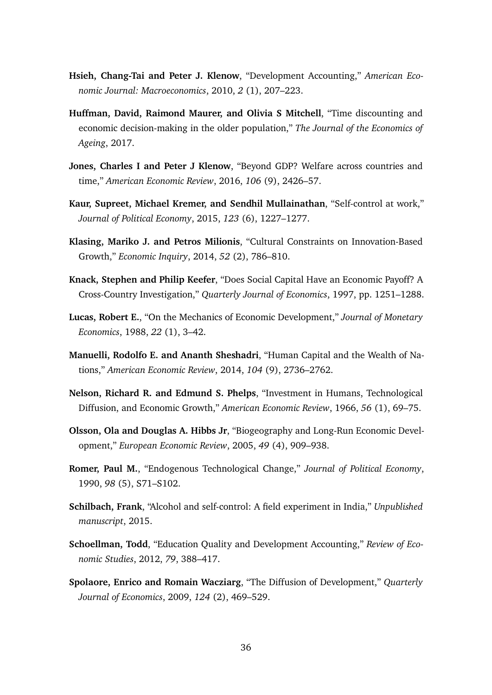- <span id="page-36-0"></span>**Hsieh, Chang-Tai and Peter J. Klenow**, "Development Accounting," *American Economic Journal: Macroeconomics*, 2010, *2* (1), 207–223.
- <span id="page-36-2"></span>**Huffman, David, Raimond Maurer, and Olivia S Mitchell**, "Time discounting and economic decision-making in the older population," *The Journal of the Economics of Ageing*, 2017.
- <span id="page-36-6"></span>**Jones, Charles I and Peter J Klenow**, "Beyond GDP? Welfare across countries and time," *American Economic Review*, 2016, *106* (9), 2426–57.
- <span id="page-36-12"></span>**Kaur, Supreet, Michael Kremer, and Sendhil Mullainathan**, "Self-control at work," *Journal of Political Economy*, 2015, *123* (6), 1227–1277.
- <span id="page-36-8"></span>**Klasing, Mariko J. and Petros Milionis**, "Cultural Constraints on Innovation-Based Growth," *Economic Inquiry*, 2014, *52* (2), 786–810.
- <span id="page-36-10"></span>**Knack, Stephen and Philip Keefer**, "Does Social Capital Have an Economic Payoff? A Cross-Country Investigation," *Quarterly Journal of Economics*, 1997, pp. 1251–1288.
- <span id="page-36-7"></span>**Lucas, Robert E.**, "On the Mechanics of Economic Development," *Journal of Monetary Economics*, 1988, *22* (1), 3–42.
- <span id="page-36-3"></span>**Manuelli, Rodolfo E. and Ananth Sheshadri**, "Human Capital and the Wealth of Nations," *American Economic Review*, 2014, *104* (9), 2736–2762.
- <span id="page-36-9"></span>**Nelson, Richard R. and Edmund S. Phelps**, "Investment in Humans, Technological Diffusion, and Economic Growth," *American Economic Review*, 1966, *56* (1), 69–75.
- <span id="page-36-4"></span>**Olsson, Ola and Douglas A. Hibbs Jr**, "Biogeography and Long-Run Economic Development," *European Economic Review*, 2005, *49* (4), 909–938.
- <span id="page-36-1"></span>**Romer, Paul M.**, "Endogenous Technological Change," *Journal of Political Economy*, 1990, *98* (5), S71–S102.
- <span id="page-36-13"></span>**Schilbach, Frank**, "Alcohol and self-control: A field experiment in India," *Unpublished manuscript*, 2015.
- <span id="page-36-11"></span>**Schoellman, Todd**, "Education Quality and Development Accounting," *Review of Economic Studies*, 2012, *79*, 388–417.
- <span id="page-36-5"></span>**Spolaore, Enrico and Romain Wacziarg**, "The Diffusion of Development," *Quarterly Journal of Economics*, 2009, *124* (2), 469–529.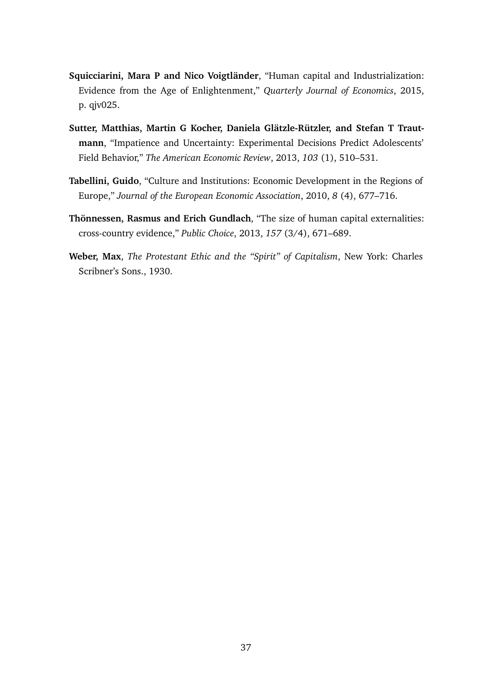- <span id="page-37-1"></span>**Squicciarini, Mara P and Nico Voigtländer**, "Human capital and Industrialization: Evidence from the Age of Enlightenment," *Quarterly Journal of Economics*, 2015, p. qjv025.
- <span id="page-37-2"></span>**Sutter, Matthias, Martin G Kocher, Daniela Glätzle-Rützler, and Stefan T Trautmann**, "Impatience and Uncertainty: Experimental Decisions Predict Adolescents' Field Behavior," *The American Economic Review*, 2013, *103* (1), 510–531.
- <span id="page-37-3"></span>**Tabellini, Guido**, "Culture and Institutions: Economic Development in the Regions of Europe," *Journal of the European Economic Association*, 2010, *8* (4), 677–716.
- <span id="page-37-4"></span>**Thönnessen, Rasmus and Erich Gundlach**, "The size of human capital externalities: cross-country evidence," *Public Choice*, 2013, *157* (3/4), 671–689.
- <span id="page-37-0"></span>**Weber, Max**, *The Protestant Ethic and the "Spirit" of Capitalism*, New York: Charles Scribner's Sons., 1930.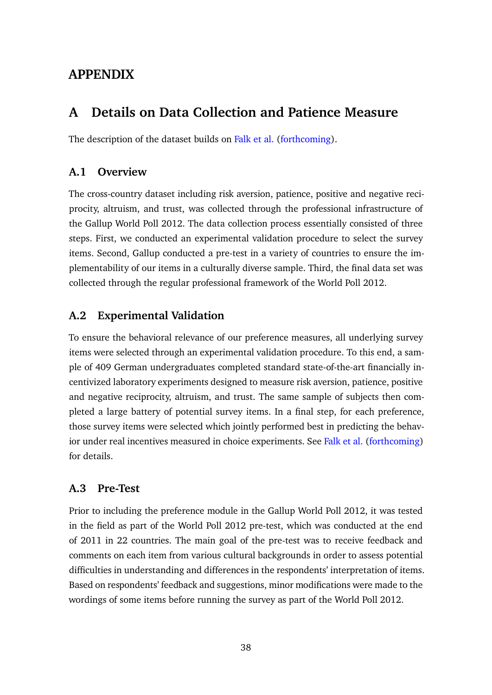## **APPENDIX**

## <span id="page-38-0"></span>**A Details on Data Collection and Patience Measure**

The description of the dataset builds on [Falk et al.](#page-35-3) [\(forthcoming\)](#page-35-3).

### **A.1 Overview**

The cross-country dataset including risk aversion, patience, positive and negative reciprocity, altruism, and trust, was collected through the professional infrastructure of the Gallup World Poll 2012. The data collection process essentially consisted of three steps. First, we conducted an experimental validation procedure to select the survey items. Second, Gallup conducted a pre-test in a variety of countries to ensure the implementability of our items in a culturally diverse sample. Third, the final data set was collected through the regular professional framework of the World Poll 2012.

### **A.2 Experimental Validation**

To ensure the behavioral relevance of our preference measures, all underlying survey items were selected through an experimental validation procedure. To this end, a sample of 409 German undergraduates completed standard state-of-the-art financially incentivized laboratory experiments designed to measure risk aversion, patience, positive and negative reciprocity, altruism, and trust. The same sample of subjects then completed a large battery of potential survey items. In a final step, for each preference, those survey items were selected which jointly performed best in predicting the behavior under real incentives measured in choice experiments. See [Falk et al.](#page-35-3) [\(forthcoming\)](#page-35-3) for details.

### **A.3 Pre-Test**

Prior to including the preference module in the Gallup World Poll 2012, it was tested in the field as part of the World Poll 2012 pre-test, which was conducted at the end of 2011 in 22 countries. The main goal of the pre-test was to receive feedback and comments on each item from various cultural backgrounds in order to assess potential difficulties in understanding and differences in the respondents' interpretation of items. Based on respondents' feedback and suggestions, minor modifications were made to the wordings of some items before running the survey as part of the World Poll 2012.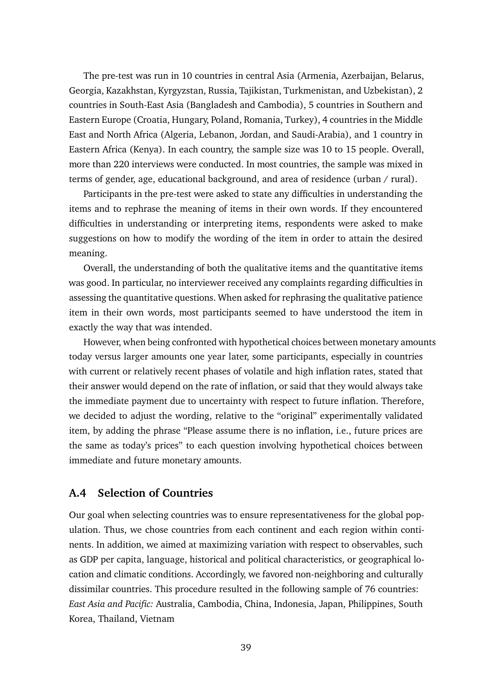The pre-test was run in 10 countries in central Asia (Armenia, Azerbaijan, Belarus, Georgia, Kazakhstan, Kyrgyzstan, Russia, Tajikistan, Turkmenistan, and Uzbekistan), 2 countries in South-East Asia (Bangladesh and Cambodia), 5 countries in Southern and Eastern Europe (Croatia, Hungary, Poland, Romania, Turkey), 4 countries in the Middle East and North Africa (Algeria, Lebanon, Jordan, and Saudi-Arabia), and 1 country in Eastern Africa (Kenya). In each country, the sample size was 10 to 15 people. Overall, more than 220 interviews were conducted. In most countries, the sample was mixed in terms of gender, age, educational background, and area of residence (urban / rural).

Participants in the pre-test were asked to state any difficulties in understanding the items and to rephrase the meaning of items in their own words. If they encountered difficulties in understanding or interpreting items, respondents were asked to make suggestions on how to modify the wording of the item in order to attain the desired meaning.

Overall, the understanding of both the qualitative items and the quantitative items was good. In particular, no interviewer received any complaints regarding difficulties in assessing the quantitative questions. When asked for rephrasing the qualitative patience item in their own words, most participants seemed to have understood the item in exactly the way that was intended.

However, when being confronted with hypothetical choices between monetary amounts today versus larger amounts one year later, some participants, especially in countries with current or relatively recent phases of volatile and high inflation rates, stated that their answer would depend on the rate of inflation, or said that they would always take the immediate payment due to uncertainty with respect to future inflation. Therefore, we decided to adjust the wording, relative to the "original" experimentally validated item, by adding the phrase "Please assume there is no inflation, i.e., future prices are the same as today's prices" to each question involving hypothetical choices between immediate and future monetary amounts.

### **A.4 Selection of Countries**

Our goal when selecting countries was to ensure representativeness for the global population. Thus, we chose countries from each continent and each region within continents. In addition, we aimed at maximizing variation with respect to observables, such as GDP per capita, language, historical and political characteristics, or geographical location and climatic conditions. Accordingly, we favored non-neighboring and culturally dissimilar countries. This procedure resulted in the following sample of 76 countries: *East Asia and Pacific:* Australia, Cambodia, China, Indonesia, Japan, Philippines, South Korea, Thailand, Vietnam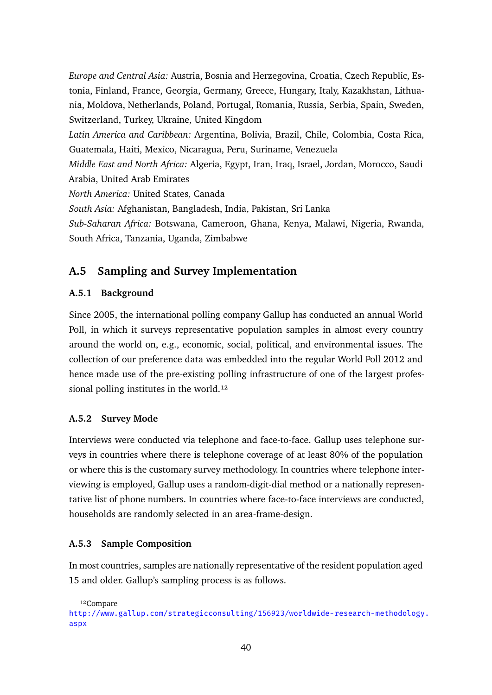*Europe and Central Asia:* Austria, Bosnia and Herzegovina, Croatia, Czech Republic, Estonia, Finland, France, Georgia, Germany, Greece, Hungary, Italy, Kazakhstan, Lithuania, Moldova, Netherlands, Poland, Portugal, Romania, Russia, Serbia, Spain, Sweden, Switzerland, Turkey, Ukraine, United Kingdom *Latin America and Caribbean:* Argentina, Bolivia, Brazil, Chile, Colombia, Costa Rica, Guatemala, Haiti, Mexico, Nicaragua, Peru, Suriname, Venezuela *Middle East and North Africa:* Algeria, Egypt, Iran, Iraq, Israel, Jordan, Morocco, Saudi Arabia, United Arab Emirates *North America:* United States, Canada *South Asia:* Afghanistan, Bangladesh, India, Pakistan, Sri Lanka *Sub-Saharan Africa:* Botswana, Cameroon, Ghana, Kenya, Malawi, Nigeria, Rwanda, South Africa, Tanzania, Uganda, Zimbabwe

## **A.5 Sampling and Survey Implementation**

### **A.5.1 Background**

Since 2005, the international polling company Gallup has conducted an annual World Poll, in which it surveys representative population samples in almost every country around the world on, e.g., economic, social, political, and environmental issues. The collection of our preference data was embedded into the regular World Poll 2012 and hence made use of the pre-existing polling infrastructure of one of the largest professional polling institutes in the world. $^{12}$ 

#### **A.5.2 Survey Mode**

Interviews were conducted via telephone and face-to-face. Gallup uses telephone surveys in countries where there is telephone coverage of at least 80% of the population or where this is the customary survey methodology. In countries where telephone interviewing is employed, Gallup uses a random-digit-dial method or a nationally representative list of phone numbers. In countries where face-to-face interviews are conducted, households are randomly selected in an area-frame-design.

### **A.5.3 Sample Composition**

In most countries, samples are nationally representative of the resident population aged 15 and older. Gallup's sampling process is as follows.

<sup>12</sup>Compare

[http://www.gallup.com/strategicconsulting/156923/worldwide-research-methodology](http://www.gallup.com/strategicconsulting/156923/worldwide-research-methodology.aspx). [aspx](http://www.gallup.com/strategicconsulting/156923/worldwide-research-methodology.aspx)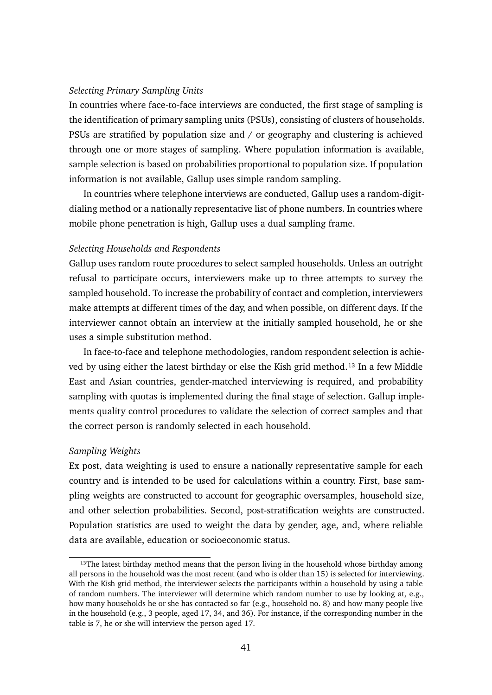#### *Selecting Primary Sampling Units*

In countries where face-to-face interviews are conducted, the first stage of sampling is the identification of primary sampling units (PSUs), consisting of clusters of households. PSUs are stratified by population size and / or geography and clustering is achieved through one or more stages of sampling. Where population information is available, sample selection is based on probabilities proportional to population size. If population information is not available, Gallup uses simple random sampling.

In countries where telephone interviews are conducted, Gallup uses a random-digitdialing method or a nationally representative list of phone numbers. In countries where mobile phone penetration is high, Gallup uses a dual sampling frame.

#### *Selecting Households and Respondents*

Gallup uses random route procedures to select sampled households. Unless an outright refusal to participate occurs, interviewers make up to three attempts to survey the sampled household. To increase the probability of contact and completion, interviewers make attempts at different times of the day, and when possible, on different days. If the interviewer cannot obtain an interview at the initially sampled household, he or she uses a simple substitution method.

In face-to-face and telephone methodologies, random respondent selection is achieved by using either the latest birthday or else the Kish grid method.<sup>13</sup> In a few Middle East and Asian countries, gender-matched interviewing is required, and probability sampling with quotas is implemented during the final stage of selection. Gallup implements quality control procedures to validate the selection of correct samples and that the correct person is randomly selected in each household.

#### *Sampling Weights*

Ex post, data weighting is used to ensure a nationally representative sample for each country and is intended to be used for calculations within a country. First, base sampling weights are constructed to account for geographic oversamples, household size, and other selection probabilities. Second, post-stratification weights are constructed. Population statistics are used to weight the data by gender, age, and, where reliable data are available, education or socioeconomic status.

 $13$ The latest birthday method means that the person living in the household whose birthday among all persons in the household was the most recent (and who is older than 15) is selected for interviewing. With the Kish grid method, the interviewer selects the participants within a household by using a table of random numbers. The interviewer will determine which random number to use by looking at, e.g., how many households he or she has contacted so far (e.g., household no. 8) and how many people live in the household (e.g., 3 people, aged 17, 34, and 36). For instance, if the corresponding number in the table is 7, he or she will interview the person aged 17.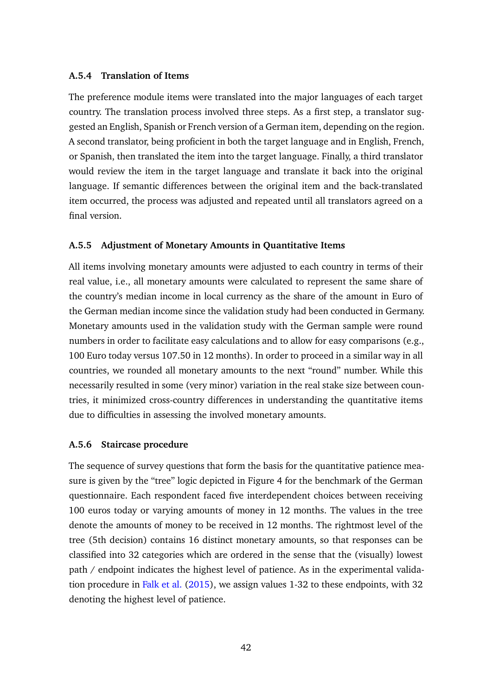#### **A.5.4 Translation of Items**

The preference module items were translated into the major languages of each target country. The translation process involved three steps. As a first step, a translator suggested an English, Spanish or French version of a German item, depending on the region. A second translator, being proficient in both the target language and in English, French, or Spanish, then translated the item into the target language. Finally, a third translator would review the item in the target language and translate it back into the original language. If semantic differences between the original item and the back-translated item occurred, the process was adjusted and repeated until all translators agreed on a final version.

#### **A.5.5 Adjustment of Monetary Amounts in Quantitative Items**

All items involving monetary amounts were adjusted to each country in terms of their real value, i.e., all monetary amounts were calculated to represent the same share of the country's median income in local currency as the share of the amount in Euro of the German median income since the validation study had been conducted in Germany. Monetary amounts used in the validation study with the German sample were round numbers in order to facilitate easy calculations and to allow for easy comparisons (e.g., 100 Euro today versus 107.50 in 12 months). In order to proceed in a similar way in all countries, we rounded all monetary amounts to the next "round" number. While this necessarily resulted in some (very minor) variation in the real stake size between countries, it minimized cross-country differences in understanding the quantitative items due to difficulties in assessing the involved monetary amounts.

#### **A.5.6 Staircase procedure**

The sequence of survey questions that form the basis for the quantitative patience measure is given by the "tree" logic depicted in Figure [4](#page-43-0) for the benchmark of the German questionnaire. Each respondent faced five interdependent choices between receiving 100 euros today or varying amounts of money in 12 months. The values in the tree denote the amounts of money to be received in 12 months. The rightmost level of the tree (5th decision) contains 16 distinct monetary amounts, so that responses can be classified into 32 categories which are ordered in the sense that the (visually) lowest path / endpoint indicates the highest level of patience. As in the experimental validation procedure in [Falk et al.](#page-35-6) [\(2015\)](#page-35-6), we assign values 1-32 to these endpoints, with 32 denoting the highest level of patience.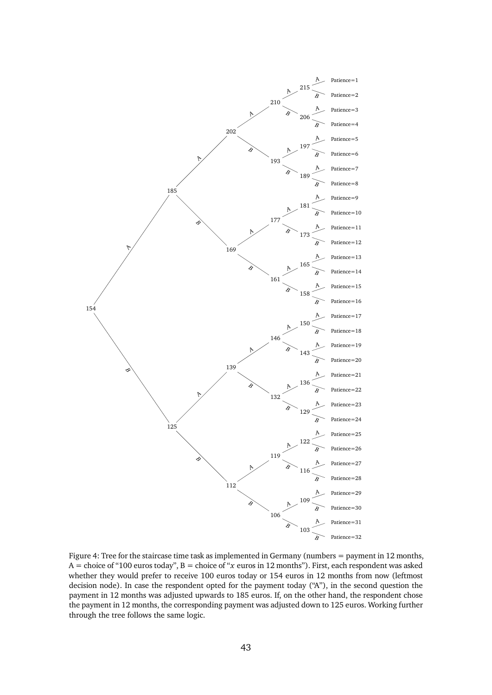<span id="page-43-0"></span>

Figure 4: Tree for the staircase time task as implemented in Germany (numbers = payment in 12 months, A = choice of "100 euros today", B = choice of "*x* euros in 12 months"). First, each respondent was asked whether they would prefer to receive 100 euros today or 154 euros in 12 months from now (leftmost decision node). In case the respondent opted for the payment today ("A"), in the second question the payment in 12 months was adjusted upwards to 185 euros. If, on the other hand, the respondent chose the payment in 12 months, the corresponding payment was adjusted down to 125 euros. Working further through the tree follows the same logic.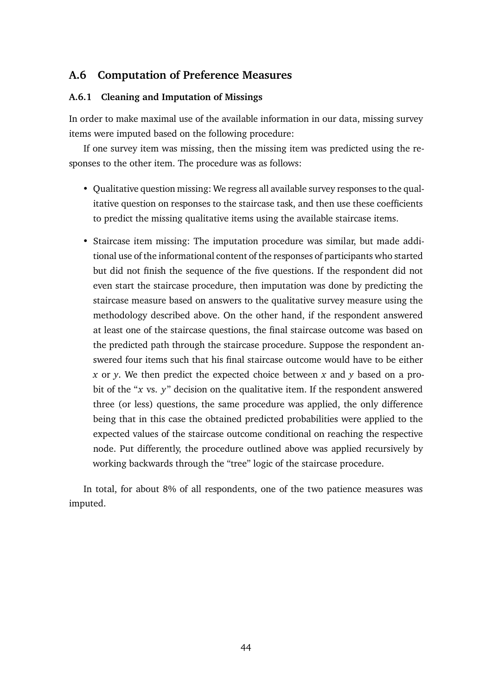### **A.6 Computation of Preference Measures**

#### **A.6.1 Cleaning and Imputation of Missings**

In order to make maximal use of the available information in our data, missing survey items were imputed based on the following procedure:

If one survey item was missing, then the missing item was predicted using the responses to the other item. The procedure was as follows:

- Qualitative question missing: We regress all available survey responses to the qualitative question on responses to the staircase task, and then use these coefficients to predict the missing qualitative items using the available staircase items.
- Staircase item missing: The imputation procedure was similar, but made additional use of the informational content of the responses of participants who started but did not finish the sequence of the five questions. If the respondent did not even start the staircase procedure, then imputation was done by predicting the staircase measure based on answers to the qualitative survey measure using the methodology described above. On the other hand, if the respondent answered at least one of the staircase questions, the final staircase outcome was based on the predicted path through the staircase procedure. Suppose the respondent answered four items such that his final staircase outcome would have to be either *x* or *y*. We then predict the expected choice between *x* and *y* based on a probit of the "*x* vs. *y*" decision on the qualitative item. If the respondent answered three (or less) questions, the same procedure was applied, the only difference being that in this case the obtained predicted probabilities were applied to the expected values of the staircase outcome conditional on reaching the respective node. Put differently, the procedure outlined above was applied recursively by working backwards through the "tree" logic of the staircase procedure.

In total, for about 8% of all respondents, one of the two patience measures was imputed.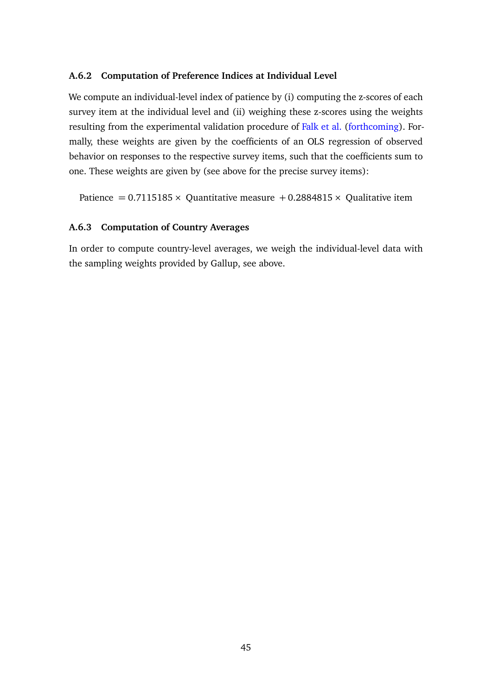#### **A.6.2 Computation of Preference Indices at Individual Level**

We compute an individual-level index of patience by (i) computing the z-scores of each survey item at the individual level and (ii) weighing these z-scores using the weights resulting from the experimental validation procedure of [Falk et al.](#page-35-3) [\(forthcoming\)](#page-35-3). Formally, these weights are given by the coefficients of an OLS regression of observed behavior on responses to the respective survey items, such that the coefficients sum to one. These weights are given by (see above for the precise survey items):

Patience =  $0.7115185 \times$  Quantitative measure + 0.2884815  $\times$  Qualitative item

#### **A.6.3 Computation of Country Averages**

In order to compute country-level averages, we weigh the individual-level data with the sampling weights provided by Gallup, see above.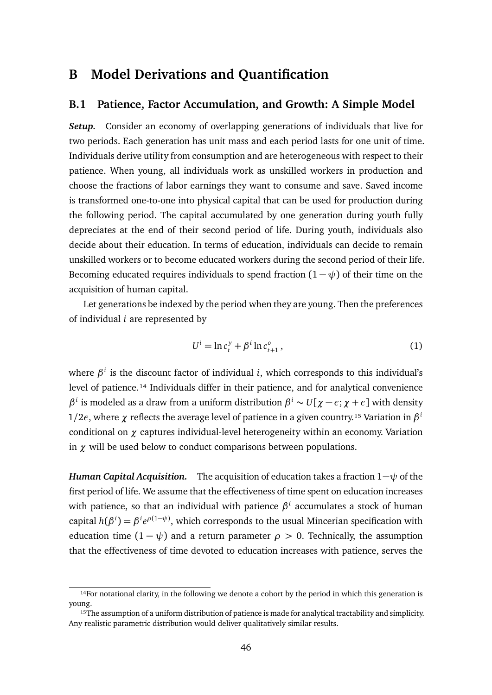## <span id="page-46-0"></span>**B Model Derivations and Quantification**

#### **B.1 Patience, Factor Accumulation, and Growth: A Simple Model**

*Setup.* Consider an economy of overlapping generations of individuals that live for two periods. Each generation has unit mass and each period lasts for one unit of time. Individuals derive utility from consumption and are heterogeneous with respect to their patience. When young, all individuals work as unskilled workers in production and choose the fractions of labor earnings they want to consume and save. Saved income is transformed one-to-one into physical capital that can be used for production during the following period. The capital accumulated by one generation during youth fully depreciates at the end of their second period of life. During youth, individuals also decide about their education. In terms of education, individuals can decide to remain unskilled workers or to become educated workers during the second period of their life. Becoming educated requires individuals to spend fraction  $(1 - \psi)$  of their time on the acquisition of human capital.

Let generations be indexed by the period when they are young. Then the preferences of individual *i* are represented by

<span id="page-46-1"></span>
$$
U^{i} = \ln c_{t}^{y} + \beta^{i} \ln c_{t+1}^{o} , \qquad (1)
$$

where *β i* is the discount factor of individual *i*, which corresponds to this individual's level of patience.<sup>14</sup> Individuals differ in their patience, and for analytical convenience *β*<sup>*i*</sup> is modeled as a draw from a uniform distribution  $β$ <sup>*i*</sup> ∼  $U[χ − ε; χ + ε]$  with density  $1/2\epsilon$ , where  $\chi$  reflects the average level of patience in a given country.<sup>15</sup> Variation in  $\beta^i$ conditional on *χ* captures individual-level heterogeneity within an economy. Variation in *χ* will be used below to conduct comparisons between populations.

*Human Capital Acquisition.* The acquisition of education takes a fraction 1−*ψ* of the first period of life. We assume that the effectiveness of time spent on education increases with patience, so that an individual with patience *β i* accumulates a stock of human capital  $h(\beta^i) = \beta^i e^{\rho(1-\psi)}$ , which corresponds to the usual Mincerian specification with education time  $(1 - \psi)$  and a return parameter  $\rho > 0$ . Technically, the assumption that the effectiveness of time devoted to education increases with patience, serves the

<sup>&</sup>lt;sup>14</sup>For notational clarity, in the following we denote a cohort by the period in which this generation is young.

<sup>&</sup>lt;sup>15</sup>The assumption of a uniform distribution of patience is made for analytical tractability and simplicity. Any realistic parametric distribution would deliver qualitatively similar results.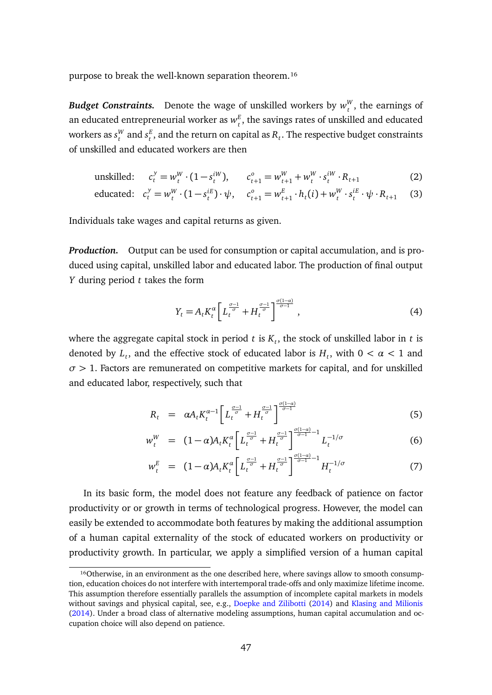purpose to break the well-known separation theorem.<sup>16</sup>

*Budget Constraints.* Denote the wage of unskilled workers by  $w_t^W$  $t<sub>t</sub><sup>W</sup>$ , the earnings of an educated entrepreneurial worker as  $w_t^E$  $\mathbf{f}_t^E$ , the savings rates of unskilled and educated workers as *s W*  $_t^W$  and  $s_t^E$  $t_t^E$ , and the return on capital as  $R_t$ . The respective budget constraints of unskilled and educated workers are then

<span id="page-47-0"></span>unskilled: 
$$
c_t^y = w_t^W \cdot (1 - s_t^{iW}), \qquad c_{t+1}^o = w_{t+1}^W + w_t^W \cdot s_t^{iW} \cdot R_{t+1}
$$
 (2)

$$
\text{educated:} \quad c_t^y = w_t^W \cdot (1 - s_t^{iE}) \cdot \psi, \quad c_{t+1}^o = w_{t+1}^E \cdot h_t(i) + w_t^W \cdot s_t^{iE} \cdot \psi \cdot R_{t+1} \tag{3}
$$

Individuals take wages and capital returns as given.

*Production.* Output can be used for consumption or capital accumulation, and is produced using capital, unskilled labor and educated labor. The production of final output *Y* during period *t* takes the form

$$
Y_t = A_t K_t^{\alpha} \left[ L_t^{\frac{\sigma - 1}{\sigma}} + H_t^{\frac{\sigma - 1}{\sigma}} \right]^{\frac{\sigma(1 - \alpha)}{\sigma - 1}}, \tag{4}
$$

where the aggregate capital stock in period *t* is *K<sup>t</sup>* , the stock of unskilled labor in *t* is denoted by  $L_t$ , and the effective stock of educated labor is  $H_t$ , with  $0 < \alpha < 1$  and *σ >* 1. Factors are remunerated on competitive markets for capital, and for unskilled and educated labor, respectively, such that

$$
R_t = \alpha A_t K_t^{\alpha - 1} \left[ L_t^{\frac{\sigma - 1}{\sigma}} + H_t^{\frac{\sigma - 1}{\sigma}} \right]^{\frac{\sigma(1 - \alpha)}{\sigma - 1}} \tag{5}
$$

$$
w_t^W = (1 - \alpha) A_t K_t^{\alpha} \left[ L_t^{\frac{\sigma - 1}{\sigma}} + H_t^{\frac{\sigma - 1}{\sigma}} \right]^{\frac{\sigma (1 - \alpha)}{\sigma - 1} - 1} L_t^{-1/\sigma} \tag{6}
$$

$$
w_t^E = (1 - \alpha) A_t K_t^{\alpha} \left[ L_t^{\frac{\sigma - 1}{\sigma}} + H_t^{\frac{\sigma - 1}{\sigma}} \right]^{\frac{\sigma (1 - \alpha)}{\sigma - 1} - 1} H_t^{-1/\sigma} \tag{7}
$$

In its basic form, the model does not feature any feedback of patience on factor productivity or or growth in terms of technological progress. However, the model can easily be extended to accommodate both features by making the additional assumption of a human capital externality of the stock of educated workers on productivity or productivity growth. In particular, we apply a simplified version of a human capital

 $16$ Otherwise, in an environment as the one described here, where savings allow to smooth consumption, education choices do not interfere with intertemporal trade-offs and only maximize lifetime income. This assumption therefore essentially parallels the assumption of incomplete capital markets in models without savings and physical capital, see, e.g., [Doepke and Zilibotti](#page-34-2) [\(2014\)](#page-34-2) and [Klasing and Milionis](#page-36-8) [\(2014\)](#page-36-8). Under a broad class of alternative modeling assumptions, human capital accumulation and occupation choice will also depend on patience.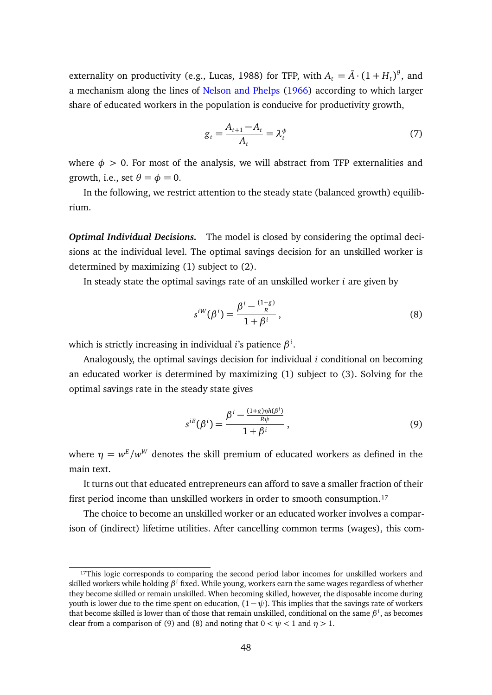externality on productivity (e.g., Lucas, 1988) for TFP, with  $A_t = \bar{A} \cdot (1 + H_t)^{\theta}$ , and a mechanism along the lines of [Nelson and Phelps](#page-36-9) [\(1966\)](#page-36-9) according to which larger share of educated workers in the population is conducive for productivity growth,

$$
g_t = \frac{A_{t+1} - A_t}{A_t} = \lambda_t^{\phi}
$$
\n<sup>(7)</sup>

where  $\phi > 0$ . For most of the analysis, we will abstract from TFP externalities and growth, i.e., set  $\theta = \phi = 0$ .

In the following, we restrict attention to the steady state (balanced growth) equilibrium.

*Optimal Individual Decisions.* The model is closed by considering the optimal decisions at the individual level. The optimal savings decision for an unskilled worker is determined by maximizing [\(1\)](#page-46-1) subject to [\(2\)](#page-47-0).

In steady state the optimal savings rate of an unskilled worker *i* are given by

<span id="page-48-1"></span>
$$
s^{iW}(\beta^i) = \frac{\beta^i - \frac{(1+g)}{R}}{1 + \beta^i},
$$
\n(8)

which is strictly increasing in individual *i*'s patience *β i* .

Analogously, the optimal savings decision for individual *i* conditional on becoming an educated worker is determined by maximizing [\(1\)](#page-46-1) subject to [\(3\)](#page-47-0). Solving for the optimal savings rate in the steady state gives

<span id="page-48-0"></span>
$$
s^{iE}(\beta^i) = \frac{\beta^i - \frac{(1+g)\eta h(\beta^i)}{R\psi}}{1+\beta^i},
$$
\n(9)

where  $\eta = w^{\rm E}/w^{\rm W}$  denotes the skill premium of educated workers as defined in the main text.

It turns out that educated entrepreneurs can afford to save a smaller fraction of their first period income than unskilled workers in order to smooth consumption.<sup>17</sup>

The choice to become an unskilled worker or an educated worker involves a comparison of (indirect) lifetime utilities. After cancelling common terms (wages), this com-

<sup>&</sup>lt;sup>17</sup>This logic corresponds to comparing the second period labor incomes for unskilled workers and skilled workers while holding *β <sup>i</sup>* fixed. While young, workers earn the same wages regardless of whether they become skilled or remain unskilled. When becoming skilled, however, the disposable income during youth is lower due to the time spent on education,  $(1 - \psi)$ . This implies that the savings rate of workers that become skilled is lower than of those that remain unskilled, conditional on the same *β i* , as becomes clear from a comparison of [\(9\)](#page-48-0) and [\(8\)](#page-48-1) and noting that  $0 < \psi < 1$  and  $\eta > 1$ .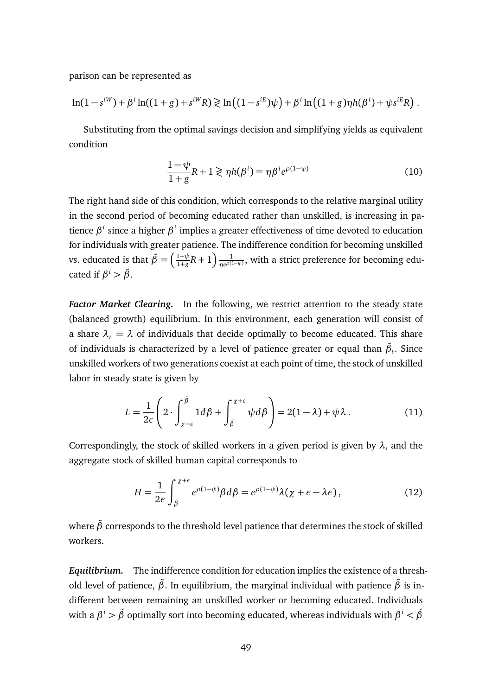parison can be represented as

$$
\ln(1-s^{iW}) + \beta^{i}\ln((1+g) + s^{iW}R) \ge \ln((1-s^{iE})\psi) + \beta^{i}\ln((1+g)\eta h(\beta^{i}) + \psi s^{iE}R).
$$

Substituting from the optimal savings decision and simplifying yields as equivalent condition

<span id="page-49-0"></span>
$$
\frac{1-\psi}{1+g}R+1 \gtrless \eta h(\beta^i) = \eta \beta^i e^{\rho(1-\psi)}
$$
\n(10)

The right hand side of this condition, which corresponds to the relative marginal utility in the second period of becoming educated rather than unskilled, is increasing in patience β<sup>i</sup> since a higher β<sup>i</sup> implies a greater effectiveness of time devoted to education for individuals with greater patience. The indifference condition for becoming unskilled vs. educated is that  $\tilde{\beta} = \left(\frac{1-\psi}{1+g}\right)$  $\frac{1-\psi}{1+g}R+1\right)\frac{1}{\eta e^{\rho(1)}}$  $\frac{1}{\eta e^{\rho(1-\psi)}}$ , with a strict preference for becoming educated if  $\beta^i > \tilde{\beta}$ .

*Factor Market Clearing.* In the following, we restrict attention to the steady state (balanced growth) equilibrium. In this environment, each generation will consist of a share  $\lambda_t = \lambda$  of individuals that decide optimally to become educated. This share of individuals is characterized by a level of patience greater or equal than  $\tilde{\beta}_t.$  Since unskilled workers of two generations coexist at each point of time, the stock of unskilled labor in steady state is given by

$$
L = \frac{1}{2\epsilon} \left( 2 \cdot \int_{\chi - \epsilon}^{\tilde{\beta}} 1 d\beta + \int_{\tilde{\beta}}^{\chi + \epsilon} \psi d\beta \right) = 2(1 - \lambda) + \psi \lambda. \tag{11}
$$

Correspondingly, the stock of skilled workers in a given period is given by *λ*, and the aggregate stock of skilled human capital corresponds to

$$
H = \frac{1}{2\epsilon} \int_{\tilde{\beta}}^{\chi + \epsilon} e^{\rho(1 - \psi)} \beta d\beta = e^{\rho(1 - \psi)} \lambda(\chi + \epsilon - \lambda \epsilon), \qquad (12)
$$

where  $\tilde{\beta}$  corresponds to the threshold level patience that determines the stock of skilled workers.

*Equilibrium.* The indifference condition for education implies the existence of a threshold level of patience,  $\tilde{\beta}$ . In equilibrium, the marginal individual with patience  $\tilde{\beta}$  is indifferent between remaining an unskilled worker or becoming educated. Individuals with a *β <sup>i</sup> > β*˜ optimally sort into becoming educated, whereas individuals with *β <sup>i</sup> < β*˜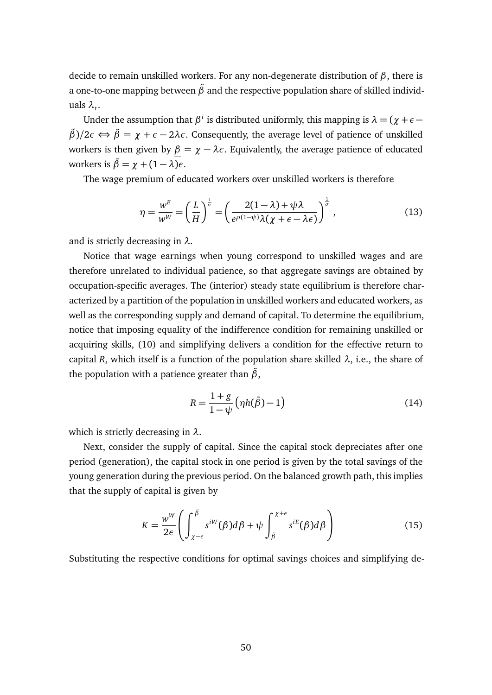decide to remain unskilled workers. For any non-degenerate distribution of *β*, there is a one-to-one mapping between  $\tilde{\beta}$  and the respective population share of skilled individuals  $\lambda_t$ .

Under the assumption that  $\beta^i$  is distributed uniformly, this mapping is  $\lambda = (\chi + \epsilon - \delta)$  $β)$ /2*ε* ⇔  $β = χ + ε - 2λε$ . Consequently, the average level of patience of unskilled workers is then given by  $\beta = \chi - \lambda \epsilon$ . Equivalently, the average patience of educated workers is  $\bar{\beta} = \gamma + (1 - \lambda)\epsilon$ .

The wage premium of educated workers over unskilled workers is therefore

$$
\eta = \frac{w^E}{w^W} = \left(\frac{L}{H}\right)^{\frac{1}{\sigma}} = \left(\frac{2(1-\lambda) + \psi\lambda}{e^{\rho(1-\psi)}\lambda(\chi + \epsilon - \lambda\epsilon)}\right)^{\frac{1}{\sigma}},\tag{13}
$$

and is strictly decreasing in *λ*.

Notice that wage earnings when young correspond to unskilled wages and are therefore unrelated to individual patience, so that aggregate savings are obtained by occupation-specific averages. The (interior) steady state equilibrium is therefore characterized by a partition of the population in unskilled workers and educated workers, as well as the corresponding supply and demand of capital. To determine the equilibrium, notice that imposing equality of the indifference condition for remaining unskilled or acquiring skills, [\(10\)](#page-49-0) and simplifying delivers a condition for the effective return to capital *R*, which itself is a function of the population share skilled  $\lambda$ , i.e., the share of the population with a patience greater than  $\tilde{\beta}$ ,

<span id="page-50-0"></span>
$$
R = \frac{1+g}{1-\psi} \left( \eta h(\tilde{\beta}) - 1 \right) \tag{14}
$$

which is strictly decreasing in *λ*.

Next, consider the supply of capital. Since the capital stock depreciates after one period (generation), the capital stock in one period is given by the total savings of the young generation during the previous period. On the balanced growth path, this implies that the supply of capital is given by

$$
K = \frac{w^W}{2\epsilon} \left( \int_{\chi - \epsilon}^{\tilde{\beta}} s^{iW}(\beta) d\beta + \psi \int_{\tilde{\beta}}^{\chi + \epsilon} s^{iE}(\beta) d\beta \right) \tag{15}
$$

Substituting the respective conditions for optimal savings choices and simplifying de-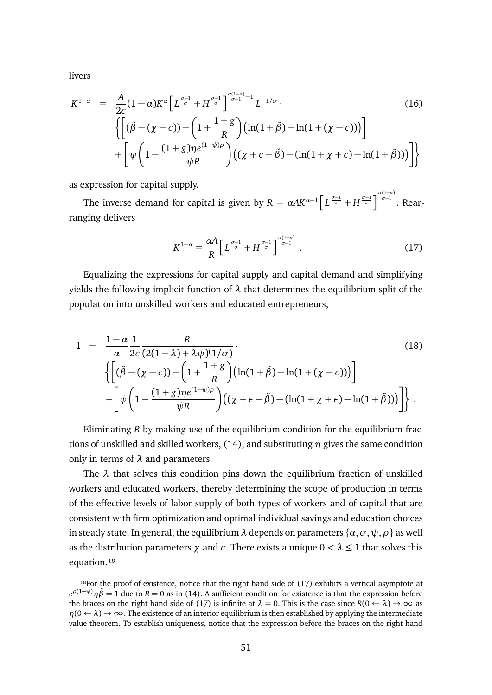livers

$$
K^{1-\alpha} = \frac{A}{2\epsilon}(1-\alpha)K^{\alpha}\left[L^{\frac{\sigma-1}{\sigma}}+H^{\frac{\sigma-1}{\sigma}}\right]^{\frac{\sigma(1-\alpha)}{\sigma-1}-1}L^{-1/\sigma}.
$$
\n
$$
\left\{\left[(\tilde{\beta}-(\chi-\epsilon))-\left(1+\frac{1+g}{R}\right)(\ln(1+\tilde{\beta})-\ln(1+(\chi-\epsilon)))\right]\right.\right.
$$
\n
$$
+\left[\psi\left(1-\frac{(1+g)\eta e^{(1-\psi)\rho}}{\psi R}\right)\left((\chi+\epsilon-\tilde{\beta})-(\ln(1+\chi+\epsilon)-\ln(1+\tilde{\beta}))\right)\right]\right\}
$$
\n(16)

as expression for capital supply.

The inverse demand for capital is given by  $R = \alpha A K^{\alpha-1} \left[ L^{\frac{\sigma-1}{\sigma}} + H^{\frac{\sigma-1}{\sigma}} \right]^{\frac{\sigma(1-\alpha)}{\sigma-1}}$ . Rearranging delivers

$$
K^{1-\alpha} = \frac{\alpha A}{R} \left[ L^{\frac{\sigma-1}{\sigma}} + H^{\frac{\sigma-1}{\sigma}} \right]^{\frac{\sigma(1-\alpha)}{\sigma-1}}.
$$
 (17)

Equalizing the expressions for capital supply and capital demand and simplifying yields the following implicit function of  $λ$  that determines the equilibrium split of the population into unskilled workers and educated entrepreneurs,

<span id="page-51-0"></span>
$$
1 = \frac{1-\alpha}{\alpha} \frac{1}{2\epsilon} \frac{R}{(2(1-\lambda)+\lambda\psi)^{(1/\sigma)}}.
$$
\n
$$
\left\{ \left[ (\tilde{\beta} - (\chi - \epsilon)) - \left( 1 + \frac{1+\varrho}{R} \right) (\ln(1+\tilde{\beta}) - \ln(1+(\chi - \epsilon))) \right] + \left[ \psi \left( 1 - \frac{(1+g)\eta e^{(1-\psi)\rho}}{\psi R} \right) ((\chi + \epsilon - \tilde{\beta}) - (\ln(1+\chi + \epsilon) - \ln(1+\tilde{\beta}))) \right] \right\}.
$$
\n(18)

Eliminating *R* by making use of the equilibrium condition for the equilibrium fractions of unskilled and skilled workers, [\(14\)](#page-50-0), and substituting *η* gives the same condition only in terms of *λ* and parameters.

The  $\lambda$  that solves this condition pins down the equilibrium fraction of unskilled workers and educated workers, thereby determining the scope of production in terms of the effective levels of labor supply of both types of workers and of capital that are consistent with firm optimization and optimal individual savings and education choices in steady state. In general, the equilibrium  $\lambda$  depends on parameters  $\{\alpha, \sigma, \psi, \rho\}$  as well as the distribution parameters  $\gamma$  and  $\epsilon$ . There exists a unique  $0 < \lambda \leq 1$  that solves this equation.<sup>18</sup>

 $18$ For the proof of existence, notice that the right hand side of [\(17\)](#page-51-0) exhibits a vertical asymptote at  $e^{p(1-\psi)}\eta\tilde{\beta} = 1$  due to *R* = 0 as in [\(14\)](#page-50-0). A sufficient condition for existence is that the expression before the braces on the right hand side of [\(17\)](#page-51-0) is infinite at  $\lambda = 0$ . This is the case since  $R(0 \leftarrow \lambda) \rightarrow \infty$  as  $\eta(0 \leftarrow \lambda) \rightarrow \infty$ . The existence of an interior equilibrium is then established by applying the intermediate value theorem. To establish uniqueness, notice that the expression before the braces on the right hand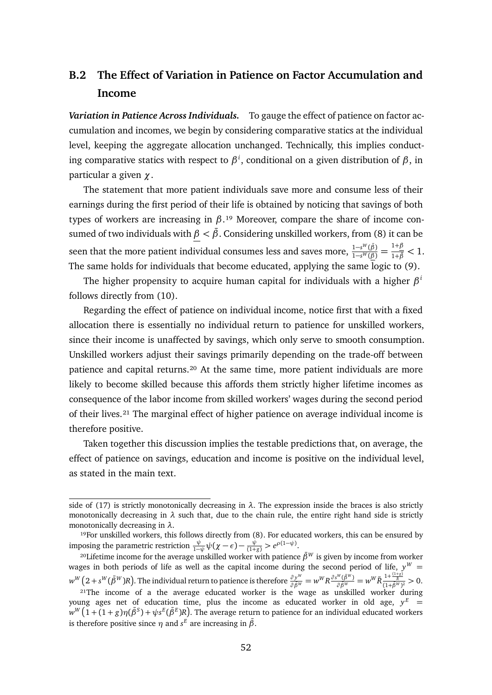## **B.2 The Effect of Variation in Patience on Factor Accumulation and Income**

*Variation in Patience Across Individuals.* To gauge the effect of patience on factor accumulation and incomes, we begin by considering comparative statics at the individual level, keeping the aggregate allocation unchanged. Technically, this implies conducting comparative statics with respect to *β i* , conditional on a given distribution of *β*, in particular a given *χ*.

The statement that more patient individuals save more and consume less of their earnings during the first period of their life is obtained by noticing that savings of both types of workers are increasing in  $\beta$ .<sup>19</sup> Moreover, compare the share of income consumed of two individuals with  $β < β$ . Considering unskilled workers, from [\(8\)](#page-48-1) it can be seen that the more patient individual consumes less and saves more,  $\frac{1-s^W(\bar{\beta})}{1-s^W(\underline{\beta})}=\frac{1+\beta}{1+\bar{\beta}}< 1.$ The same holds for individuals that become educated, applying the same logic to [\(9\)](#page-48-0).

The higher propensity to acquire human capital for individuals with a higher *β i* follows directly from [\(10\)](#page-49-0).

Regarding the effect of patience on individual income, notice first that with a fixed allocation there is essentially no individual return to patience for unskilled workers, since their income is unaffected by savings, which only serve to smooth consumption. Unskilled workers adjust their savings primarily depending on the trade-off between patience and capital returns.<sup>20</sup> At the same time, more patient individuals are more likely to become skilled because this affords them strictly higher lifetime incomes as consequence of the labor income from skilled workers' wages during the second period of their lives.<sup>21</sup> The marginal effect of higher patience on average individual income is therefore positive.

Taken together this discussion implies the testable predictions that, on average, the effect of patience on savings, education and income is positive on the individual level, as stated in the main text.

side of [\(17\)](#page-51-0) is strictly monotonically decreasing in  $\lambda$ . The expression inside the braces is also strictly monotonically decreasing in  $\lambda$  such that, due to the chain rule, the entire right hand side is strictly monotonically decreasing in *λ*.

<sup>&</sup>lt;sup>19</sup>For unskilled workers, this follows directly from [\(8\)](#page-48-1). For educated workers, this can be ensured by imposing the parametric restriction  $\frac{\psi}{1-\psi}\psi(\chi-\epsilon) - \frac{\psi}{(1+g)} > e^{\rho(1-\psi)}$ .

<sup>&</sup>lt;sup>20</sup>Lifetime income for the average unskilled worker with patience  $\bar{\beta}^{W}$  is given by income from worker wages in both periods of life as well as the capital income during the second period of life,  $y^W =$  $w^W\left(2+s^W(\bar{\beta}^W)R\right)$ . The individual return to patience is therefore  $\frac{\partial y^W}{\partial \bar{\beta}^W}=w^WR\frac{\partial s^W(\bar{\beta}^W)}{\partial \bar{\beta}^W}=w^W\tilde{R}\frac{1+\frac{(1+g)}{\bar{R}}}{(1+\bar{\beta}^W)^2}>0.$ 

 $2^{1}$ The income of a the average educated worker is the wage as unskilled worker during young ages net of education time, plus the income as educated worker in old age,  $y^E$  =  $w^W\big(1+(1+g)\eta(\bar{\beta}^S)+\psi s^E(\bar{\beta}^E)R\big).$  The average return to patience for an individual educated workers is therefore positive since  $\eta$  and  $s^E$  are increasing in  $\bar{\beta}$ .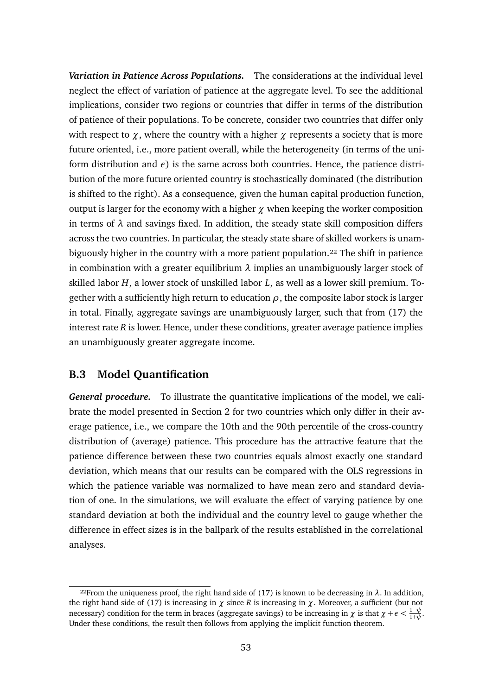*Variation in Patience Across Populations.* The considerations at the individual level neglect the effect of variation of patience at the aggregate level. To see the additional implications, consider two regions or countries that differ in terms of the distribution of patience of their populations. To be concrete, consider two countries that differ only with respect to  $\chi$ , where the country with a higher  $\chi$  represents a society that is more future oriented, i.e., more patient overall, while the heterogeneity (in terms of the uniform distribution and  $\epsilon$ ) is the same across both countries. Hence, the patience distribution of the more future oriented country is stochastically dominated (the distribution is shifted to the right). As a consequence, given the human capital production function, output is larger for the economy with a higher *χ* when keeping the worker composition in terms of  $\lambda$  and savings fixed. In addition, the steady state skill composition differs across the two countries. In particular, the steady state share of skilled workers is unambiguously higher in the country with a more patient population.<sup>22</sup> The shift in patience in combination with a greater equilibrium *λ* implies an unambiguously larger stock of skilled labor *H*, a lower stock of unskilled labor *L*, as well as a lower skill premium. Together with a sufficiently high return to education  $\rho$ , the composite labor stock is larger in total. Finally, aggregate savings are unambiguously larger, such that from [\(17\)](#page-51-0) the interest rate *R* is lower. Hence, under these conditions, greater average patience implies an unambiguously greater aggregate income.

### <span id="page-53-0"></span>**B.3 Model Quantification**

*General procedure.* To illustrate the quantitative implications of the model, we calibrate the model presented in Section [2](#page-4-0) for two countries which only differ in their average patience, i.e., we compare the 10th and the 90th percentile of the cross-country distribution of (average) patience. This procedure has the attractive feature that the patience difference between these two countries equals almost exactly one standard deviation, which means that our results can be compared with the OLS regressions in which the patience variable was normalized to have mean zero and standard deviation of one. In the simulations, we will evaluate the effect of varying patience by one standard deviation at both the individual and the country level to gauge whether the difference in effect sizes is in the ballpark of the results established in the correlational analyses.

<sup>&</sup>lt;sup>22</sup>From the uniqueness proof, the right hand side of [\(17\)](#page-51-0) is known to be decreasing in  $\lambda$ . In addition, the right hand side of [\(17\)](#page-51-0) is increasing in  $\chi$  since  $R$  is increasing in  $\chi$ . Moreover, a sufficient (but not necessary) condition for the term in braces (aggregate savings) to be increasing in *χ* is that  $\chi + \epsilon < \frac{1-\psi}{1+\psi}$ . Under these conditions, the result then follows from applying the implicit function theorem.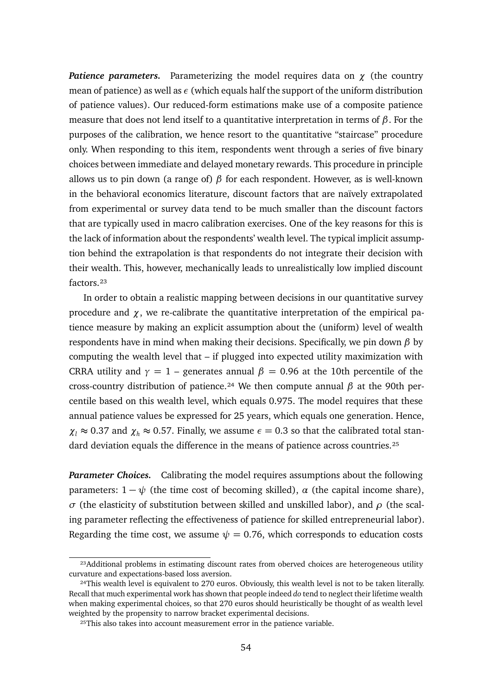*Patience parameters.* Parameterizing the model requires data on *χ* (the country mean of patience) as well as  $\epsilon$  (which equals half the support of the uniform distribution of patience values). Our reduced-form estimations make use of a composite patience measure that does not lend itself to a quantitative interpretation in terms of *β*. For the purposes of the calibration, we hence resort to the quantitative "staircase" procedure only. When responding to this item, respondents went through a series of five binary choices between immediate and delayed monetary rewards. This procedure in principle allows us to pin down (a range of) *β* for each respondent. However, as is well-known in the behavioral economics literature, discount factors that are naïvely extrapolated from experimental or survey data tend to be much smaller than the discount factors that are typically used in macro calibration exercises. One of the key reasons for this is the lack of information about the respondents' wealth level. The typical implicit assumption behind the extrapolation is that respondents do not integrate their decision with their wealth. This, however, mechanically leads to unrealistically low implied discount factors.<sup>23</sup>

In order to obtain a realistic mapping between decisions in our quantitative survey procedure and  $\chi$ , we re-calibrate the quantitative interpretation of the empirical patience measure by making an explicit assumption about the (uniform) level of wealth respondents have in mind when making their decisions. Specifically, we pin down *β* by computing the wealth level that – if plugged into expected utility maximization with CRRA utility and  $\gamma = 1$  – generates annual  $\beta = 0.96$  at the 10th percentile of the cross-country distribution of patience.<sup>24</sup> We then compute annual  $\beta$  at the 90th percentile based on this wealth level, which equals 0.975. The model requires that these annual patience values be expressed for 25 years, which equals one generation. Hence,  $\chi$ <sup>*l*</sup>  $\approx$  0.37 and  $\chi$ <sup>*h*</sup>  $\approx$  0.57. Finally, we assume  $\epsilon$  = 0.3 so that the calibrated total standard deviation equals the difference in the means of patience across countries.<sup>25</sup>

*Parameter Choices.* Calibrating the model requires assumptions about the following parameters:  $1 - \psi$  (the time cost of becoming skilled),  $\alpha$  (the capital income share), *σ* (the elasticity of substitution between skilled and unskilled labor), and *ρ* (the scaling parameter reflecting the effectiveness of patience for skilled entrepreneurial labor). Regarding the time cost, we assume  $\psi = 0.76$ , which corresponds to education costs

<sup>&</sup>lt;sup>23</sup>Additional problems in estimating discount rates from oberved choices are heterogeneous utility curvature and expectations-based loss aversion.

<sup>&</sup>lt;sup>24</sup>This wealth level is equivalent to 270 euros. Obviously, this wealth level is not to be taken literally. Recall that much experimental work has shown that people indeed *do* tend to neglect their lifetime wealth when making experimental choices, so that 270 euros should heuristically be thought of as wealth level weighted by the propensity to narrow bracket experimental decisions.

<sup>&</sup>lt;sup>25</sup>This also takes into account measurement error in the patience variable.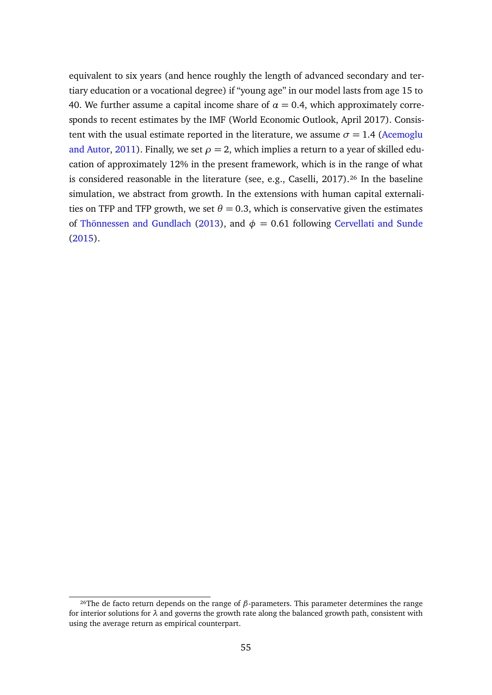equivalent to six years (and hence roughly the length of advanced secondary and tertiary education or a vocational degree) if "young age" in our model lasts from age 15 to 40. We further assume a capital income share of  $\alpha = 0.4$ , which approximately corresponds to recent estimates by the IMF (World Economic Outlook, April 2017). Consistent with the usual estimate reported in the literature, we assume  $\sigma = 1.4$  [\(Acemoglu](#page-33-9) [and Autor,](#page-33-9) [2011\)](#page-33-9). Finally, we set  $\rho = 2$ , which implies a return to a year of skilled education of approximately 12% in the present framework, which is in the range of what is considered reasonable in the literature (see, e.g., Caselli,  $2017$ ).<sup>26</sup> In the baseline simulation, we abstract from growth. In the extensions with human capital externalities on TFP and TFP growth, we set  $\theta = 0.3$ , which is conservative given the estimates of [Thönnessen and Gundlach](#page-37-4) [\(2013\)](#page-37-4), and  $\phi = 0.61$  following [Cervellati and Sunde](#page-34-12) [\(2015\)](#page-34-12).

<sup>&</sup>lt;sup>26</sup>The de facto return depends on the range of  $β$ -parameters. This parameter determines the range for interior solutions for  $\lambda$  and governs the growth rate along the balanced growth path, consistent with using the average return as empirical counterpart.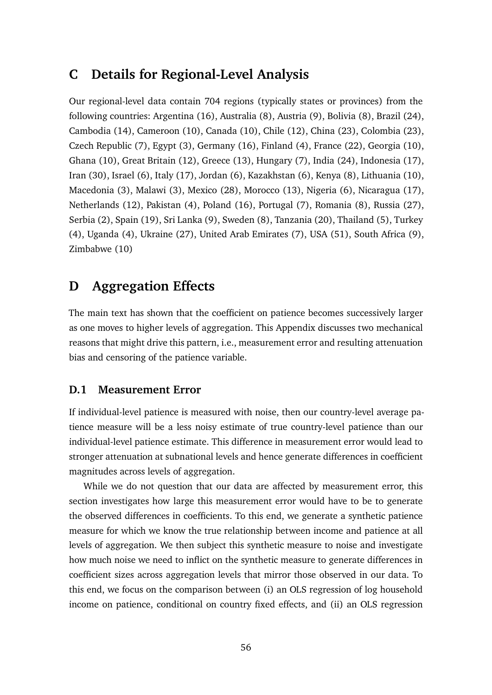## <span id="page-56-0"></span>**C Details for Regional-Level Analysis**

Our regional-level data contain 704 regions (typically states or provinces) from the following countries: Argentina (16), Australia (8), Austria (9), Bolivia (8), Brazil (24), Cambodia (14), Cameroon (10), Canada (10), Chile (12), China (23), Colombia (23), Czech Republic (7), Egypt (3), Germany (16), Finland (4), France (22), Georgia (10), Ghana (10), Great Britain (12), Greece (13), Hungary (7), India (24), Indonesia (17), Iran (30), Israel (6), Italy (17), Jordan (6), Kazakhstan (6), Kenya (8), Lithuania (10), Macedonia (3), Malawi (3), Mexico (28), Morocco (13), Nigeria (6), Nicaragua (17), Netherlands (12), Pakistan (4), Poland (16), Portugal (7), Romania (8), Russia (27), Serbia (2), Spain (19), Sri Lanka (9), Sweden (8), Tanzania (20), Thailand (5), Turkey (4), Uganda (4), Ukraine (27), United Arab Emirates (7), USA (51), South Africa (9), Zimbabwe (10)

## <span id="page-56-1"></span>**D Aggregation Effects**

The main text has shown that the coefficient on patience becomes successively larger as one moves to higher levels of aggregation. This Appendix discusses two mechanical reasons that might drive this pattern, i.e., measurement error and resulting attenuation bias and censoring of the patience variable.

### **D.1 Measurement Error**

If individual-level patience is measured with noise, then our country-level average patience measure will be a less noisy estimate of true country-level patience than our individual-level patience estimate. This difference in measurement error would lead to stronger attenuation at subnational levels and hence generate differences in coefficient magnitudes across levels of aggregation.

While we do not question that our data are affected by measurement error, this section investigates how large this measurement error would have to be to generate the observed differences in coefficients. To this end, we generate a synthetic patience measure for which we know the true relationship between income and patience at all levels of aggregation. We then subject this synthetic measure to noise and investigate how much noise we need to inflict on the synthetic measure to generate differences in coefficient sizes across aggregation levels that mirror those observed in our data. To this end, we focus on the comparison between (i) an OLS regression of log household income on patience, conditional on country fixed effects, and (ii) an OLS regression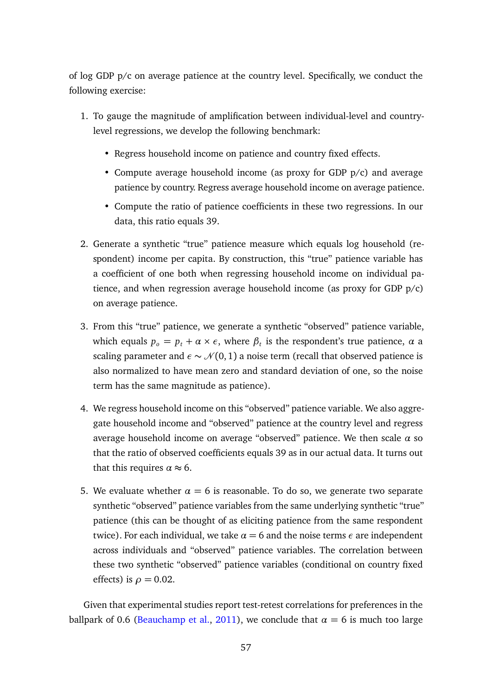of log GDP p/c on average patience at the country level. Specifically, we conduct the following exercise:

- 1. To gauge the magnitude of amplification between individual-level and countrylevel regressions, we develop the following benchmark:
	- Regress household income on patience and country fixed effects.
	- Compute average household income (as proxy for GDP p/c) and average patience by country. Regress average household income on average patience.
	- Compute the ratio of patience coefficients in these two regressions. In our data, this ratio equals 39.
- 2. Generate a synthetic "true" patience measure which equals log household (respondent) income per capita. By construction, this "true" patience variable has a coefficient of one both when regressing household income on individual patience, and when regression average household income (as proxy for GDP p/c) on average patience.
- 3. From this "true" patience, we generate a synthetic "observed" patience variable, which equals  $p_o = p_t + \alpha \times \epsilon$ , where  $\beta_t$  is the respondent's true patience,  $\alpha$  a scaling parameter and  $\epsilon \sim \mathcal{N}(0, 1)$  a noise term (recall that observed patience is also normalized to have mean zero and standard deviation of one, so the noise term has the same magnitude as patience).
- 4. We regress household income on this "observed" patience variable. We also aggregate household income and "observed" patience at the country level and regress average household income on average "observed" patience. We then scale *α* so that the ratio of observed coefficients equals 39 as in our actual data. It turns out that this requires  $\alpha \approx 6$ .
- 5. We evaluate whether  $\alpha = 6$  is reasonable. To do so, we generate two separate synthetic "observed" patience variables from the same underlying synthetic "true" patience (this can be thought of as eliciting patience from the same respondent twice). For each individual, we take  $\alpha = 6$  and the noise terms  $\epsilon$  are independent across individuals and "observed" patience variables. The correlation between these two synthetic "observed" patience variables (conditional on country fixed effects) is  $\rho = 0.02$ .

Given that experimental studies report test-retest correlations for preferences in the ballpark of 0.6 [\(Beauchamp et al.,](#page-33-10) [2011\)](#page-33-10), we conclude that  $\alpha = 6$  is much too large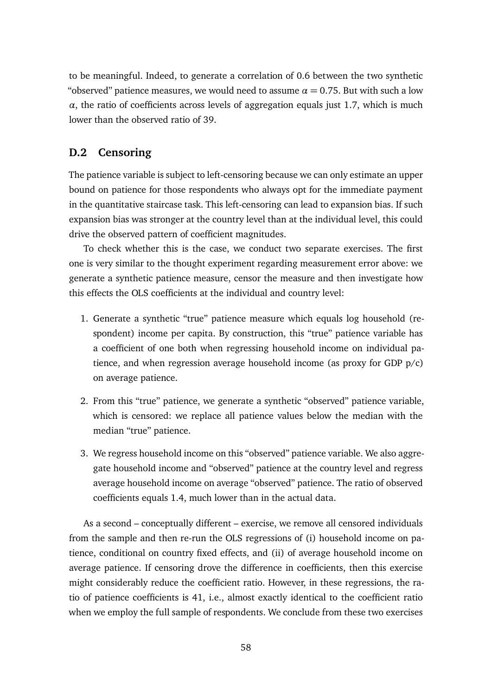to be meaningful. Indeed, to generate a correlation of 0.6 between the two synthetic "observed" patience measures, we would need to assume  $\alpha = 0.75$ . But with such a low  $\alpha$ , the ratio of coefficients across levels of aggregation equals just 1.7, which is much lower than the observed ratio of 39.

### **D.2 Censoring**

The patience variable is subject to left-censoring because we can only estimate an upper bound on patience for those respondents who always opt for the immediate payment in the quantitative staircase task. This left-censoring can lead to expansion bias. If such expansion bias was stronger at the country level than at the individual level, this could drive the observed pattern of coefficient magnitudes.

To check whether this is the case, we conduct two separate exercises. The first one is very similar to the thought experiment regarding measurement error above: we generate a synthetic patience measure, censor the measure and then investigate how this effects the OLS coefficients at the individual and country level:

- 1. Generate a synthetic "true" patience measure which equals log household (respondent) income per capita. By construction, this "true" patience variable has a coefficient of one both when regressing household income on individual patience, and when regression average household income (as proxy for GDP p/c) on average patience.
- 2. From this "true" patience, we generate a synthetic "observed" patience variable, which is censored: we replace all patience values below the median with the median "true" patience.
- 3. We regress household income on this "observed" patience variable. We also aggregate household income and "observed" patience at the country level and regress average household income on average "observed" patience. The ratio of observed coefficients equals 1.4, much lower than in the actual data.

As a second – conceptually different – exercise, we remove all censored individuals from the sample and then re-run the OLS regressions of (i) household income on patience, conditional on country fixed effects, and (ii) of average household income on average patience. If censoring drove the difference in coefficients, then this exercise might considerably reduce the coefficient ratio. However, in these regressions, the ratio of patience coefficients is 41, i.e., almost exactly identical to the coefficient ratio when we employ the full sample of respondents. We conclude from these two exercises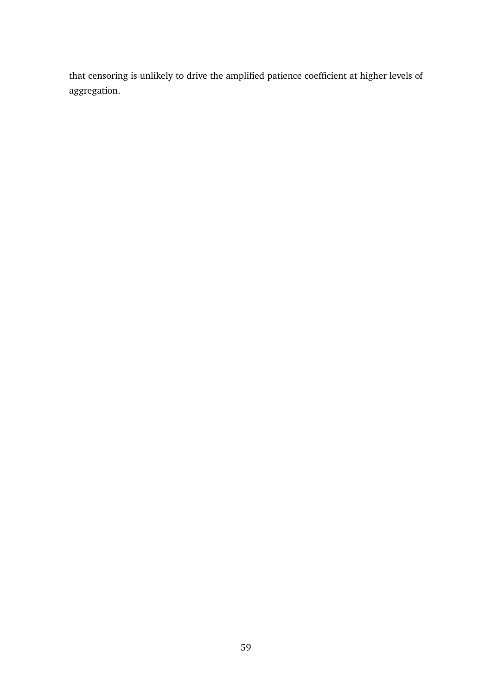that censoring is unlikely to drive the amplified patience coefficient at higher levels of aggregation.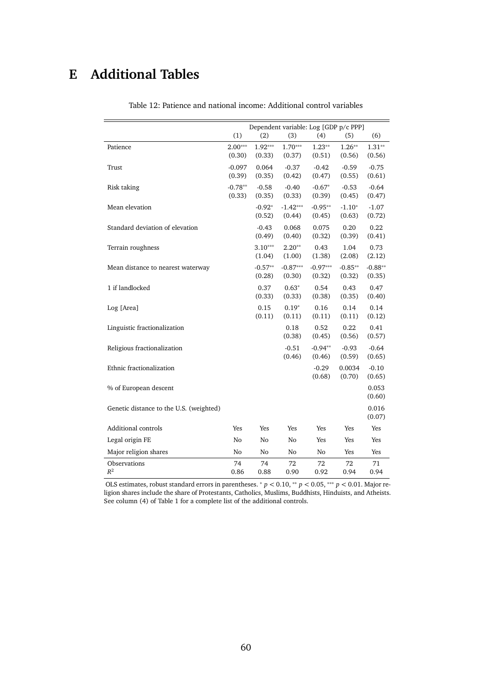# <span id="page-60-1"></span><span id="page-60-0"></span>**E Additional Tables**

|                                         | (1)                 | (2)                 | Dependent variable: Log [GDP p/c PPP]<br>(3) | (4)                | (5)                 | (6)                |
|-----------------------------------------|---------------------|---------------------|----------------------------------------------|--------------------|---------------------|--------------------|
|                                         |                     |                     |                                              |                    |                     |                    |
| Patience                                | $2.00***$<br>(0.30) | $1.92***$<br>(0.33) | $1.70***$<br>(0.37)                          | $1.23**$<br>(0.51) | $1.26***$<br>(0.56) | $1.31**$<br>(0.56) |
|                                         | $-0.097$            | 0.064               | $-0.37$                                      | $-0.42$            | $-0.59$             | $-0.75$            |
| Trust                                   | (0.39)              | (0.35)              | (0.42)                                       | (0.47)             | (0.55)              | (0.61)             |
| Risk taking                             | $-0.78**$           | $-0.58$             | $-0.40$                                      | $-0.67*$           | $-0.53$             | $-0.64$            |
|                                         | (0.33)              | (0.35)              | (0.33)                                       | (0.39)             | (0.45)              | (0.47)             |
| Mean elevation                          |                     | $-0.92*$            | $-1.42***$                                   | $-0.95**$          | $-1.10*$            | $-1.07$            |
|                                         |                     | (0.52)              | (0.44)                                       | (0.45)             | (0.63)              | (0.72)             |
| Standard deviation of elevation         |                     | $-0.43$             | 0.068                                        | 0.075              | 0.20                | 0.22               |
|                                         |                     | (0.49)              | (0.40)                                       | (0.32)             | (0.39)              | (0.41)             |
| Terrain roughness                       |                     | $3.10***$           | $2.20**$                                     | 0.43               | 1.04                | 0.73               |
|                                         |                     | (1.04)              | (1.00)                                       | (1.38)             | (2.08)              | (2.12)             |
| Mean distance to nearest waterway       |                     | $-0.57**$           | $-0.87***$                                   | $-0.97***$         | $-0.85**$           | $-0.88**$          |
|                                         |                     | (0.28)              | (0.30)                                       | (0.32)             | (0.32)              | (0.35)             |
| 1 if landlocked                         |                     | 0.37<br>(0.33)      | $0.63*$<br>(0.33)                            | 0.54<br>(0.38)     | 0.43<br>(0.35)      | 0.47<br>(0.40)     |
| Log [Area]                              |                     | 0.15                | $0.19*$                                      | 0.16               | 0.14                | 0.14               |
|                                         |                     | (0.11)              | (0.11)                                       | (0.11)             | (0.11)              | (0.12)             |
| Linguistic fractionalization            |                     |                     | 0.18                                         | 0.52               | 0.22                | 0.41               |
|                                         |                     |                     | (0.38)                                       | (0.45)             | (0.56)              | (0.57)             |
| Religious fractionalization             |                     |                     | $-0.51$                                      | $-0.94**$          | $-0.93$             | $-0.64$            |
|                                         |                     |                     | (0.46)                                       | (0.46)             | (0.59)              | (0.65)             |
| Ethnic fractionalization                |                     |                     |                                              | $-0.29$            | 0.0034              | $-0.10$            |
|                                         |                     |                     |                                              | (0.68)             | (0.70)              | (0.65)             |
| % of European descent                   |                     |                     |                                              |                    |                     | 0.053              |
|                                         |                     |                     |                                              |                    |                     | (0.60)             |
| Genetic distance to the U.S. (weighted) |                     |                     |                                              |                    |                     | 0.016              |
|                                         |                     |                     |                                              |                    |                     | (0.07)             |
| Additional controls                     | Yes                 | Yes                 | Yes                                          | Yes                | Yes                 | Yes                |
| Legal origin FE                         | No                  | No                  | No                                           | Yes                | Yes                 | Yes                |
| Major religion shares                   | No                  | No                  | No                                           | No                 | Yes                 | Yes                |
| Observations                            | 74                  | 74                  | 72                                           | 72                 | 72                  | 71                 |
| $R^2$                                   | 0.86                | 0.88                | 0.90                                         | 0.92               | 0.94                | 0.94               |

Table 12: Patience and national income: Additional control variables

OLS estimates, robust standard errors in parentheses. <sup>∗</sup> *p <sup>&</sup>lt;* 0.10, ∗∗ *p <* 0.05, ∗∗∗ *p <sup>&</sup>lt;* 0.01. Major religion shares include the share of Protestants, Catholics, Muslims, Buddhists, Hinduists, and Atheists. See column (4) of Table [1](#page-13-0) for a complete list of the additional controls.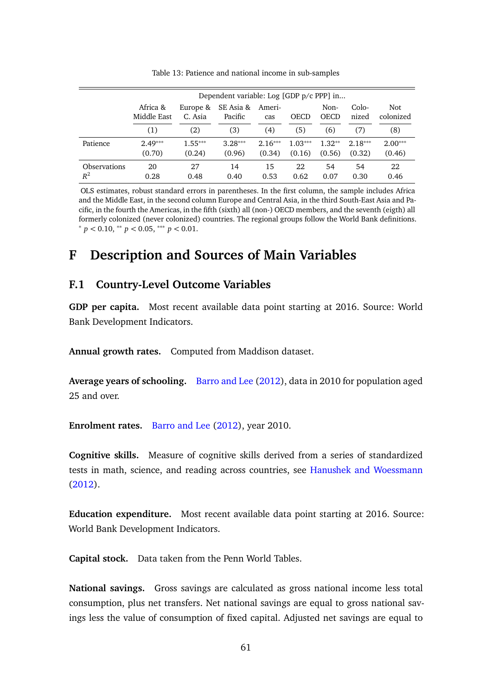<span id="page-61-0"></span>

|                              | Dependent variable: Log [GDP p/c PPP] in |                     |                      |                     |                     |                     |                     |                     |
|------------------------------|------------------------------------------|---------------------|----------------------|---------------------|---------------------|---------------------|---------------------|---------------------|
|                              | Africa &<br>Middle East                  | Europe &<br>C. Asia | SE Asia &<br>Pacific | Ameri-<br>cas       | <b>OECD</b>         | Non-<br><b>OECD</b> | Colo-<br>nized      | Not.<br>colonized   |
|                              | (1)                                      | (2)                 | (3)                  | (4)                 | (5)                 | (6)                 | (7)                 | (8)                 |
| Patience                     | $2.49***$<br>(0.70)                      | $1.55***$<br>(0.24) | $3.28***$<br>(0.96)  | $2.16***$<br>(0.34) | $1.03***$<br>(0.16) | $1.32**$<br>(0.56)  | $2.18***$<br>(0.32) | $2.00***$<br>(0.46) |
| <b>Observations</b><br>$R^2$ | 20<br>0.28                               | 27<br>0.48          | 14<br>0.40           | 15<br>0.53          | 22<br>0.62          | 54<br>0.07          | 54<br>0.30          | 22<br>0.46          |

Table 13: Patience and national income in sub-samples

OLS estimates, robust standard errors in parentheses. In the first column, the sample includes Africa and the Middle East, in the second column Europe and Central Asia, in the third South-East Asia and Pacific, in the fourth the Americas, in the fifth (sixth) all (non-) OECD members, and the seventh (eigth) all formerly colonized (never colonized) countries. The regional groups follow the World Bank definitions.  $p < 0.10,$  \*\*  $p < 0.05,$  \*\*\*  $p < 0.01$ .

## <span id="page-61-1"></span>**F Description and Sources of Main Variables**

### **F.1 Country-Level Outcome Variables**

**GDP per capita.** Most recent available data point starting at 2016. Source: World Bank Development Indicators.

**Annual growth rates.** Computed from Maddison dataset.

**Average years of schooling.** [Barro and Lee](#page-33-8) [\(2012\)](#page-33-8), data in 2010 for population aged 25 and over.

**Enrolment rates.** [Barro and Lee](#page-33-8) [\(2012\)](#page-33-8), year 2010.

**Cognitive skills.** Measure of cognitive skills derived from a series of standardized tests in math, science, and reading across countries, see [Hanushek and Woessmann](#page-35-8) [\(2012\)](#page-35-8).

**Education expenditure.** Most recent available data point starting at 2016. Source: World Bank Development Indicators.

**Capital stock.** Data taken from the Penn World Tables.

**National savings.** Gross savings are calculated as gross national income less total consumption, plus net transfers. Net national savings are equal to gross national savings less the value of consumption of fixed capital. Adjusted net savings are equal to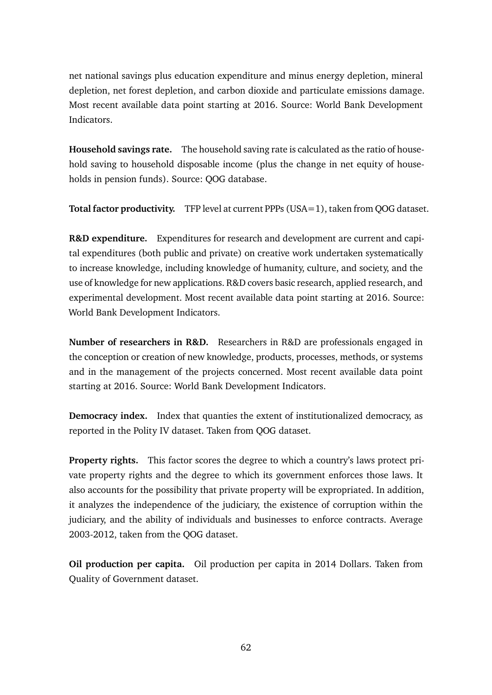net national savings plus education expenditure and minus energy depletion, mineral depletion, net forest depletion, and carbon dioxide and particulate emissions damage. Most recent available data point starting at 2016. Source: World Bank Development Indicators.

**Household savings rate.** The household saving rate is calculated as the ratio of household saving to household disposable income (plus the change in net equity of households in pension funds). Source: QOG database.

**Total factor productivity.** TFP level at current PPPs (USA=1), taken from QOG dataset.

**R&D expenditure.** Expenditures for research and development are current and capital expenditures (both public and private) on creative work undertaken systematically to increase knowledge, including knowledge of humanity, culture, and society, and the use of knowledge for new applications. R&D covers basic research, applied research, and experimental development. Most recent available data point starting at 2016. Source: World Bank Development Indicators.

**Number of researchers in R&D.** Researchers in R&D are professionals engaged in the conception or creation of new knowledge, products, processes, methods, or systems and in the management of the projects concerned. Most recent available data point starting at 2016. Source: World Bank Development Indicators.

**Democracy index.** Index that quanties the extent of institutionalized democracy, as reported in the Polity IV dataset. Taken from QOG dataset.

**Property rights.** This factor scores the degree to which a country's laws protect private property rights and the degree to which its government enforces those laws. It also accounts for the possibility that private property will be expropriated. In addition, it analyzes the independence of the judiciary, the existence of corruption within the judiciary, and the ability of individuals and businesses to enforce contracts. Average 2003-2012, taken from the QOG dataset.

**Oil production per capita.** Oil production per capita in 2014 Dollars. Taken from Quality of Government dataset.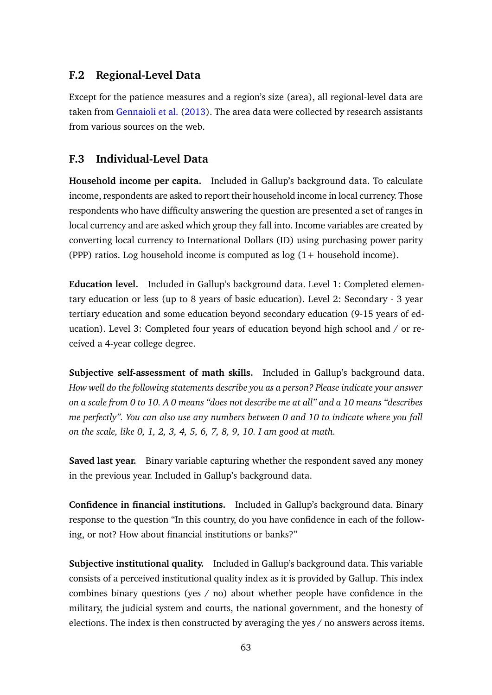### **F.2 Regional-Level Data**

Except for the patience measures and a region's size (area), all regional-level data are taken from [Gennaioli et al.](#page-35-4) [\(2013\)](#page-35-4). The area data were collected by research assistants from various sources on the web.

### **F.3 Individual-Level Data**

**Household income per capita.** Included in Gallup's background data. To calculate income, respondents are asked to report their household income in local currency. Those respondents who have difficulty answering the question are presented a set of ranges in local currency and are asked which group they fall into. Income variables are created by converting local currency to International Dollars (ID) using purchasing power parity (PPP) ratios. Log household income is computed as log (1+ household income).

**Education level.** Included in Gallup's background data. Level 1: Completed elementary education or less (up to 8 years of basic education). Level 2: Secondary - 3 year tertiary education and some education beyond secondary education (9-15 years of education). Level 3: Completed four years of education beyond high school and / or received a 4-year college degree.

**Subjective self-assessment of math skills.** Included in Gallup's background data. *How well do the following statements describe you as a person? Please indicate your answer on a scale from 0 to 10. A 0 means "does not describe me at all" and a 10 means "describes me perfectly". You can also use any numbers between 0 and 10 to indicate where you fall on the scale, like 0, 1, 2, 3, 4, 5, 6, 7, 8, 9, 10. I am good at math.*

**Saved last year.** Binary variable capturing whether the respondent saved any money in the previous year. Included in Gallup's background data.

**Confidence in financial institutions.** Included in Gallup's background data. Binary response to the question "In this country, do you have confidence in each of the following, or not? How about financial institutions or banks?"

**Subjective institutional quality.** Included in Gallup's background data. This variable consists of a perceived institutional quality index as it is provided by Gallup. This index combines binary questions (yes / no) about whether people have confidence in the military, the judicial system and courts, the national government, and the honesty of elections. The index is then constructed by averaging the yes / no answers across items.